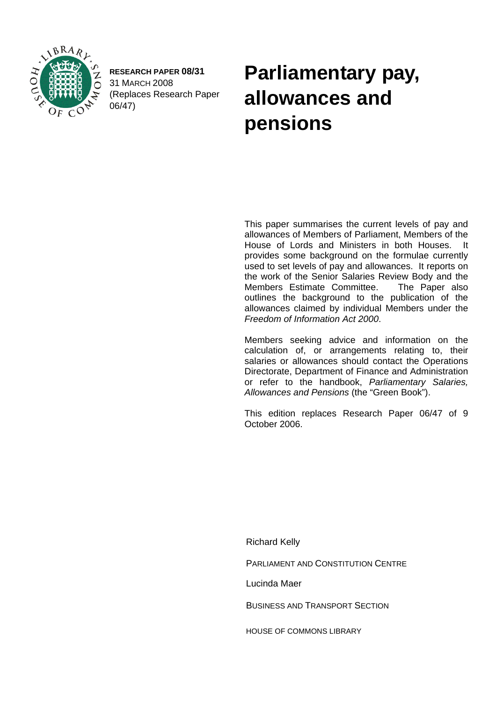

**RESEARCH PAPER 08/31**  31 MARCH 2008 (Replaces Research Paper 06/47)

# **Parliamentary pay, allowances and pensions**

This paper summarises the current levels of pay and allowances of Members of Parliament, Members of the House of Lords and Ministers in both Houses. It provides some background on the formulae currently used to set levels of pay and allowances. It reports on the work of the Senior Salaries Review Body and the Members Estimate Committee. The Paper also outlines the background to the publication of the allowances claimed by individual Members under the *Freedom of Information Act 2000*.

Members seeking advice and information on the calculation of, or arrangements relating to, their salaries or allowances should contact the Operations Directorate, Department of Finance and Administration or refer to the handbook, *Parliamentary Salaries, Allowances and Pensions* (the "Green Book").

This edition replaces Research Paper 06/47 of 9 October 2006.

Richard Kelly

PARLIAMENT AND CONSTITUTION CENTRE

Lucinda Maer

BUSINESS AND TRANSPORT SECTION

HOUSE OF COMMONS LIBRARY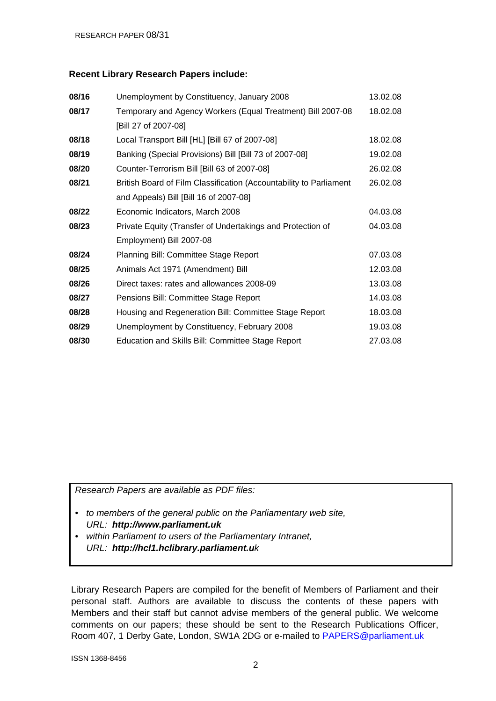#### **Recent Library Research Papers include:**

| 08/16 | Unemployment by Constituency, January 2008                         | 13.02.08 |
|-------|--------------------------------------------------------------------|----------|
| 08/17 | Temporary and Agency Workers (Equal Treatment) Bill 2007-08        | 18.02.08 |
|       | [Bill 27 of 2007-08]                                               |          |
| 08/18 | Local Transport Bill [HL] [Bill 67 of 2007-08]                     | 18.02.08 |
| 08/19 | Banking (Special Provisions) Bill [Bill 73 of 2007-08]             | 19.02.08 |
| 08/20 | Counter-Terrorism Bill [Bill 63 of 2007-08]                        | 26.02.08 |
| 08/21 | British Board of Film Classification (Accountability to Parliament | 26.02.08 |
|       | and Appeals) Bill [Bill 16 of 2007-08]                             |          |
| 08/22 | Economic Indicators, March 2008                                    | 04.03.08 |
| 08/23 | Private Equity (Transfer of Undertakings and Protection of         | 04.03.08 |
|       | Employment) Bill 2007-08                                           |          |
| 08/24 | Planning Bill: Committee Stage Report                              | 07.03.08 |
| 08/25 | Animals Act 1971 (Amendment) Bill                                  | 12.03.08 |
| 08/26 | Direct taxes: rates and allowances 2008-09                         | 13.03.08 |
| 08/27 | Pensions Bill: Committee Stage Report                              | 14.03.08 |
| 08/28 | Housing and Regeneration Bill: Committee Stage Report              | 18.03.08 |
| 08/29 | Unemployment by Constituency, February 2008                        | 19.03.08 |
| 08/30 | Education and Skills Bill: Committee Stage Report                  | 27.03.08 |

*Research Papers are available as PDF files:* 

- *to members of the general public on the Parliamentary web site, URL: http://www.parliament.uk*
- *within Parliament to users of the Parliamentary Intranet, URL: http://hcl1.hclibrary.parliament.uk*

Library Research Papers are compiled for the benefit of Members of Parliament and their personal staff. Authors are available to discuss the contents of these papers with Members and their staff but cannot advise members of the general public. We welcome comments on our papers; these should be sent to the Research Publications Officer, Room 407, 1 Derby Gate, London, SW1A 2DG or e-mailed to [PAPERS@parliament.uk](mailto:PAPERS@parliament.uk)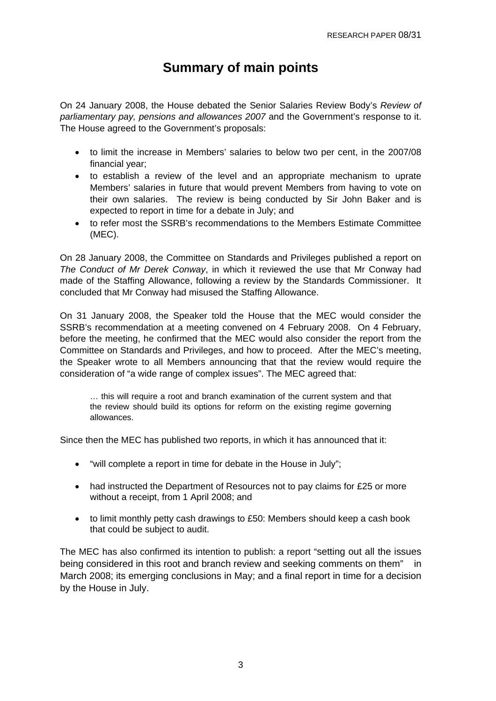# **Summary of main points**

On 24 January 2008, the House debated the Senior Salaries Review Body's *Review of parliamentary pay, pensions and allowances 2007* and the Government's response to it. The House agreed to the Government's proposals:

- to limit the increase in Members' salaries to below two per cent, in the 2007/08 financial year;
- to establish a review of the level and an appropriate mechanism to uprate Members' salaries in future that would prevent Members from having to vote on their own salaries. The review is being conducted by Sir John Baker and is expected to report in time for a debate in July; and
- to refer most the SSRB's recommendations to the Members Estimate Committee (MEC).

On 28 January 2008, the Committee on Standards and Privileges published a report on *The Conduct of Mr Derek Conway*, in which it reviewed the use that Mr Conway had made of the Staffing Allowance, following a review by the Standards Commissioner. It concluded that Mr Conway had misused the Staffing Allowance.

On 31 January 2008, the Speaker told the House that the MEC would consider the SSRB's recommendation at a meeting convened on 4 February 2008. On 4 February, before the meeting, he confirmed that the MEC would also consider the report from the Committee on Standards and Privileges, and how to proceed. After the MEC's meeting, the Speaker wrote to all Members announcing that that the review would require the consideration of "a wide range of complex issues". The MEC agreed that:

… this will require a root and branch examination of the current system and that the review should build its options for reform on the existing regime governing allowances.

Since then the MEC has published two reports, in which it has announced that it:

- "will complete a report in time for debate in the House in July";
- had instructed the Department of Resources not to pay claims for £25 or more without a receipt, from 1 April 2008; and
- to limit monthly petty cash drawings to £50: Members should keep a cash book that could be subject to audit.

The MEC has also confirmed its intention to publish: a report "setting out all the issues being considered in this root and branch review and seeking comments on them" in March 2008; its emerging conclusions in May; and a final report in time for a decision by the House in July.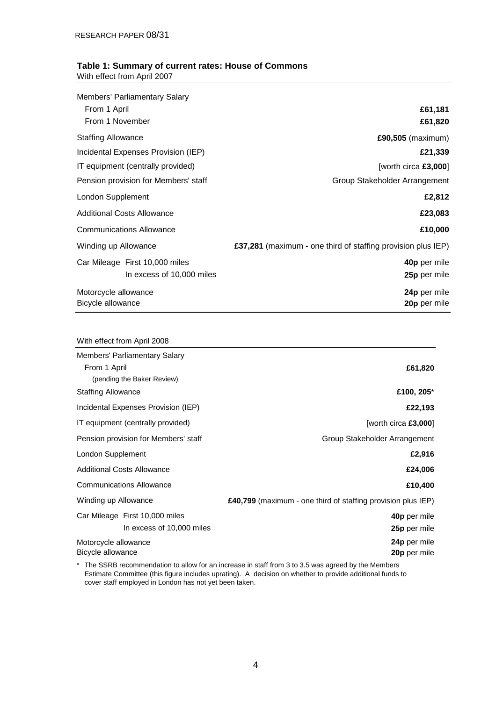#### **Table 1: Summary of current rates: House of Commons** With effect from April 2007

| <b>Members' Parliamentary Salary</b> |                                                              |
|--------------------------------------|--------------------------------------------------------------|
| From 1 April                         | £61,181                                                      |
| From 1 November                      | £61,820                                                      |
| <b>Staffing Allowance</b>            | £90,505 (maximum)                                            |
| Incidental Expenses Provision (IEP)  | £21,339                                                      |
| IT equipment (centrally provided)    | [worth circa $£3,000$ ]                                      |
| Pension provision for Members' staff | Group Stakeholder Arrangement                                |
| London Supplement                    | £2,812                                                       |
| <b>Additional Costs Allowance</b>    | £23,083                                                      |
| <b>Communications Allowance</b>      | £10,000                                                      |
| Winding up Allowance                 | £37,281 (maximum - one third of staffing provision plus IEP) |
| Car Mileage First 10,000 miles       | 40p per mile                                                 |
| In excess of 10,000 miles            | 25p per mile                                                 |
| Motorcycle allowance                 | 24p per mile                                                 |
| Bicycle allowance                    | 20p per mile                                                 |

| With effect from April 2008          |                                                                     |
|--------------------------------------|---------------------------------------------------------------------|
| Members' Parliamentary Salary        |                                                                     |
| From 1 April                         | £61,820                                                             |
| (pending the Baker Review)           |                                                                     |
| <b>Staffing Allowance</b>            | £100, 205*                                                          |
| Incidental Expenses Provision (IEP)  | £22,193                                                             |
| IT equipment (centrally provided)    | [worth circa $£3,000$ ]                                             |
| Pension provision for Members' staff | Group Stakeholder Arrangement                                       |
| London Supplement                    | £2,916                                                              |
| <b>Additional Costs Allowance</b>    | £24,006                                                             |
| <b>Communications Allowance</b>      | £10,400                                                             |
| Winding up Allowance                 | <b>£40,799</b> (maximum - one third of staffing provision plus IEP) |
| Car Mileage First 10,000 miles       | 40p per mile                                                        |
| In excess of 10,000 miles            | 25p per mile                                                        |
| Motorcycle allowance                 | 24p per mile                                                        |
| Bicycle allowance                    | 20p per mile                                                        |

\* The SSRB recommendation to allow for an increase in staff from 3 to 3.5 was agreed by the Members Estimate Committee (this figure includes uprating). A decision on whether to provide additional funds to cover staff employed in London has not yet been taken.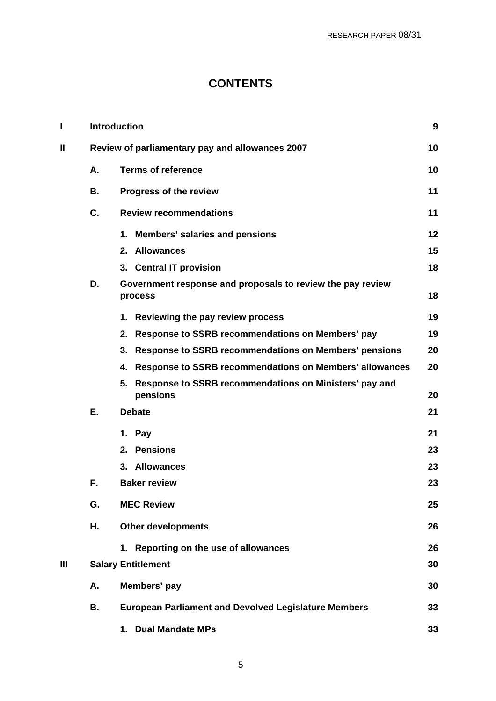# **CONTENTS**

|    |    | <b>Introduction</b>                                                      | 9  |  |  |  |  |  |
|----|----|--------------------------------------------------------------------------|----|--|--|--|--|--|
| II |    | Review of parliamentary pay and allowances 2007                          |    |  |  |  |  |  |
|    | А. | <b>Terms of reference</b>                                                |    |  |  |  |  |  |
|    | В. | Progress of the review                                                   | 11 |  |  |  |  |  |
|    | C. | <b>Review recommendations</b>                                            | 11 |  |  |  |  |  |
|    |    | 1. Members' salaries and pensions                                        | 12 |  |  |  |  |  |
|    |    | 2. Allowances                                                            | 15 |  |  |  |  |  |
|    |    | 3. Central IT provision                                                  | 18 |  |  |  |  |  |
|    | D. | Government response and proposals to review the pay review<br>process    | 18 |  |  |  |  |  |
|    |    | <b>Reviewing the pay review process</b><br>1.                            | 19 |  |  |  |  |  |
|    |    | 2.<br>Response to SSRB recommendations on Members' pay                   | 19 |  |  |  |  |  |
|    |    | Response to SSRB recommendations on Members' pensions<br>3.              | 20 |  |  |  |  |  |
|    |    | Response to SSRB recommendations on Members' allowances<br>4.            | 20 |  |  |  |  |  |
|    |    | Response to SSRB recommendations on Ministers' pay and<br>5.<br>pensions | 20 |  |  |  |  |  |
|    | Е. | <b>Debate</b>                                                            | 21 |  |  |  |  |  |
|    |    | 1. Pay                                                                   | 21 |  |  |  |  |  |
|    |    | 2. Pensions                                                              | 23 |  |  |  |  |  |
|    |    | 3. Allowances                                                            | 23 |  |  |  |  |  |
|    | F. | <b>Baker review</b>                                                      | 23 |  |  |  |  |  |
|    | G. | <b>MEC Review</b>                                                        | 25 |  |  |  |  |  |
|    | Н. | <b>Other developments</b>                                                | 26 |  |  |  |  |  |
|    |    | 1. Reporting on the use of allowances                                    | 26 |  |  |  |  |  |
| Ш  |    | <b>Salary Entitlement</b>                                                | 30 |  |  |  |  |  |
|    | А. | Members' pay                                                             | 30 |  |  |  |  |  |
|    | В. | <b>European Parliament and Devolved Legislature Members</b>              | 33 |  |  |  |  |  |
|    |    | 1. Dual Mandate MPs                                                      | 33 |  |  |  |  |  |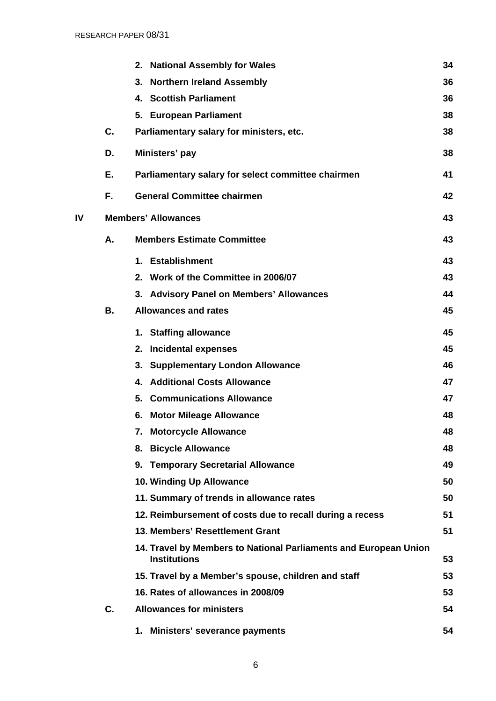|    |    | <b>National Assembly for Wales</b><br>2.                                                | 34 |
|----|----|-----------------------------------------------------------------------------------------|----|
|    |    | <b>Northern Ireland Assembly</b><br>3.                                                  | 36 |
|    |    | <b>Scottish Parliament</b><br>4.                                                        | 36 |
|    |    | 5. European Parliament                                                                  | 38 |
|    | C. | Parliamentary salary for ministers, etc.                                                | 38 |
|    | D. | Ministers' pay                                                                          | 38 |
|    | Е. | Parliamentary salary for select committee chairmen                                      | 41 |
|    | F. | <b>General Committee chairmen</b>                                                       | 42 |
| IV |    | <b>Members' Allowances</b>                                                              | 43 |
|    | Α. | <b>Members Estimate Committee</b>                                                       | 43 |
|    |    | 1. Establishment                                                                        | 43 |
|    |    | 2. Work of the Committee in 2006/07                                                     | 43 |
|    |    | 3. Advisory Panel on Members' Allowances                                                | 44 |
|    | В. | <b>Allowances and rates</b>                                                             | 45 |
|    |    | 1. Staffing allowance                                                                   | 45 |
|    |    | <b>Incidental expenses</b><br>2.                                                        | 45 |
|    |    | <b>Supplementary London Allowance</b><br>3.                                             | 46 |
|    |    | <b>Additional Costs Allowance</b><br>4.                                                 | 47 |
|    |    | <b>Communications Allowance</b><br>5.                                                   | 47 |
|    |    | <b>Motor Mileage Allowance</b><br>6.                                                    | 48 |
|    |    | <b>Motorcycle Allowance</b>                                                             | 48 |
|    |    | <b>Bicycle Allowance</b><br>8.                                                          | 48 |
|    |    | 9. Temporary Secretarial Allowance                                                      | 49 |
|    |    | 10. Winding Up Allowance                                                                | 50 |
|    |    | 11. Summary of trends in allowance rates                                                | 50 |
|    |    | 12. Reimbursement of costs due to recall during a recess                                | 51 |
|    |    | 13. Members' Resettlement Grant                                                         | 51 |
|    |    | 14. Travel by Members to National Parliaments and European Union<br><b>Institutions</b> | 53 |
|    |    | 15. Travel by a Member's spouse, children and staff                                     | 53 |
|    |    | 16. Rates of allowances in 2008/09                                                      | 53 |
|    | C. | <b>Allowances for ministers</b>                                                         | 54 |
|    |    | 1. Ministers' severance payments                                                        | 54 |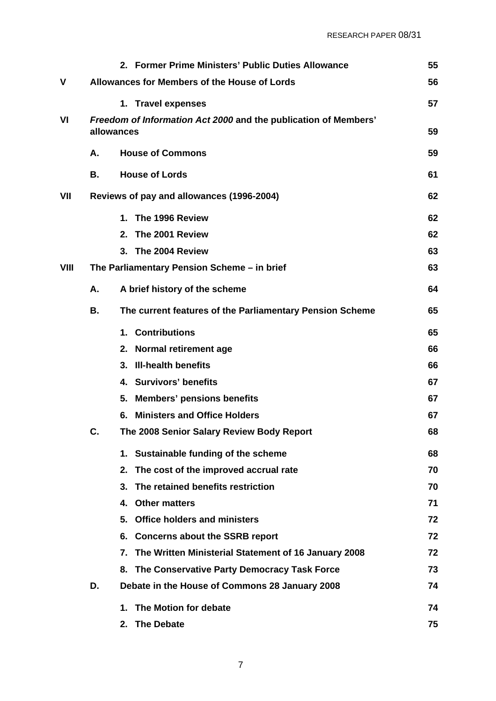|      |    | 2. Former Prime Ministers' Public Duties Allowance                            | 55 |
|------|----|-------------------------------------------------------------------------------|----|
| ٧    |    | Allowances for Members of the House of Lords                                  | 56 |
|      |    | 1. Travel expenses                                                            | 57 |
| VI   |    | Freedom of Information Act 2000 and the publication of Members'<br>allowances | 59 |
|      | Α. | <b>House of Commons</b>                                                       | 59 |
|      | В. | <b>House of Lords</b>                                                         | 61 |
| VII  |    | Reviews of pay and allowances (1996-2004)                                     | 62 |
|      |    | 1. The 1996 Review                                                            | 62 |
|      |    | 2. The 2001 Review                                                            | 62 |
|      |    | 3. The 2004 Review                                                            | 63 |
| VIII |    | The Parliamentary Pension Scheme - in brief                                   | 63 |
|      | А. | A brief history of the scheme                                                 | 64 |
|      | В. | The current features of the Parliamentary Pension Scheme                      | 65 |
|      |    | 1. Contributions                                                              | 65 |
|      |    | 2. Normal retirement age                                                      | 66 |
|      |    | 3. III-health benefits                                                        | 66 |
|      |    | 4. Survivors' benefits                                                        | 67 |
|      |    | <b>Members' pensions benefits</b><br>5.                                       | 67 |
|      |    | <b>Ministers and Office Holders</b><br>6.                                     | 67 |
|      | C. | The 2008 Senior Salary Review Body Report                                     | 68 |
|      |    | 1. Sustainable funding of the scheme                                          | 68 |
|      |    | The cost of the improved accrual rate<br>2.                                   | 70 |
|      |    | The retained benefits restriction<br>3.                                       | 70 |
|      |    | <b>Other matters</b><br>4.                                                    | 71 |
|      |    | <b>Office holders and ministers</b><br>5.                                     | 72 |
|      |    | <b>Concerns about the SSRB report</b><br>6.                                   | 72 |
|      |    | The Written Ministerial Statement of 16 January 2008<br>7.                    | 72 |
|      |    | The Conservative Party Democracy Task Force<br>8.                             | 73 |
|      | D. | Debate in the House of Commons 28 January 2008                                | 74 |
|      |    | The Motion for debate<br>1.                                                   | 74 |
|      |    | <b>The Debate</b><br>2.                                                       | 75 |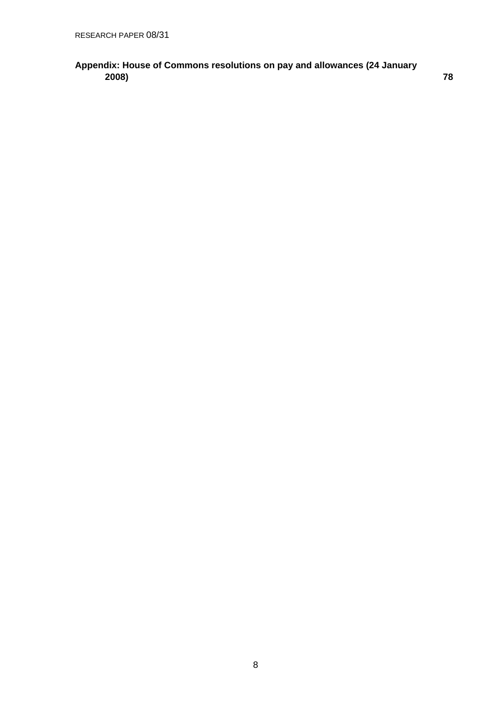### **[Appendix: House of Commons resolutions on pay and allowances \(24 January](#page-77-0)  [2008\) 78](#page-77-0)**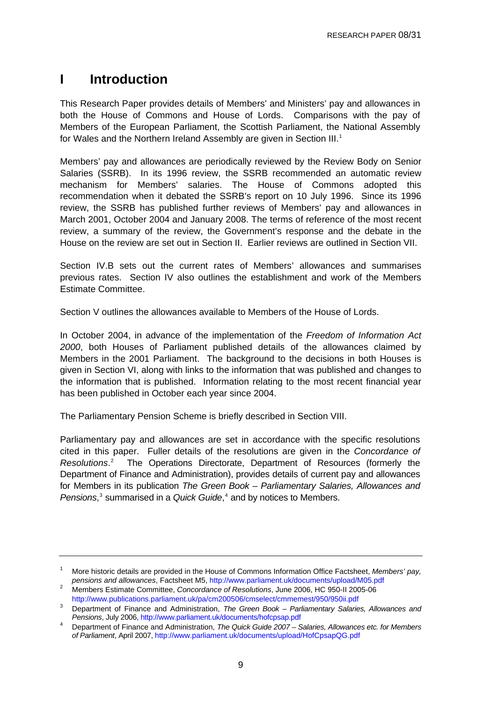# <span id="page-8-0"></span>**I Introduction**

This Research Paper provides details of Members' and Ministers' pay and allowances in both the House of Commons and House of Lords. Comparisons with the pay of Members of the European Parliament, the Scottish Parliament, the National Assembly for Wales and the Northern Ireland Assembly are given in Section III.<sup>[1](#page-8-0)</sup>

Members' pay and allowances are periodically reviewed by the Review Body on Senior Salaries (SSRB). In its 1996 review, the SSRB recommended an automatic review mechanism for Members' salaries. The House of Commons adopted this recommendation when it debated the SSRB's report on 10 July 1996. Since its 1996 review, the SSRB has published further reviews of Members' pay and allowances in March 2001, October 2004 and January 2008. The terms of reference of the most recent review, a summary of the review, the Government's response and the debate in the House on the review are set out in Section II. Earlier reviews are outlined in Section VII.

Section IV.B sets out the current rates of Members' allowances and summarises previous rates. Section IV also outlines the establishment and work of the Members Estimate Committee.

Section V outlines the allowances available to Members of the House of Lords.

In October 2004, in advance of the implementation of the *Freedom of Information Act 2000*, both Houses of Parliament published details of the allowances claimed by Members in the 2001 Parliament. The background to the decisions in both Houses is given in Section VI, along with links to the information that was published and changes to the information that is published. Information relating to the most recent financial year has been published in October each year since 2004.

The Parliamentary Pension Scheme is briefly described in Section VIII.

Parliamentary pay and allowances are set in accordance with the specific resolutions cited in this paper. Fuller details of the resolutions are given in the *Concordance of*  Resolutions.<sup>[2](#page-8-0)</sup> The Operations Directorate, Department of Resources (formerly the Department of Finance and Administration), provides details of current pay and allowances for Members in its publication *The Green Book – Parliamentary Salaries, Allowances and*  Pensions,<sup>[3](#page-8-0)</sup> summarised in a *Quick Guide*,<sup>[4](#page-8-0)</sup> and by notices to Members.

<sup>1</sup> More historic details are provided in the House of Commons Information Office Factsheet, *Members' pay, pensions and allowances*, Factsheet M5,<http://www.parliament.uk/documents/upload/M05.pdf>2

Members Estimate Committee, *Concordance of Resolutions*, June 2006, HC 950-II 2005-06 <http://www.publications.parliament.uk/pa/cm200506/cmselect/cmmemest/950/950ii.pdf> 3 Department of Finance and Administration. The Crean Back Perliamentary Selection

Department of Finance and Administration, *The Green Book – Parliamentary Salaries, Allowances and Pensions*, July 2006, <http://www.parliament.uk/documents/hofcpsap.pdf>4

Department of Finance and Administration, *The Quick Guide 2007 – Salaries, Allowances etc. for Members of Parliament*, April 2007,<http://www.parliament.uk/documents/upload/HofCpsapQG.pdf>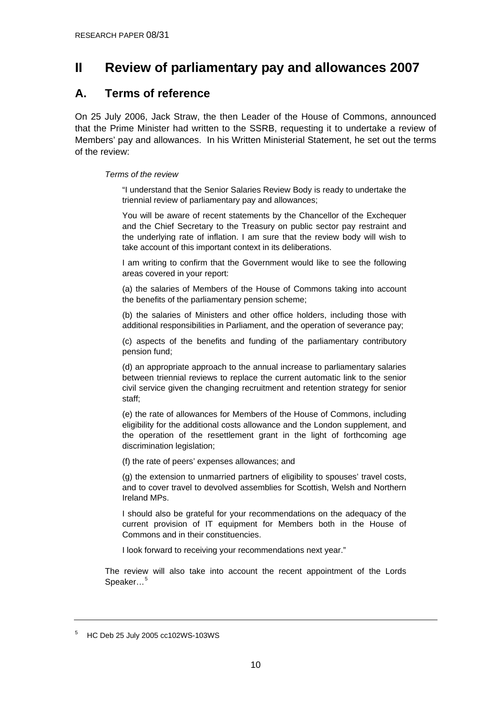# <span id="page-9-0"></span>**II Review of parliamentary pay and allowances 2007**

# **A. Terms of reference**

On 25 July 2006, Jack Straw, the then Leader of the House of Commons, announced that the Prime Minister had written to the SSRB, requesting it to undertake a review of Members' pay and allowances. In his Written Ministerial Statement, he set out the terms of the review:

#### *Terms of the review*

"I understand that the Senior Salaries Review Body is ready to undertake the triennial review of parliamentary pay and allowances;

You will be aware of recent statements by the Chancellor of the Exchequer and the Chief Secretary to the Treasury on public sector pay restraint and the underlying rate of inflation. I am sure that the review body will wish to take account of this important context in its deliberations.

I am writing to confirm that the Government would like to see the following areas covered in your report:

(a) the salaries of Members of the House of Commons taking into account the benefits of the parliamentary pension scheme;

(b) the salaries of Ministers and other office holders, including those with additional responsibilities in Parliament, and the operation of severance pay;

(c) aspects of the benefits and funding of the parliamentary contributory pension fund;

(d) an appropriate approach to the annual increase to parliamentary salaries between triennial reviews to replace the current automatic link to the senior civil service given the changing recruitment and retention strategy for senior staff;

(e) the rate of allowances for Members of the House of Commons, including eligibility for the additional costs allowance and the London supplement, and the operation of the resettlement grant in the light of forthcoming age discrimination legislation;

(f) the rate of peers' expenses allowances; and

(g) the extension to unmarried partners of eligibility to spouses' travel costs, and to cover travel to devolved assemblies for Scottish, Welsh and Northern Ireland MPs.

I should also be grateful for your recommendations on the adequacy of the current provision of IT equipment for Members both in the House of Commons and in their constituencies.

I look forward to receiving your recommendations next year."

The review will also take into account the recent appointment of the Lords Speaker...<sup>[5](#page-9-0)</sup>

 $5$  HC Deb 25 July 2005 cc102WS-103WS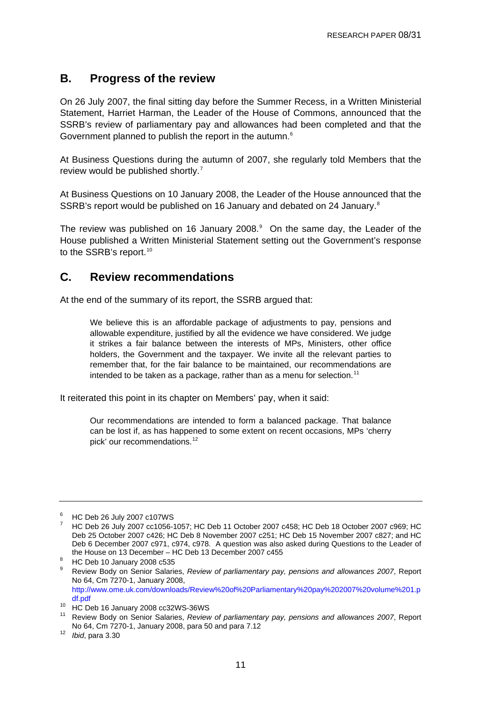# <span id="page-10-0"></span>**B. Progress of the review**

On 26 July 2007, the final sitting day before the Summer Recess, in a Written Ministerial Statement, Harriet Harman, the Leader of the House of Commons, announced that the SSRB's review of parliamentary pay and allowances had been completed and that the Government planned to publish the report in the autumn.<sup>[6](#page-10-0)</sup>

At Business Questions during the autumn of 2007, she regularly told Members that the review would be published shortly.<sup>[7](#page-10-0)</sup>

At Business Questions on 10 January 2008, the Leader of the House announced that the SSRB's report would be published on 16 January and debated on 24 January.<sup>[8](#page-10-0)</sup>

The review was published on 16 January 2008. $9$  On the same day, the Leader of the House published a Written Ministerial Statement setting out the Government's response to the SSRB's report.<sup>[10](#page-10-0)</sup>

# **C. Review recommendations**

At the end of the summary of its report, the SSRB argued that:

We believe this is an affordable package of adjustments to pay, pensions and allowable expenditure, justified by all the evidence we have considered. We judge it strikes a fair balance between the interests of MPs, Ministers, other office holders, the Government and the taxpayer. We invite all the relevant parties to remember that, for the fair balance to be maintained, our recommendations are intended to be taken as a package, rather than as a menu for selection.<sup>[11](#page-10-0)</sup>

It reiterated this point in its chapter on Members' pay, when it said:

Our recommendations are intended to form a balanced package. That balance can be lost if, as has happened to some extent on recent occasions, MPs 'cherry pick' our recommendations.<sup>[12](#page-10-0)</sup>

 $6$  HC Deb 26 July 2007 c107WS

<sup>7</sup> HC Deb 26 July 2007 cc1056-1057; HC Deb 11 October 2007 c458; HC Deb 18 October 2007 c969; HC Deb 25 October 2007 c426; HC Deb 8 November 2007 c251; HC Deb 15 November 2007 c827; and HC Deb 6 December 2007 c971, c974, c978. A question was also asked during Questions to the Leader of the House on 13 December - HC Deb 13 December 2007 c455

<sup>&</sup>lt;sup>8</sup> HC Deb 10 January 2008 c535

<sup>9</sup> Review Body on Senior Salaries, *Review of parliamentary pay, pensions and allowances 2007*, Report No 64, Cm 7270-1, January 2008, [http://www.ome.uk.com/downloads/Review%20of%20Parliamentary%20pay%202007%20volume%201.p](http://www.ome.uk.com/downloads/Review%20of%20Parliamentary%20pay%202007%20volume%201.pdf.pdf)

df.pdf<br><sup>10</sup> HC Deb 16 January 2008 cc32WS-36WS

<sup>11</sup> Review Body on Senior Salaries, *Review of parliamentary pay, pensions and allowances 2007*, Report No 64, Cm 7270-1, January 2008, para 50 and para 7.12 12 *Ibid*, para 3.30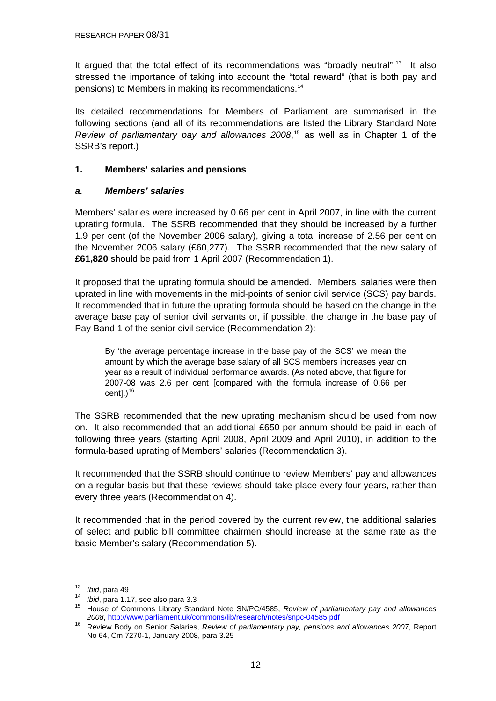<span id="page-11-0"></span>It argued that the total effect of its recommendations was "broadly neutral".<sup>[13](#page-11-0)</sup> It also stressed the importance of taking into account the "total reward" (that is both pay and pensions) to Members in making its recommendations.[14](#page-11-0)

Its detailed recommendations for Members of Parliament are summarised in the following sections (and all of its recommendations are listed the Library Standard Note *Review of parliamentary pay and allowances 2008*, [15](#page-11-0) as well as in Chapter 1 of the SSRB's report.)

#### **1. Members' salaries and pensions**

#### *a. Members' salaries*

Members' salaries were increased by 0.66 per cent in April 2007, in line with the current uprating formula. The SSRB recommended that they should be increased by a further 1.9 per cent (of the November 2006 salary), giving a total increase of 2.56 per cent on the November 2006 salary (£60,277). The SSRB recommended that the new salary of **£61,820** should be paid from 1 April 2007 (Recommendation 1).

It proposed that the uprating formula should be amended. Members' salaries were then uprated in line with movements in the mid-points of senior civil service (SCS) pay bands. It recommended that in future the uprating formula should be based on the change in the average base pay of senior civil servants or, if possible, the change in the base pay of Pay Band 1 of the senior civil service (Recommendation 2):

By 'the average percentage increase in the base pay of the SCS' we mean the amount by which the average base salary of all SCS members increases year on year as a result of individual performance awards. (As noted above, that figure for 2007-08 was 2.6 per cent [compared with the formula increase of 0.66 per cent]. $)^{16}$  $)^{16}$  $)^{16}$ 

The SSRB recommended that the new uprating mechanism should be used from now on. It also recommended that an additional £650 per annum should be paid in each of following three years (starting April 2008, April 2009 and April 2010), in addition to the formula-based uprating of Members' salaries (Recommendation 3).

It recommended that the SSRB should continue to review Members' pay and allowances on a regular basis but that these reviews should take place every four years, rather than every three years (Recommendation 4).

It recommended that in the period covered by the current review, the additional salaries of select and public bill committee chairmen should increase at the same rate as the basic Member's salary (Recommendation 5).

<sup>&</sup>lt;sup>13</sup> *Ibid*, para 49<br><sup>14</sup> *Ibid*, para 1.17, see also para 3.3<br><sup>15</sup> House of Commons Library Standard Note SN/PC/4585, *Review of parliamentary pay and allowances <sup>2008</sup>*,<http://www.parliament.uk/commons/lib/research/notes/snpc-04585.pdf>16 Review Body on Senior Salaries, *Review of parliamentary pay, pensions and allowances 2007*, Report

No 64, Cm 7270-1, January 2008, para 3.25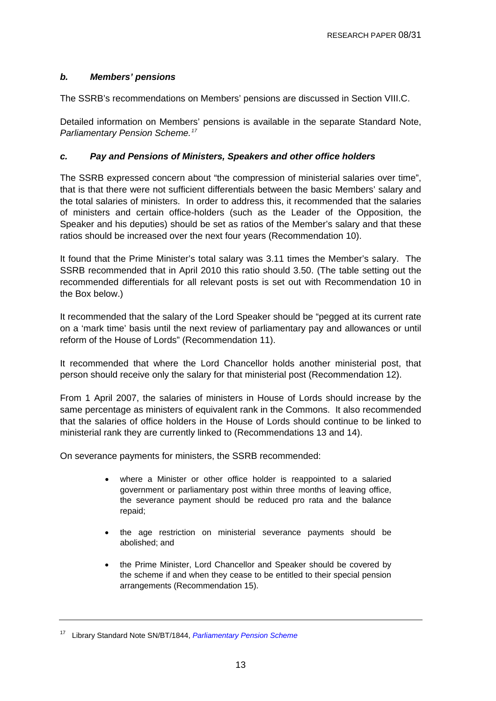#### <span id="page-12-0"></span>*b. Members' pensions*

The SSRB's recommendations on Members' pensions are discussed in Section VIII.C.

Detailed information on Members' pensions is available in the separate Standard Note, *Parliamentary Pension Scheme.[17](#page-12-0)*

#### *c. Pay and Pensions of Ministers, Speakers and other office holders*

The SSRB expressed concern about "the compression of ministerial salaries over time", that is that there were not sufficient differentials between the basic Members' salary and the total salaries of ministers. In order to address this, it recommended that the salaries of ministers and certain office-holders (such as the Leader of the Opposition, the Speaker and his deputies) should be set as ratios of the Member's salary and that these ratios should be increased over the next four years (Recommendation 10).

It found that the Prime Minister's total salary was 3.11 times the Member's salary. The SSRB recommended that in April 2010 this ratio should 3.50. (The table setting out the recommended differentials for all relevant posts is set out with Recommendation 10 in the Box below.)

It recommended that the salary of the Lord Speaker should be "pegged at its current rate on a 'mark time' basis until the next review of parliamentary pay and allowances or until reform of the House of Lords" (Recommendation 11).

It recommended that where the Lord Chancellor holds another ministerial post, that person should receive only the salary for that ministerial post (Recommendation 12).

From 1 April 2007, the salaries of ministers in House of Lords should increase by the same percentage as ministers of equivalent rank in the Commons. It also recommended that the salaries of office holders in the House of Lords should continue to be linked to ministerial rank they are currently linked to (Recommendations 13 and 14).

On severance payments for ministers, the SSRB recommended:

- where a Minister or other office holder is reappointed to a salaried government or parliamentary post within three months of leaving office, the severance payment should be reduced pro rata and the balance repaid;
- the age restriction on ministerial severance payments should be abolished; and
- the Prime Minister, Lord Chancellor and Speaker should be covered by the scheme if and when they cease to be entitled to their special pension arrangements (Recommendation 15).

<sup>17</sup> Library Standard Note SN/BT/1844, *[Parliamentary Pension Scheme](http://pims.parliament.uk:81/PIMS/Static%20Files/Extended%20File%20Scan%20Files/LIBRARY_OTHER_PAPERS/STANDARD_NOTE/snbt-01844.pdf)*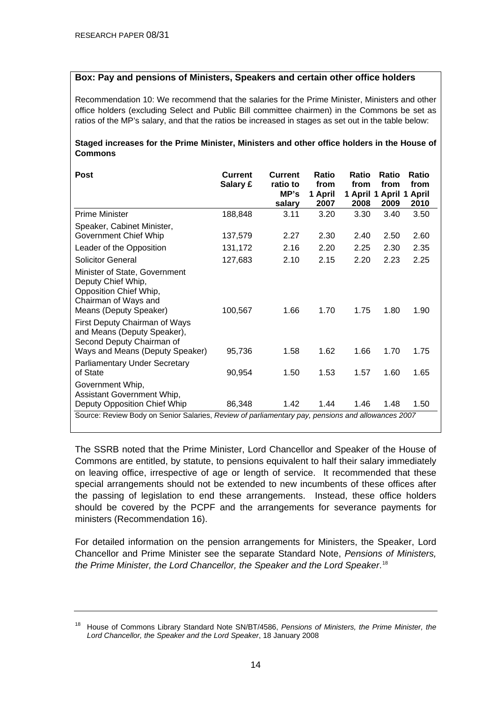#### <span id="page-13-0"></span>**Box: Pay and pensions of Ministers, Speakers and certain other office holders**

Recommendation 10: We recommend that the salaries for the Prime Minister, Ministers and other office holders (excluding Select and Public Bill committee chairmen) in the Commons be set as ratios of the MP's salary, and that the ratios be increased in stages as set out in the table below:

#### **Staged increases for the Prime Minister, Ministers and other office holders in the House of Commons**

| Post                                                                                                                                                                                                                                                            | Current<br>Salary £ | <b>Current</b><br>ratio to<br>MP's<br>salary | Ratio<br>from<br>1 April<br>2007 | Ratio<br>from<br>1 April 1 April 1 April<br>2008 | Ratio<br>from<br>2009 | Ratio<br>from<br>2010 |
|-----------------------------------------------------------------------------------------------------------------------------------------------------------------------------------------------------------------------------------------------------------------|---------------------|----------------------------------------------|----------------------------------|--------------------------------------------------|-----------------------|-----------------------|
| <b>Prime Minister</b>                                                                                                                                                                                                                                           | 188,848             | 3.11                                         | 3.20                             | 3.30                                             | 3.40                  | 3.50                  |
| Speaker, Cabinet Minister,<br>Government Chief Whip                                                                                                                                                                                                             | 137,579             | 2.27                                         | 2.30                             | 2.40                                             | 2.50                  | 2.60                  |
| Leader of the Opposition                                                                                                                                                                                                                                        | 131,172             | 2.16                                         | 2.20                             | 2.25                                             | 2.30                  | 2.35                  |
| <b>Solicitor General</b>                                                                                                                                                                                                                                        | 127,683             | 2.10                                         | 2.15                             | 2.20                                             | 2.23                  | 2.25                  |
| Minister of State, Government<br>Deputy Chief Whip,<br>Opposition Chief Whip,<br>Chairman of Ways and<br>Means (Deputy Speaker)<br>First Deputy Chairman of Ways<br>and Means (Deputy Speaker),<br>Second Deputy Chairman of<br>Ways and Means (Deputy Speaker) | 100,567<br>95,736   | 1.66<br>1.58                                 | 1.70<br>1.62                     | 1.75<br>1.66                                     | 1.80<br>1.70          | 1.90<br>1.75          |
|                                                                                                                                                                                                                                                                 |                     |                                              |                                  |                                                  |                       |                       |
| <b>Parliamentary Under Secretary</b><br>of State                                                                                                                                                                                                                | 90,954              | 1.50                                         | 1.53                             | 1.57                                             | 1.60                  | 1.65                  |
| Government Whip,<br>Assistant Government Whip,<br>Deputy Opposition Chief Whip                                                                                                                                                                                  | 86,348              | 1.42                                         | 1.44                             | 1.46                                             | 1.48                  | 1.50                  |
| Source: Review Body on Senior Salaries, Review of parliamentary pay, pensions and allowances 2007                                                                                                                                                               |                     |                                              |                                  |                                                  |                       |                       |

The SSRB noted that the Prime Minister, Lord Chancellor and Speaker of the House of Commons are entitled, by statute, to pensions equivalent to half their salary immediately on leaving office, irrespective of age or length of service. It recommended that these special arrangements should not be extended to new incumbents of these offices after the passing of legislation to end these arrangements. Instead, these office holders should be covered by the PCPF and the arrangements for severance payments for ministers (Recommendation 16).

For detailed information on the pension arrangements for Ministers, the Speaker, Lord Chancellor and Prime Minister see the separate Standard Note, *Pensions of Ministers, the Prime Minister, the Lord Chancellor, the Speaker and the Lord Speaker*. [18](#page-13-0)

<sup>18</sup> House of Commons Library Standard Note SN/BT/4586, *Pensions of Ministers, the Prime Minister, the Lord Chancellor, the Speaker and the Lord Speaker*, 18 January 2008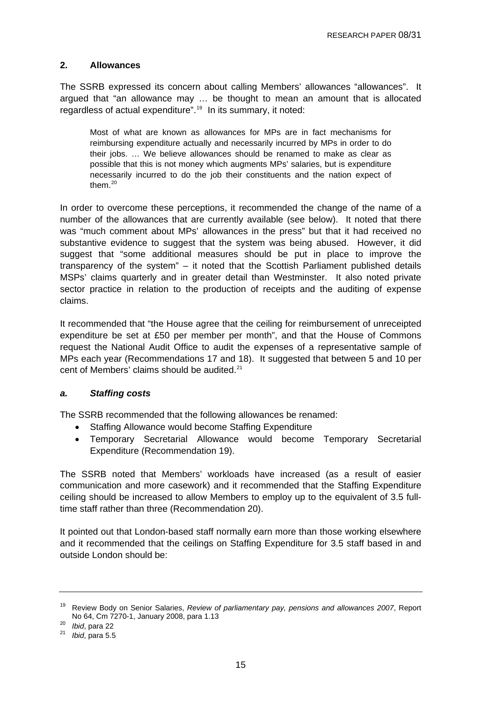#### <span id="page-14-0"></span>**2. Allowances**

The SSRB expressed its concern about calling Members' allowances "allowances". It argued that "an allowance may … be thought to mean an amount that is allocated regardless of actual expenditure".<sup>[19](#page-14-0)</sup> In its summary, it noted:

Most of what are known as allowances for MPs are in fact mechanisms for reimbursing expenditure actually and necessarily incurred by MPs in order to do their jobs. … We believe allowances should be renamed to make as clear as possible that this is not money which augments MPs' salaries, but is expenditure necessarily incurred to do the job their constituents and the nation expect of them. $20$ 

In order to overcome these perceptions, it recommended the change of the name of a number of the allowances that are currently available (see below). It noted that there was "much comment about MPs' allowances in the press" but that it had received no substantive evidence to suggest that the system was being abused. However, it did suggest that "some additional measures should be put in place to improve the transparency of the system" – it noted that the Scottish Parliament published details MSPs' claims quarterly and in greater detail than Westminster. It also noted private sector practice in relation to the production of receipts and the auditing of expense claims.

It recommended that "the House agree that the ceiling for reimbursement of unreceipted expenditure be set at £50 per member per month", and that the House of Commons request the National Audit Office to audit the expenses of a representative sample of MPs each year (Recommendations 17 and 18). It suggested that between 5 and 10 per cent of Members' claims should be audited.<sup>[21](#page-14-0)</sup>

#### *a. Staffing costs*

The SSRB recommended that the following allowances be renamed:

- Staffing Allowance would become Staffing Expenditure
- Temporary Secretarial Allowance would become Temporary Secretarial Expenditure (Recommendation 19).

The SSRB noted that Members' workloads have increased (as a result of easier communication and more casework) and it recommended that the Staffing Expenditure ceiling should be increased to allow Members to employ up to the equivalent of 3.5 fulltime staff rather than three (Recommendation 20).

It pointed out that London-based staff normally earn more than those working elsewhere and it recommended that the ceilings on Staffing Expenditure for 3.5 staff based in and outside London should be:

<sup>19</sup> Review Body on Senior Salaries, *Review of parliamentary pay, pensions and allowances 2007*, Report No 64, Cm 7270-1, January 2008, para 1.13 20 *Ibid*, para 22 21 *Ibid*, para 5.5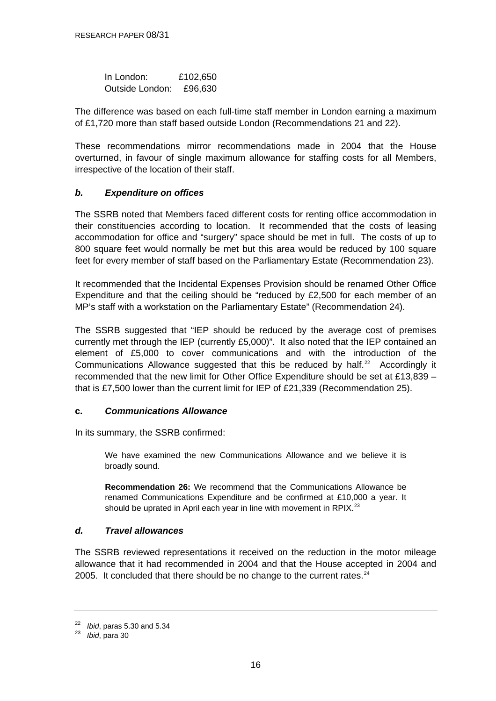<span id="page-15-0"></span>

| In London:      | £102,650 |
|-----------------|----------|
| Outside London: | £96,630  |

The difference was based on each full-time staff member in London earning a maximum of £1,720 more than staff based outside London (Recommendations 21 and 22).

These recommendations mirror recommendations made in 2004 that the House overturned, in favour of single maximum allowance for staffing costs for all Members, irrespective of the location of their staff.

#### *b. Expenditure on offices*

The SSRB noted that Members faced different costs for renting office accommodation in their constituencies according to location. It recommended that the costs of leasing accommodation for office and "surgery" space should be met in full. The costs of up to 800 square feet would normally be met but this area would be reduced by 100 square feet for every member of staff based on the Parliamentary Estate (Recommendation 23).

It recommended that the Incidental Expenses Provision should be renamed Other Office Expenditure and that the ceiling should be "reduced by £2,500 for each member of an MP's staff with a workstation on the Parliamentary Estate" (Recommendation 24).

The SSRB suggested that "IEP should be reduced by the average cost of premises currently met through the IEP (currently £5,000)". It also noted that the IEP contained an element of £5,000 to cover communications and with the introduction of the Communications Allowance suggested that this be reduced by half.<sup>[22](#page-15-0)</sup> Accordingly it recommended that the new limit for Other Office Expenditure should be set at £13,839 – that is £7,500 lower than the current limit for IEP of £21,339 (Recommendation 25).

#### **c.** *Communications Allowance*

In its summary, the SSRB confirmed:

We have examined the new Communications Allowance and we believe it is broadly sound.

**Recommendation 26:** We recommend that the Communications Allowance be renamed Communications Expenditure and be confirmed at £10,000 a year. It should be uprated in April each year in line with movement in RPIX.<sup>[23](#page-15-0)</sup>

#### *d. Travel allowances*

The SSRB reviewed representations it received on the reduction in the motor mileage allowance that it had recommended in 2004 and that the House accepted in 2004 and 2005. It concluded that there should be no change to the current rates. $24$ 

<sup>22</sup>*Ibid*, paras 5.30 and 5.34 23 *Ibid*, para 30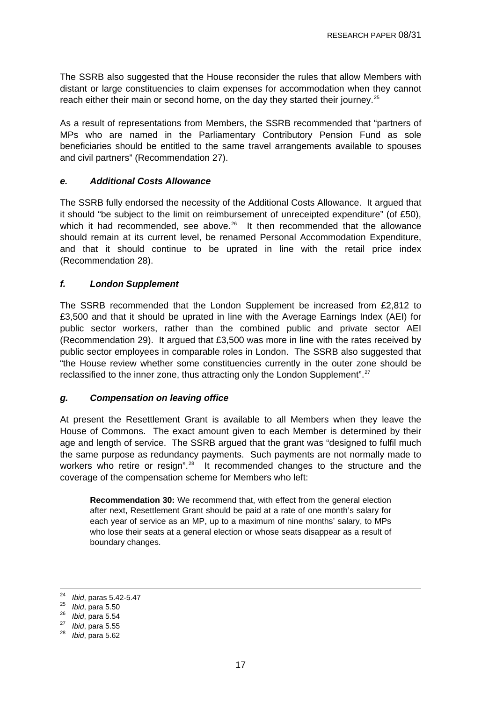<span id="page-16-0"></span>The SSRB also suggested that the House reconsider the rules that allow Members with distant or large constituencies to claim expenses for accommodation when they cannot reach either their main or second home, on the day they started their journey.<sup>[25](#page-16-0)</sup>

As a result of representations from Members, the SSRB recommended that "partners of MPs who are named in the Parliamentary Contributory Pension Fund as sole beneficiaries should be entitled to the same travel arrangements available to spouses and civil partners" (Recommendation 27).

#### *e. Additional Costs Allowance*

The SSRB fully endorsed the necessity of the Additional Costs Allowance. It argued that it should "be subject to the limit on reimbursement of unreceipted expenditure" (of £50), which it had recommended, see above. $26$  It then recommended that the allowance should remain at its current level, be renamed Personal Accommodation Expenditure, and that it should continue to be uprated in line with the retail price index (Recommendation 28).

#### *f. London Supplement*

The SSRB recommended that the London Supplement be increased from £2,812 to £3,500 and that it should be uprated in line with the Average Earnings Index (AEI) for public sector workers, rather than the combined public and private sector AEI (Recommendation 29). It argued that £3,500 was more in line with the rates received by public sector employees in comparable roles in London. The SSRB also suggested that "the House review whether some constituencies currently in the outer zone should be reclassified to the inner zone, thus attracting only the London Supplement".<sup>[27](#page-16-0)</sup>

#### *g. Compensation on leaving office*

At present the Resettlement Grant is available to all Members when they leave the House of Commons. The exact amount given to each Member is determined by their age and length of service. The SSRB argued that the grant was "designed to fulfil much the same purpose as redundancy payments. Such payments are not normally made to workers who retire or resign".<sup>[28](#page-16-0)</sup> It recommended changes to the structure and the coverage of the compensation scheme for Members who left:

**Recommendation 30:** We recommend that, with effect from the general election after next, Resettlement Grant should be paid at a rate of one month's salary for each year of service as an MP, up to a maximum of nine months' salary, to MPs who lose their seats at a general election or whose seats disappear as a result of boundary changes.

 $24$ <sup>24</sup>*Ibid*, paras 5.42-5.47 25 *Ibid*, para 5.50 26 *Ibid*, para 5.54 27 *Ibid*, para 5.55 28 *Ibid*, para 5.62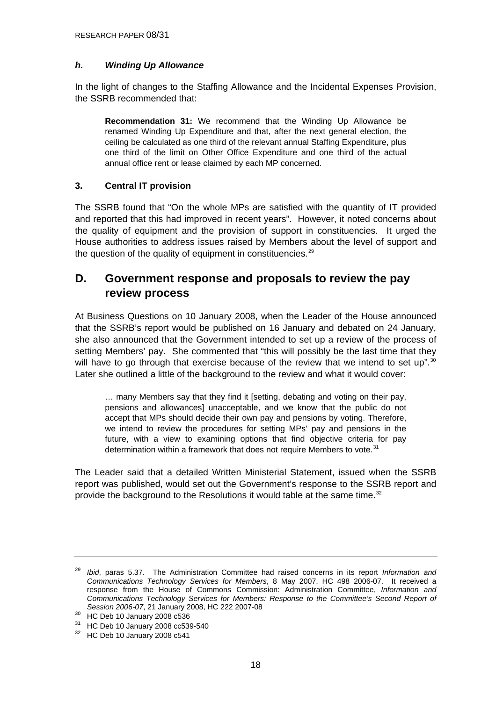#### <span id="page-17-0"></span>*h. Winding Up Allowance*

In the light of changes to the Staffing Allowance and the Incidental Expenses Provision, the SSRB recommended that:

**Recommendation 31:** We recommend that the Winding Up Allowance be renamed Winding Up Expenditure and that, after the next general election, the ceiling be calculated as one third of the relevant annual Staffing Expenditure, plus one third of the limit on Other Office Expenditure and one third of the actual annual office rent or lease claimed by each MP concerned.

#### **3. Central IT provision**

The SSRB found that "On the whole MPs are satisfied with the quantity of IT provided and reported that this had improved in recent years". However, it noted concerns about the quality of equipment and the provision of support in constituencies. It urged the House authorities to address issues raised by Members about the level of support and the question of the quality of equipment in constituencies.<sup>[29](#page-17-0)</sup>

# **D. Government response and proposals to review the pay review process**

At Business Questions on 10 January 2008, when the Leader of the House announced that the SSRB's report would be published on 16 January and debated on 24 January, she also announced that the Government intended to set up a review of the process of setting Members' pay. She commented that "this will possibly be the last time that they will have to go through that exercise because of the review that we intend to set up".<sup>[30](#page-17-0)</sup> Later she outlined a little of the background to the review and what it would cover:

… many Members say that they find it [setting, debating and voting on their pay, pensions and allowances] unacceptable, and we know that the public do not accept that MPs should decide their own pay and pensions by voting. Therefore, we intend to review the procedures for setting MPs' pay and pensions in the future, with a view to examining options that find objective criteria for pay determination within a framework that does not require Members to vote.<sup>[31](#page-17-0)</sup>

The Leader said that a detailed Written Ministerial Statement, issued when the SSRB report was published, would set out the Government's response to the SSRB report and provide the background to the Resolutions it would table at the same time.<sup>[32](#page-17-0)</sup>

<sup>29</sup> *Ibid*, paras 5.37. The Administration Committee had raised concerns in its report *Information and Communications Technology Services for Members*, 8 May 2007, HC 498 2006-07. It received a response from the House of Commons Commission: Administration Committee, *Information and Communications Technology Services for Members: Response to the Committee's Second Report of* 

*Session 2006-07*, 21 January 2008, HC 222 2007-08 30 HC Deb 10 January 2008 c536

<sup>31</sup> HC Deb 10 January 2008 cc539-540

 $32$  HC Deb 10 January 2008 c541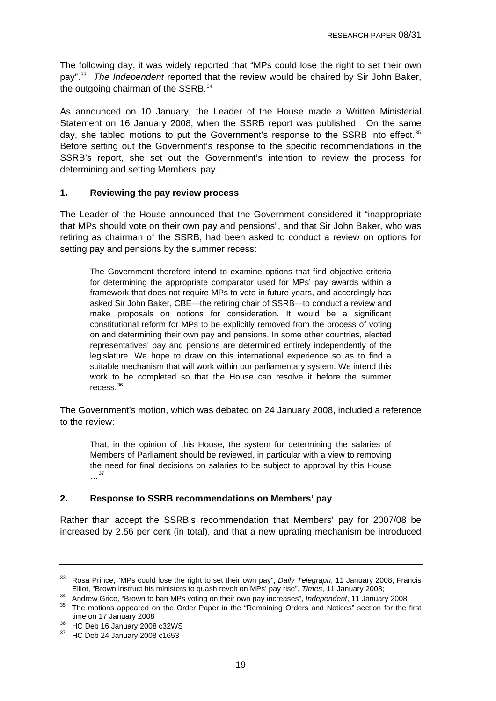<span id="page-18-0"></span>The following day, it was widely reported that "MPs could lose the right to set their own pay".[33](#page-18-0) *The Independent* reported that the review would be chaired by Sir John Baker, the outgoing chairman of the SSRB.<sup>[34](#page-18-0)</sup>

As announced on 10 January, the Leader of the House made a Written Ministerial Statement on 16 January 2008, when the SSRB report was published. On the same day, she tabled motions to put the Government's response to the SSRB into effect.<sup>[35](#page-18-0)</sup> Before setting out the Government's response to the specific recommendations in the SSRB's report, she set out the Government's intention to review the process for determining and setting Members' pay.

#### **1. Reviewing the pay review process**

The Leader of the House announced that the Government considered it "inappropriate that MPs should vote on their own pay and pensions", and that Sir John Baker, who was retiring as chairman of the SSRB, had been asked to conduct a review on options for setting pay and pensions by the summer recess:

The Government therefore intend to examine options that find objective criteria for determining the appropriate comparator used for MPs' pay awards within a framework that does not require MPs to vote in future years, and accordingly has asked Sir John Baker, CBE—the retiring chair of SSRB—to conduct a review and make proposals on options for consideration. It would be a significant constitutional reform for MPs to be explicitly removed from the process of voting on and determining their own pay and pensions. In some other countries, elected representatives' pay and pensions are determined entirely independently of the legislature. We hope to draw on this international experience so as to find a suitable mechanism that will work within our parliamentary system. We intend this work to be completed so that the House can resolve it before the summer recess.[36](#page-18-0)

The Government's motion, which was debated on 24 January 2008, included a reference to the review:

That, in the opinion of this House, the system for determining the salaries of Members of Parliament should be reviewed, in particular with a view to removing the need for final decisions on salaries to be subject to approval by this House …[37](#page-18-0)

#### **2. Response to SSRB recommendations on Members' pay**

Rather than accept the SSRB's recommendation that Members' pay for 2007/08 be increased by 2.56 per cent (in total), and that a new uprating mechanism be introduced

<sup>33</sup> Rosa Prince, "MPs could lose the right to set their own pay", *Daily Telegraph*, 11 January 2008; Francis

Elliot, "Brown instruct his ministers to quash revolt on MPs' pay rise", Times, 11 January 2008;<br>Andrew Grice, "Brown to ban MPs voting on their own pay increases", Independent, 11 January 2008<br><sup>35</sup> The motions appeared on

time on 17 January 2008<br><sup>36</sup> HC Deb 16 January 2008 c32WS

<sup>37</sup> HC Deb 24 January 2008 c1653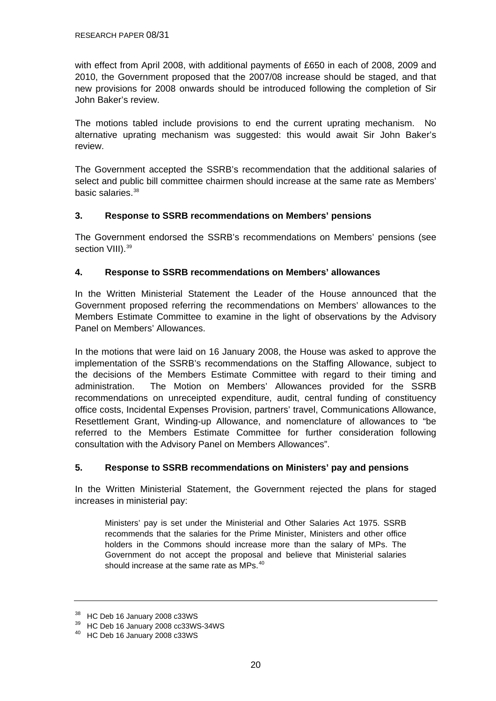<span id="page-19-0"></span>with effect from April 2008, with additional payments of £650 in each of 2008, 2009 and 2010, the Government proposed that the 2007/08 increase should be staged, and that new provisions for 2008 onwards should be introduced following the completion of Sir John Baker's review.

The motions tabled include provisions to end the current uprating mechanism. No alternative uprating mechanism was suggested: this would await Sir John Baker's review.

The Government accepted the SSRB's recommendation that the additional salaries of select and public bill committee chairmen should increase at the same rate as Members' basic salaries.<sup>[38](#page-19-0)</sup>

#### **3. Response to SSRB recommendations on Members' pensions**

The Government endorsed the SSRB's recommendations on Members' pensions (see section VIII).<sup>[39](#page-19-0)</sup>

#### **4. Response to SSRB recommendations on Members' allowances**

In the Written Ministerial Statement the Leader of the House announced that the Government proposed referring the recommendations on Members' allowances to the Members Estimate Committee to examine in the light of observations by the Advisory Panel on Members' Allowances.

In the motions that were laid on 16 January 2008, the House was asked to approve the implementation of the SSRB's recommendations on the Staffing Allowance, subject to the decisions of the Members Estimate Committee with regard to their timing and administration. The Motion on Members' Allowances provided for the SSRB recommendations on unreceipted expenditure, audit, central funding of constituency office costs, Incidental Expenses Provision, partners' travel, Communications Allowance, Resettlement Grant, Winding-up Allowance, and nomenclature of allowances to "be referred to the Members Estimate Committee for further consideration following consultation with the Advisory Panel on Members Allowances".

#### **5. Response to SSRB recommendations on Ministers' pay and pensions**

In the Written Ministerial Statement, the Government rejected the plans for staged increases in ministerial pay:

Ministers' pay is set under the Ministerial and Other Salaries Act 1975. SSRB recommends that the salaries for the Prime Minister, Ministers and other office holders in the Commons should increase more than the salary of MPs. The Government do not accept the proposal and believe that Ministerial salaries should increase at the same rate as MPs.<sup>[40](#page-19-0)</sup>

<sup>38</sup> HC Deb 16 January 2008 c33WS

<sup>39</sup> HC Deb 16 January 2008 cc33WS-34WS

<sup>40</sup> HC Deb 16 January 2008 c33WS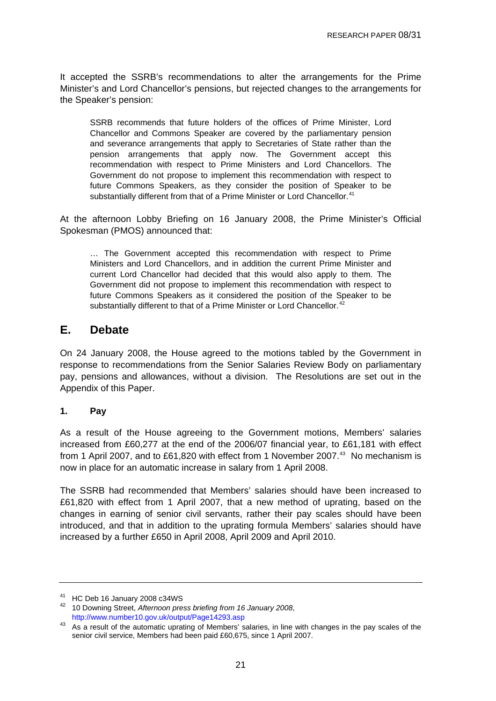<span id="page-20-0"></span>It accepted the SSRB's recommendations to alter the arrangements for the Prime Minister's and Lord Chancellor's pensions, but rejected changes to the arrangements for the Speaker's pension:

SSRB recommends that future holders of the offices of Prime Minister, Lord Chancellor and Commons Speaker are covered by the parliamentary pension and severance arrangements that apply to Secretaries of State rather than the pension arrangements that apply now. The Government accept this recommendation with respect to Prime Ministers and Lord Chancellors. The Government do not propose to implement this recommendation with respect to future Commons Speakers, as they consider the position of Speaker to be substantially different from that of a Prime Minister or Lord Chancellor.<sup>[41](#page-20-0)</sup>

At the afternoon Lobby Briefing on 16 January 2008, the Prime Minister's Official Spokesman (PMOS) announced that:

… The Government accepted this recommendation with respect to Prime Ministers and Lord Chancellors, and in addition the current Prime Minister and current Lord Chancellor had decided that this would also apply to them. The Government did not propose to implement this recommendation with respect to future Commons Speakers as it considered the position of the Speaker to be substantially different to that of a Prime Minister or Lord Chancellor.<sup>[42](#page-20-0)</sup>

### **E. Debate**

On 24 January 2008, the House agreed to the motions tabled by the Government in response to recommendations from the Senior Salaries Review Body on parliamentary pay, pensions and allowances, without a division. The Resolutions are set out in the Appendix of this Paper.

#### **1. Pay**

As a result of the House agreeing to the Government motions, Members' salaries increased from £60,277 at the end of the 2006/07 financial year, to £61,181 with effect from 1 April 2007, and to £61,820 with effect from 1 November 2007.<sup>[43](#page-20-0)</sup> No mechanism is now in place for an automatic increase in salary from 1 April 2008.

The SSRB had recommended that Members' salaries should have been increased to £61,820 with effect from 1 April 2007, that a new method of uprating, based on the changes in earning of senior civil servants, rather their pay scales should have been introduced, and that in addition to the uprating formula Members' salaries should have increased by a further £650 in April 2008, April 2009 and April 2010.

<sup>41</sup> HC Deb 16 January 2008 c34WS

<sup>42 10</sup> Downing Street, *Afternoon press briefing from 16 January 2008*,

http://www.number10.gov.uk/output/Page14293.asp<br>43 As a result of the automatic uprating of Members' salaries, in line with changes in the pay scales of the senior civil service, Members had been paid £60,675, since 1 April 2007.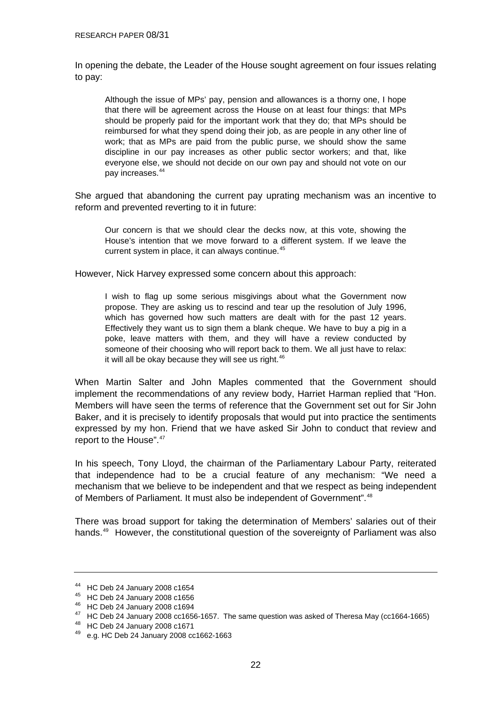<span id="page-21-0"></span>In opening the debate, the Leader of the House sought agreement on four issues relating to pay:

Although the issue of MPs' pay, pension and allowances is a thorny one, I hope that there will be agreement across the House on at least four things: that MPs should be properly paid for the important work that they do; that MPs should be reimbursed for what they spend doing their job, as are people in any other line of work; that as MPs are paid from the public purse, we should show the same discipline in our pay increases as other public sector workers; and that, like everyone else, we should not decide on our own pay and should not vote on our pay increases.[44](#page-21-0)

She argued that abandoning the current pay uprating mechanism was an incentive to reform and prevented reverting to it in future:

Our concern is that we should clear the decks now, at this vote, showing the House's intention that we move forward to a different system. If we leave the current system in place, it can always continue.<sup>[45](#page-21-0)</sup>

However, Nick Harvey expressed some concern about this approach:

I wish to flag up some serious misgivings about what the Government now propose. They are asking us to rescind and tear up the resolution of July 1996, which has governed how such matters are dealt with for the past 12 years. Effectively they want us to sign them a blank cheque. We have to buy a pig in a poke, leave matters with them, and they will have a review conducted by someone of their choosing who will report back to them. We all just have to relax: it will all be okay because they will see us right. $46$ 

When Martin Salter and John Maples commented that the Government should implement the recommendations of any review body, Harriet Harman replied that "Hon. Members will have seen the terms of reference that the Government set out for Sir John Baker, and it is precisely to identify proposals that would put into practice the sentiments expressed by my hon. Friend that we have asked Sir John to conduct that review and report to the House".<sup>[47](#page-21-0)</sup>

In his speech, Tony Lloyd, the chairman of the Parliamentary Labour Party, reiterated that independence had to be a crucial feature of any mechanism: "We need a mechanism that we believe to be independent and that we respect as being independent of Members of Parliament. It must also be independent of Government".[48](#page-21-0)

There was broad support for taking the determination of Members' salaries out of their hands.<sup>[49](#page-21-0)</sup> However, the constitutional question of the sovereignty of Parliament was also

<sup>44</sup> HC Deb 24 January 2008 c1654

<sup>45</sup> HC Deb 24 January 2008 c1656

<sup>46</sup> HC Deb 24 January 2008 c1694

<sup>&</sup>lt;sup>47</sup> HC Deb 24 January 2008 cc1656-1657. The same question was asked of Theresa May (cc1664-1665)

<sup>48</sup> HC Deb 24 January 2008 c1671

<sup>49</sup> e.g. HC Deb 24 January 2008 cc1662-1663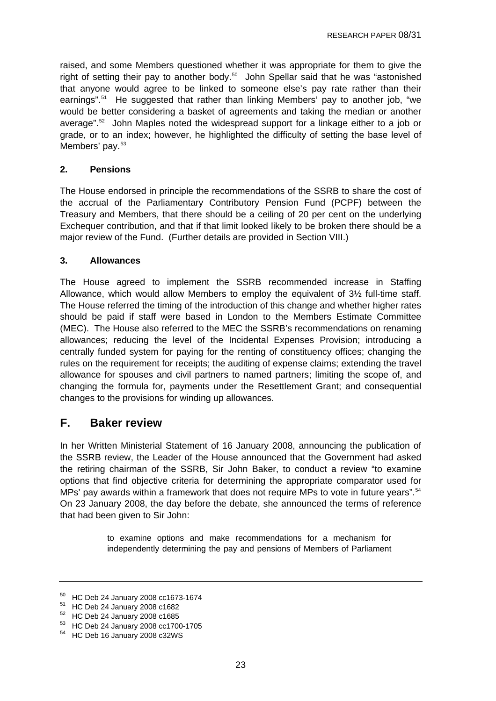<span id="page-22-0"></span>raised, and some Members questioned whether it was appropriate for them to give the right of setting their pay to another body.<sup>[50](#page-22-0)</sup> John Spellar said that he was "astonished that anyone would agree to be linked to someone else's pay rate rather than their earnings".[51](#page-22-0) He suggested that rather than linking Members' pay to another job, "we would be better considering a basket of agreements and taking the median or another average".[52](#page-22-0) John Maples noted the widespread support for a linkage either to a job or grade, or to an index; however, he highlighted the difficulty of setting the base level of Members' pay.<sup>[53](#page-22-0)</sup>

#### **2. Pensions**

The House endorsed in principle the recommendations of the SSRB to share the cost of the accrual of the Parliamentary Contributory Pension Fund (PCPF) between the Treasury and Members, that there should be a ceiling of 20 per cent on the underlying Exchequer contribution, and that if that limit looked likely to be broken there should be a major review of the Fund. (Further details are provided in Section VIII.)

#### **3. Allowances**

The House agreed to implement the SSRB recommended increase in Staffing Allowance, which would allow Members to employ the equivalent of 3½ full-time staff. The House referred the timing of the introduction of this change and whether higher rates should be paid if staff were based in London to the Members Estimate Committee (MEC). The House also referred to the MEC the SSRB's recommendations on renaming allowances; reducing the level of the Incidental Expenses Provision; introducing a centrally funded system for paying for the renting of constituency offices; changing the rules on the requirement for receipts; the auditing of expense claims; extending the travel allowance for spouses and civil partners to named partners; limiting the scope of, and changing the formula for, payments under the Resettlement Grant; and consequential changes to the provisions for winding up allowances.

# **F. Baker review**

In her Written Ministerial Statement of 16 January 2008, announcing the publication of the SSRB review, the Leader of the House announced that the Government had asked the retiring chairman of the SSRB, Sir John Baker, to conduct a review "to examine options that find objective criteria for determining the appropriate comparator used for MPs' pay awards within a framework that does not require MPs to vote in future years".<sup>[54](#page-22-0)</sup> On 23 January 2008, the day before the debate, she announced the terms of reference that had been given to Sir John:

> to examine options and make recommendations for a mechanism for independently determining the pay and pensions of Members of Parliament

<sup>50</sup> HC Deb 24 January 2008 cc1673-1674

<sup>51</sup> HC Deb 24 January 2008 c1682

<sup>52</sup> HC Deb 24 January 2008 c1685

<sup>53</sup> HC Deb 24 January 2008 cc1700-1705

<sup>54</sup> HC Deb 16 January 2008 c32WS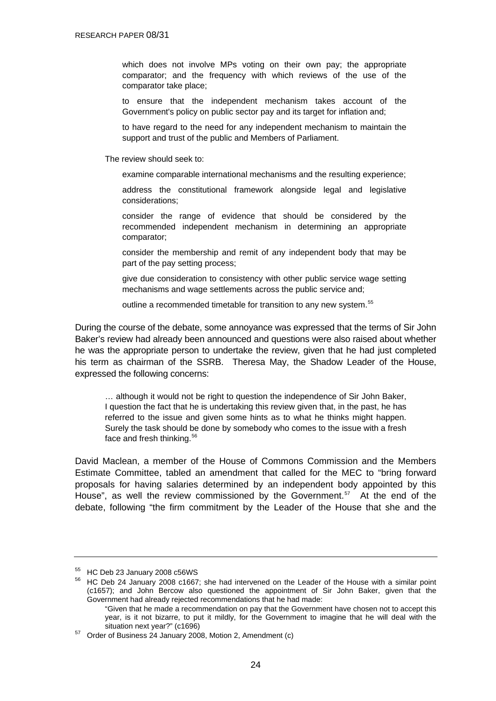<span id="page-23-0"></span>which does not involve MPs voting on their own pay; the appropriate comparator; and the frequency with which reviews of the use of the comparator take place;

to ensure that the independent mechanism takes account of the Government's policy on public sector pay and its target for inflation and;

to have regard to the need for any independent mechanism to maintain the support and trust of the public and Members of Parliament.

The review should seek to:

examine comparable international mechanisms and the resulting experience;

address the constitutional framework alongside legal and legislative considerations;

consider the range of evidence that should be considered by the recommended independent mechanism in determining an appropriate comparator;

consider the membership and remit of any independent body that may be part of the pay setting process;

give due consideration to consistency with other public service wage setting mechanisms and wage settlements across the public service and;

outline a recommended timetable for transition to any new system.<sup>[55](#page-23-0)</sup>

During the course of the debate, some annoyance was expressed that the terms of Sir John Baker's review had already been announced and questions were also raised about whether he was the appropriate person to undertake the review, given that he had just completed his term as chairman of the SSRB. Theresa May, the Shadow Leader of the House, expressed the following concerns:

… although it would not be right to question the independence of Sir John Baker, I question the fact that he is undertaking this review given that, in the past, he has referred to the issue and given some hints as to what he thinks might happen. Surely the task should be done by somebody who comes to the issue with a fresh face and fresh thinking.<sup>[56](#page-23-0)</sup>

David Maclean, a member of the House of Commons Commission and the Members Estimate Committee, tabled an amendment that called for the MEC to "bring forward proposals for having salaries determined by an independent body appointed by this House", as well the review commissioned by the Government.<sup>[57](#page-23-0)</sup> At the end of the debate, following "the firm commitment by the Leader of the House that she and the

<sup>55</sup> HC Deb 23 January 2008 c56WS

<sup>56</sup> HC Deb 24 January 2008 c1667; she had intervened on the Leader of the House with a similar point (c1657); and John Bercow also questioned the appointment of Sir John Baker, given that the Government had already rejected recommendations that he had made:

 <sup>&</sup>quot;Given that he made a recommendation on pay that the Government have chosen not to accept this year, is it not bizarre, to put it mildly, for the Government to imagine that he will deal with the

situation next year?" (c1696)<br><sup>57</sup> Order of Business 24 January 2008, Motion 2, Amendment (c)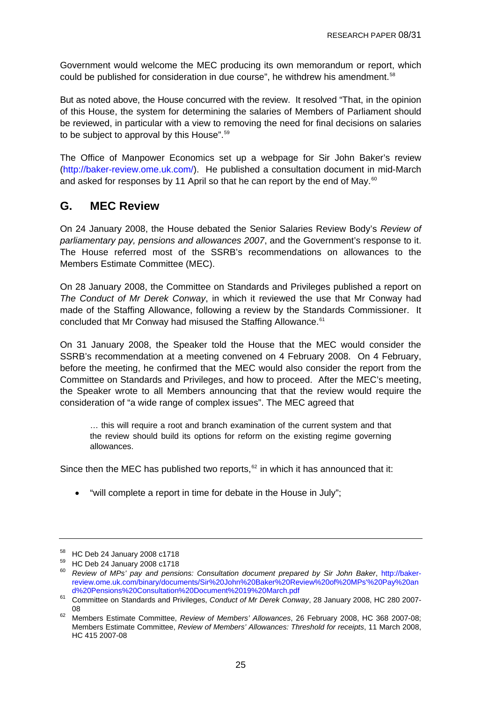<span id="page-24-0"></span>Government would welcome the MEC producing its own memorandum or report, which could be published for consideration in due course", he withdrew his amendment.<sup>[58](#page-24-0)</sup>

But as noted above, the House concurred with the review. It resolved "That, in the opinion of this House, the system for determining the salaries of Members of Parliament should be reviewed, in particular with a view to removing the need for final decisions on salaries to be subject to approval by this House".<sup>[59](#page-24-0)</sup>

The Office of Manpower Economics set up a webpage for Sir John Baker's review (<http://baker-review.ome.uk.com/>). He published a consultation document in mid-March and asked for responses by 11 April so that he can report by the end of May.<sup>[60](#page-24-0)</sup>

# **G. MEC Review**

On 24 January 2008, the House debated the Senior Salaries Review Body's *Review of parliamentary pay, pensions and allowances 2007*, and the Government's response to it. The House referred most of the SSRB's recommendations on allowances to the Members Estimate Committee (MEC).

On 28 January 2008, the Committee on Standards and Privileges published a report on *The Conduct of Mr Derek Conway*, in which it reviewed the use that Mr Conway had made of the Staffing Allowance, following a review by the Standards Commissioner. It concluded that Mr Conway had misused the Staffing Allowance.<sup>[61](#page-24-0)</sup>

On 31 January 2008, the Speaker told the House that the MEC would consider the SSRB's recommendation at a meeting convened on 4 February 2008. On 4 February, before the meeting, he confirmed that the MEC would also consider the report from the Committee on Standards and Privileges, and how to proceed. After the MEC's meeting, the Speaker wrote to all Members announcing that that the review would require the consideration of "a wide range of complex issues". The MEC agreed that

… this will require a root and branch examination of the current system and that the review should build its options for reform on the existing regime governing allowances.

Since then the MEC has published two reports,<sup>[62](#page-24-0)</sup> in which it has announced that it:

• "will complete a report in time for debate in the House in July";

<sup>58</sup> HC Deb 24 January 2008 c1718

<sup>59</sup> HC Deb 24 January 2008 c1718

<sup>60</sup> *Review of MPs' pay and pensions: Consultation document prepared by Sir John Baker*, [http://baker](http://baker-review.ome.uk.com/binary/documents/Sir%20John%20Baker%20Review%20of%20MPs)[review.ome.uk.com/binary/documents/Sir%20John%20Baker%20Review%20of%20MPs'%20Pay%20an](http://baker-review.ome.uk.com/binary/documents/Sir%20John%20Baker%20Review%20of%20MPs)

[d%20Pensions%20Consultation%20Document%2019%20March.pdf](http://baker-review.ome.uk.com/binary/documents/Sir%20John%20Baker%20Review%20of%20MPs) 61 Committee on Standards and Privileges, *Conduct of Mr Derek Conway*, 28 January 2008, HC 280 2007-

<sup>08 62</sup> Members Estimate Committee, *Review of Members' Allowances*, 26 February 2008, HC 368 2007-08; Members Estimate Committee, *Review of Members' Allowances: Threshold for receipts*, 11 March 2008, HC 415 2007-08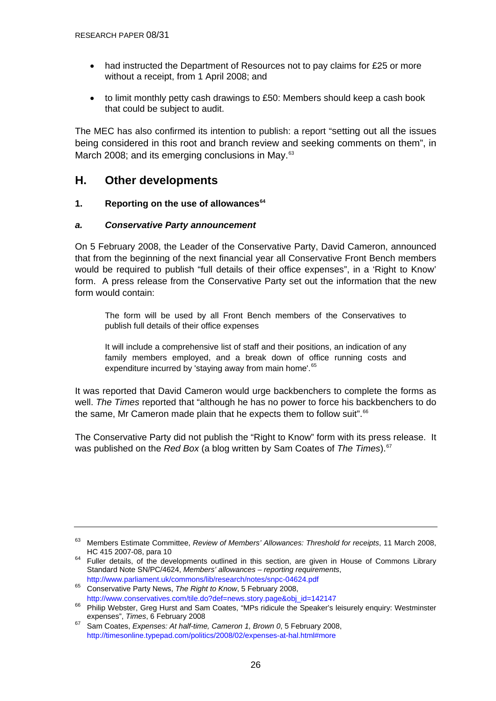- <span id="page-25-0"></span>• had instructed the Department of Resources not to pay claims for £25 or more without a receipt, from 1 April 2008; and
- to limit monthly petty cash drawings to £50: Members should keep a cash book that could be subject to audit.

The MEC has also confirmed its intention to publish: a report "setting out all the issues being considered in this root and branch review and seeking comments on them", in March 2008; and its emerging conclusions in May.<sup>[63](#page-25-0)</sup>

### **H. Other developments**

#### **1. Reporting on the use of allowances[64](#page-25-0)**

#### *a. Conservative Party announcement*

On 5 February 2008, the Leader of the Conservative Party, David Cameron, announced that from the beginning of the next financial year all Conservative Front Bench members would be required to publish "full details of their office expenses", in a 'Right to Know' form. A press release from the Conservative Party set out the information that the new form would contain:

The form will be used by all Front Bench members of the Conservatives to publish full details of their office expenses

It will include a comprehensive list of staff and their positions, an indication of any family members employed, and a break down of office running costs and expenditure incurred by 'staying away from main home'.<sup>[65](#page-25-0)</sup>

It was reported that David Cameron would urge backbenchers to complete the forms as well. *The Times* reported that "although he has no power to force his backbenchers to do the same, Mr Cameron made plain that he expects them to follow suit".<sup>[66](#page-25-0)</sup>

The Conservative Party did not publish the "Right to Know" form with its press release. It was published on the *Red Box* (a blog written by Sam Coates of *The Times*).[67](#page-25-0)

<sup>63</sup> Members Estimate Committee, *Review of Members' Allowances: Threshold for receipts*, 11 March 2008,

<sup>&</sup>lt;sup>64</sup> Fuller details, of the developments outlined in this section, are given in House of Commons Library Standard Note SN/PC/4624, *Members' allowances – reporting requirements*,

<http://www.parliament.uk/commons/lib/research/notes/snpc-04624.pdf> 65 Conservative Party News, *The Right to Know*, 5 February 2008,

[http://www.conservatives.com/tile.do?def=news.story.page&obj\\_id=142147](http://www.conservatives.com/tile.do?def=news.story.page&obj_id=142147)<br><sup>66</sup> Philip Webster, Greg Hurst and Sam Coates, "MPs ridicule the Speaker's leisurely enquiry: Westminster expenses", *Times*, 6 February 2008<br><sup>67</sup> Sam Coates, *Expenses: At half-time, Cameron 1, Brown 0,* 5 February 2008,

<http://timesonline.typepad.com/politics/2008/02/expenses-at-hal.html#more>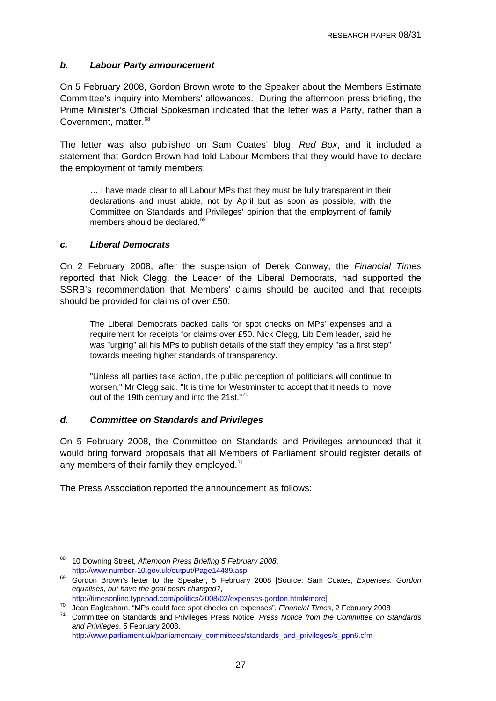#### <span id="page-26-0"></span>*b. Labour Party announcement*

On 5 February 2008, Gordon Brown wrote to the Speaker about the Members Estimate Committee's inquiry into Members' allowances. During the afternoon press briefing, the Prime Minister's Official Spokesman indicated that the letter was a Party, rather than a Government, matter.<sup>[68](#page-26-0)</sup>

The letter was also published on Sam Coates' blog, *Red Box*, and it included a statement that Gordon Brown had told Labour Members that they would have to declare the employment of family members:

… I have made clear to all Labour MPs that they must be fully transparent in their declarations and must abide, not by April but as soon as possible, with the Committee on Standards and Privileges' opinion that the employment of family members should be declared.<sup>[69](#page-26-0)</sup>

#### *c. Liberal Democrats*

On 2 February 2008, after the suspension of Derek Conway, the *Financial Times* reported that Nick Clegg, the Leader of the Liberal Democrats, had supported the SSRB's recommendation that Members' claims should be audited and that receipts should be provided for claims of over £50:

The Liberal Democrats backed calls for spot checks on MPs' expenses and a requirement for receipts for claims over £50. Nick Clegg, Lib Dem leader, said he was "urging" all his MPs to publish details of the staff they employ "as a first step" towards meeting higher standards of transparency.

"Unless all parties take action, the public perception of politicians will continue to worsen," Mr Clegg said. "It is time for Westminster to accept that it needs to move out of the 19th century and into the 21st."<sup>[70](#page-26-0)</sup>

#### *d. Committee on Standards and Privileges*

On 5 February 2008, the Committee on Standards and Privileges announced that it would bring forward proposals that all Members of Parliament should register details of any members of their family they employed.<sup>[71](#page-26-0)</sup>

The Press Association reported the announcement as follows:

[http://www.parliament.uk/parliamentary\\_committees/standards\\_and\\_privileges/s\\_ppn6.cfm](http://www.parliament.uk/parliamentary_committees/standards_and_privileges/s_ppn6.cfm)

<sup>68 10</sup> Downing Street, *Afternoon Press Briefing 5 February 2008*,

<http://www.number-10.gov.uk/output/Page14489.asp> 69 Gordon Brown's letter to the Speaker, 5 February 2008 [Source: Sam Coates, *Expenses: Gordon equalises, but have the goal posts changed?*,

<http://timesonline.typepad.com/politics/2008/02/expenses-gordon.html#more>]<br>70 Jean Eaglesham, "MPs could face spot checks on expenses", Financial Times, 2 February 2008<br>71 Committee on Standards and Privileges Press Notice *and Privileges*, 5 February 2008,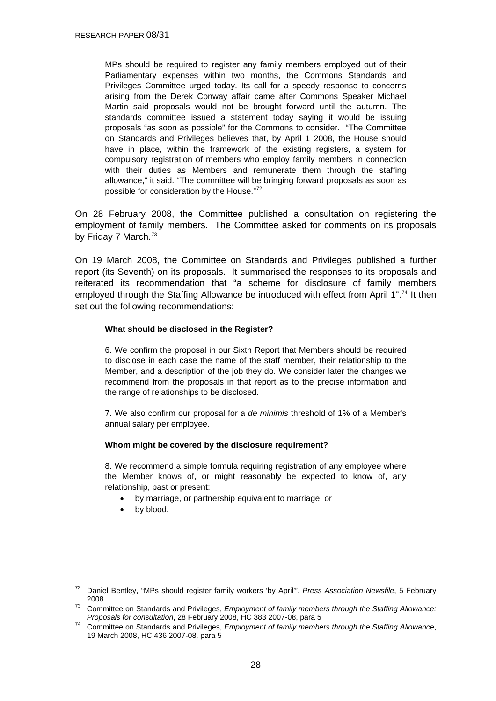<span id="page-27-0"></span>MPs should be required to register any family members employed out of their Parliamentary expenses within two months, the Commons Standards and Privileges Committee urged today. Its call for a speedy response to concerns arising from the Derek Conway affair came after Commons Speaker Michael Martin said proposals would not be brought forward until the autumn. The standards committee issued a statement today saying it would be issuing proposals "as soon as possible" for the Commons to consider. "The Committee on Standards and Privileges believes that, by April 1 2008, the House should have in place, within the framework of the existing registers, a system for compulsory registration of members who employ family members in connection with their duties as Members and remunerate them through the staffing allowance," it said. "The committee will be bringing forward proposals as soon as possible for consideration by the House."[72](#page-27-0)

On 28 February 2008, the Committee published a consultation on registering the employment of family members. The Committee asked for comments on its proposals by Friday 7 March.<sup>[73](#page-27-0)</sup>

On 19 March 2008, the Committee on Standards and Privileges published a further report (its Seventh) on its proposals. It summarised the responses to its proposals and reiterated its recommendation that "a scheme for disclosure of family members employed through the Staffing Allowance be introduced with effect from April 1".<sup>[74](#page-27-0)</sup> It then set out the following recommendations:

#### **What should be disclosed in the Register?**

6. We confirm the proposal in our Sixth Report that Members should be required to disclose in each case the name of the staff member, their relationship to the Member, and a description of the job they do. We consider later the changes we recommend from the proposals in that report as to the precise information and the range of relationships to be disclosed.

7. We also confirm our proposal for a *de minimis* threshold of 1% of a Member's annual salary per employee.

#### **Whom might be covered by the disclosure requirement?**

8. We recommend a simple formula requiring registration of any employee where the Member knows of, or might reasonably be expected to know of, any relationship, past or present:

- by marriage, or partnership equivalent to marriage; or
- by blood.

<sup>72</sup> Daniel Bentley, "MPs should register family workers 'by April'", *Press Association Newsfile*, 5 February

<sup>2008 73</sup> Committee on Standards and Privileges, *Employment of family members through the Staffing Allowance:* 

<sup>&</sup>lt;sup>74</sup> Committee on Standards and Privileges, *Employment of family members through the Staffing Allowance*, 19 March 2008, HC 436 2007-08, para 5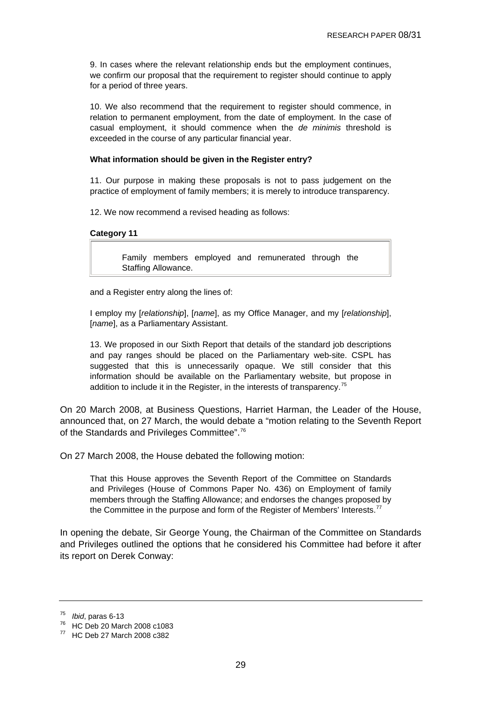<span id="page-28-0"></span>9. In cases where the relevant relationship ends but the employment continues, we confirm our proposal that the requirement to register should continue to apply for a period of three years.

10. We also recommend that the requirement to register should commence, in relation to permanent employment, from the date of employment. In the case of casual employment, it should commence when the *de minimis* threshold is exceeded in the course of any particular financial year.

#### **What information should be given in the Register entry?**

11. Our purpose in making these proposals is not to pass judgement on the practice of employment of family members; it is merely to introduce transparency.

12. We now recommend a revised heading as follows:

#### **Category 11**

Family members employed and remunerated through the Staffing Allowance.

and a Register entry along the lines of:

I employ my [*relationship*], [*name*], as my Office Manager, and my [*relationship*], [*name*], as a Parliamentary Assistant.

13. We proposed in our Sixth Report that details of the standard job descriptions and pay ranges should be placed on the Parliamentary web-site. CSPL has suggested that this is unnecessarily opaque. We still consider that this information should be available on the Parliamentary website, but propose in addition to include it in the Register, in the interests of transparency.<sup>[75](#page-28-0)</sup>

On 20 March 2008, at Business Questions, Harriet Harman, the Leader of the House, announced that, on 27 March, the would debate a "motion relating to the Seventh Report of the Standards and Privileges Committee".<sup>[76](#page-28-0)</sup>

On 27 March 2008, the House debated the following motion:

That this House approves the Seventh Report of the Committee on Standards and Privileges (House of Commons Paper No. 436) on Employment of family members through the Staffing Allowance; and endorses the changes proposed by the Committee in the purpose and form of the Register of Members' Interests.<sup>[77](#page-28-0)</sup>

In opening the debate, Sir George Young, the Chairman of the Committee on Standards and Privileges outlined the options that he considered his Committee had before it after its report on Derek Conway:

<sup>&</sup>lt;sup>75</sup> *Ibid*, paras 6-13<br><sup>76</sup> HC Deb 20 March 2008 c1083

<sup>77</sup> HC Deb 27 March 2008 c382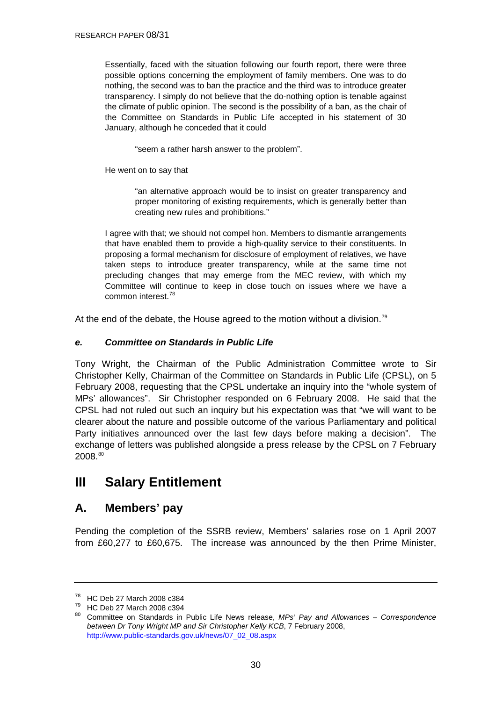<span id="page-29-0"></span>Essentially, faced with the situation following our fourth report, there were three possible options concerning the employment of family members. One was to do nothing, the second was to ban the practice and the third was to introduce greater transparency. I simply do not believe that the do-nothing option is tenable against the climate of public opinion. The second is the possibility of a ban, as the chair of the Committee on Standards in Public Life accepted in his statement of 30 January, although he conceded that it could

"seem a rather harsh answer to the problem".

He went on to say that

"an alternative approach would be to insist on greater transparency and proper monitoring of existing requirements, which is generally better than creating new rules and prohibitions."

I agree with that; we should not compel hon. Members to dismantle arrangements that have enabled them to provide a high-quality service to their constituents. In proposing a formal mechanism for disclosure of employment of relatives, we have taken steps to introduce greater transparency, while at the same time not precluding changes that may emerge from the MEC review, with which my Committee will continue to keep in close touch on issues where we have a common interest.<sup>[78](#page-29-0)</sup>

At the end of the debate, the House agreed to the motion without a division.<sup>[79](#page-29-0)</sup>

#### *e. Committee on Standards in Public Life*

Tony Wright, the Chairman of the Public Administration Committee wrote to Sir Christopher Kelly, Chairman of the Committee on Standards in Public Life (CPSL), on 5 February 2008, requesting that the CPSL undertake an inquiry into the "whole system of MPs' allowances". Sir Christopher responded on 6 February 2008. He said that the CPSL had not ruled out such an inquiry but his expectation was that "we will want to be clearer about the nature and possible outcome of the various Parliamentary and political Party initiatives announced over the last few days before making a decision". The exchange of letters was published alongside a press release by the CPSL on 7 February 2008.[80](#page-29-0)

# **III Salary Entitlement**

# **A. Members' pay**

Pending the completion of the SSRB review, Members' salaries rose on 1 April 2007 from £60,277 to £60,675. The increase was announced by the then Prime Minister,

<sup>78</sup> HC Deb 27 March 2008 c384

<sup>79</sup> HC Deb 27 March 2008 c394

<sup>80</sup> Committee on Standards in Public Life News release, *MPs' Pay and Allowances – Correspondence between Dr Tony Wright MP and Sir Christopher Kelly KCB*, 7 February 2008, [http://www.public-standards.gov.uk/news/07\\_02\\_08.aspx](http://www.public-standards.gov.uk/news/07_02_08.aspx)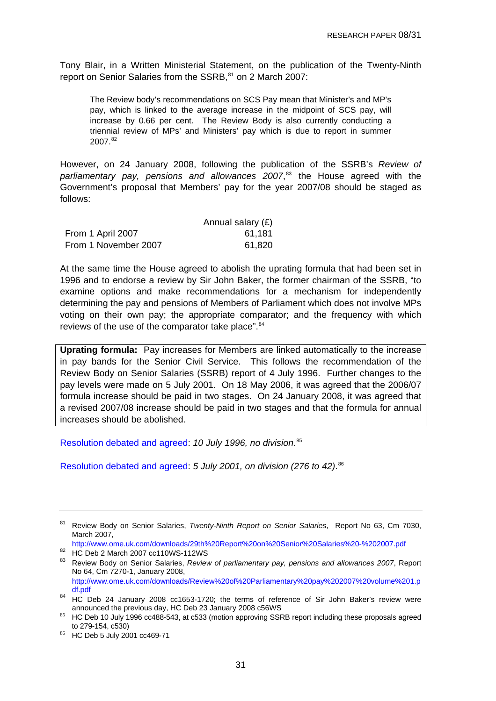<span id="page-30-0"></span>Tony Blair, in a Written Ministerial Statement, on the publication of the Twenty-Ninth report on Senior Salaries from the SSRB,<sup>[81](#page-30-0)</sup> on 2 March 2007:

The Review body's recommendations on SCS Pay mean that Minister's and MP's pay, which is linked to the average increase in the midpoint of SCS pay, will increase by 0.66 per cent. The Review Body is also currently conducting a triennial review of MPs' and Ministers' pay which is due to report in summer 2007.[82](#page-30-0)

However, on 24 January 2008, following the publication of the SSRB's *Review of parliamentary pay, pensions and allowances 2007*, [83](#page-30-0) the House agreed with the Government's proposal that Members' pay for the year 2007/08 should be staged as follows:

|                      | Annual salary $(E)$ |
|----------------------|---------------------|
| From 1 April 2007    | 61,181              |
| From 1 November 2007 | 61,820              |

At the same time the House agreed to abolish the uprating formula that had been set in 1996 and to endorse a review by Sir John Baker, the former chairman of the SSRB, "to examine options and make recommendations for a mechanism for independently determining the pay and pensions of Members of Parliament which does not involve MPs voting on their own pay; the appropriate comparator; and the frequency with which reviews of the use of the comparator take place". [84](#page-30-0)

**Uprating formula:** Pay increases for Members are linked automatically to the increase in pay bands for the Senior Civil Service. This follows the recommendation of the Review Body on Senior Salaries (SSRB) report of 4 July 1996. Further changes to the pay levels were made on 5 July 2001. On 18 May 2006, it was agreed that the 2006/07 formula increase should be paid in two stages. On 24 January 2008, it was agreed that a revised 2007/08 increase should be paid in two stages and that the formula for annual increases should be abolished.

[Resolution debated and agreed](http://www.parliament.the-stationery-office.co.uk/pa/cm199596/cmhansrd/vo960710/debtext/60710-47.htm#60710-47_head0): *10 July 1996, no division*. [85](#page-30-0)

[Resolution debated and agreed](http://www.parliament.the-stationery-office.co.uk/pa/cm200102/cmhansrd/vo010705/debtext/10705-11.htm#10705-11_head2): *5 July 2001, on division (276 to 42)*. [86](#page-30-0)

83 Review Body on Senior Salaries, *Review of parliamentary pay, pensions and allowances 2007*, Report No 64, Cm 7270-1, January 2008, [http://www.ome.uk.com/downloads/Review%20of%20Parliamentary%20pay%202007%20volume%201.p](http://www.ome.uk.com/downloads/Review%20of%20Parliamentary%20pay%202007%20volume%201.pdf.pdf)

<sup>81</sup> Review Body on Senior Salaries, *Twenty-Ninth Report on Senior Salaries*, Report No 63, Cm 7030, March 2007,

<http://www.ome.uk.com/downloads/29th%20Report%20on%20Senior%20Salaries%20-%202007.pdf> 82 HC Deb 2 March 2007 cc110WS-112WS

df.pdf<br><sup>84</sup> HC Deb 24 January 2008 cc1653-1720; the terms of reference of Sir John Baker's review were announced the previous day, HC Deb 23 January 2008 c56WS

<sup>85</sup> HC Deb 10 July 1996 cc488-543, at c533 (motion approving SSRB report including these proposals agreed to 279-154, c530)

<sup>86</sup> HC Deb 5 July 2001 cc469-71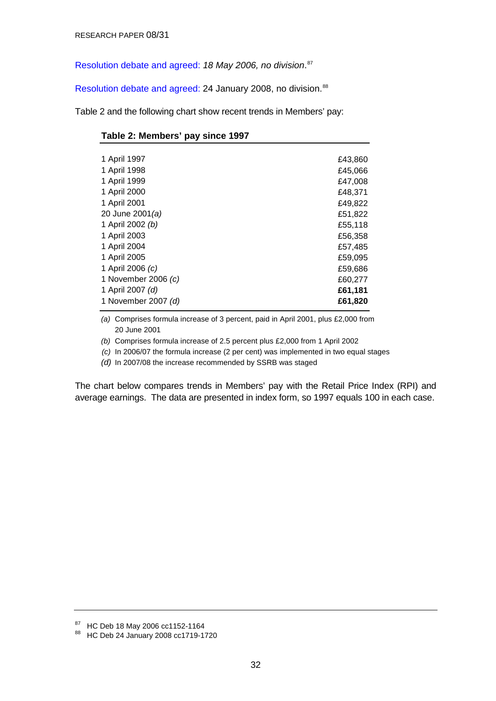<span id="page-31-0"></span>[Resolution debate and agreed:](http://www.publications.parliament.uk/pa/cm200506/cmhansrd/cm060518/debtext/60518-0241.htm#060518114000707) *18 May 2006, no division*. [87](#page-31-0)

[Resolution debate and agreed:](http://www.publications.parliament.uk/pa/cm200708/cmhansrd/cm080124/debtext/80124-0018.htm#08012472000008) 24 January 2008, no division.<sup>[88](#page-31-0)</sup>

Table 2 and the following chart show recent trends in Members' pay:

| Table 2: Members' pay since 1997 |  |
|----------------------------------|--|
|----------------------------------|--|

| £43,860 |
|---------|
| £45,066 |
| £47,008 |
| £48,371 |
| £49,822 |
| £51,822 |
| £55,118 |
| £56,358 |
| £57,485 |
| £59,095 |
| £59,686 |
| £60,277 |
| £61,181 |
| £61,820 |
|         |

*(a)*  Comprises formula increase of 3 percent, paid in April 2001, plus £2,000 from 20 June 2001

*(b)* Comprises formula increase of 2.5 percent plus £2,000 from 1 April 2002

*(c)* In 2006/07 the formula increase (2 per cent) was implemented in two equal stages

*(d)* In 2007/08 the increase recommended by SSRB was staged

The chart below compares trends in Members' pay with the Retail Price Index (RPI) and average earnings. The data are presented in index form, so 1997 equals 100 in each case.

<sup>87</sup> HC Deb 18 May 2006 cc1152-1164

<sup>88</sup> HC Deb 24 January 2008 cc1719-1720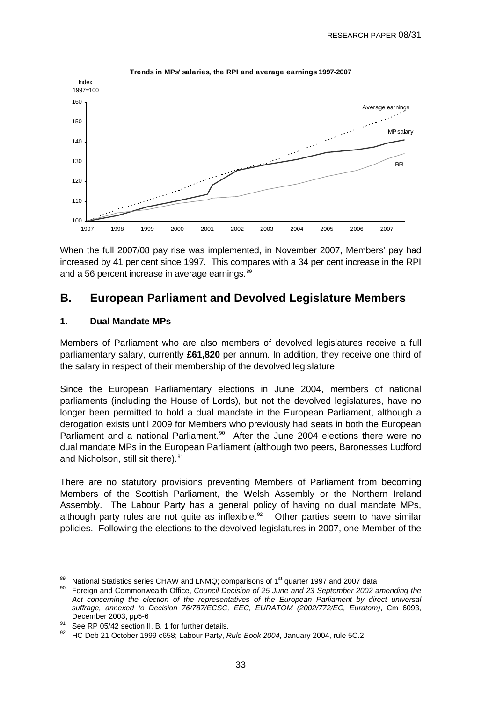<span id="page-32-0"></span>

**Trends in MPs' salaries, the RPI and average earnings 1997-2007**

When the full 2007/08 pay rise was implemented, in November 2007, Members' pay had increased by 41 per cent since 1997. This compares with a 34 per cent increase in the RPI and a 56 percent increase in average earnings.<sup>[89](#page-32-0)</sup>

### **B. European Parliament and Devolved Legislature Members**

#### **1. Dual Mandate MPs**

Members of Parliament who are also members of devolved legislatures receive a full parliamentary salary, currently **£61,820** per annum. In addition, they receive one third of the salary in respect of their membership of the devolved legislature.

Since the European Parliamentary elections in June 2004, members of national parliaments (including the House of Lords), but not the devolved legislatures, have no longer been permitted to hold a dual mandate in the European Parliament, although a derogation exists until 2009 for Members who previously had seats in both the European Parliament and a national Parliament.<sup>[90](#page-32-0)</sup> After the June 2004 elections there were no dual mandate MPs in the European Parliament (although two peers, Baronesses Ludford and Nicholson, still sit there).<sup>91</sup>

There are no statutory provisions preventing Members of Parliament from becoming Members of the Scottish Parliament, the Welsh Assembly or the Northern Ireland Assembly. The Labour Party has a general policy of having no dual mandate MPs, although party rules are not quite as inflexible.<sup>[92](#page-32-0)</sup> Other parties seem to have similar policies. Following the elections to the devolved legislatures in 2007, one Member of the

<sup>&</sup>lt;sup>89</sup> National Statistics series CHAW and LNMQ; comparisons of 1<sup>st</sup> quarter 1997 and 2007 data<br><sup>90</sup> Foreign and Commonwealth Office, *Council Decision of 25 June and 23 September 2002 amending the Act concerning the election of the representatives of the European Parliament by direct universal suffrage, annexed to Decision 76/787/ECSC, EEC, EURATOM (2002/772/EC, Euratom)*, Cm 6093, December 2003, pp5-6<br><sup>91</sup> See RP 05/42 section II. B. 1 for further details.

<sup>92</sup> HC Deb 21 October 1999 c658; Labour Party, *Rule Book 2004*, January 2004, rule 5C.2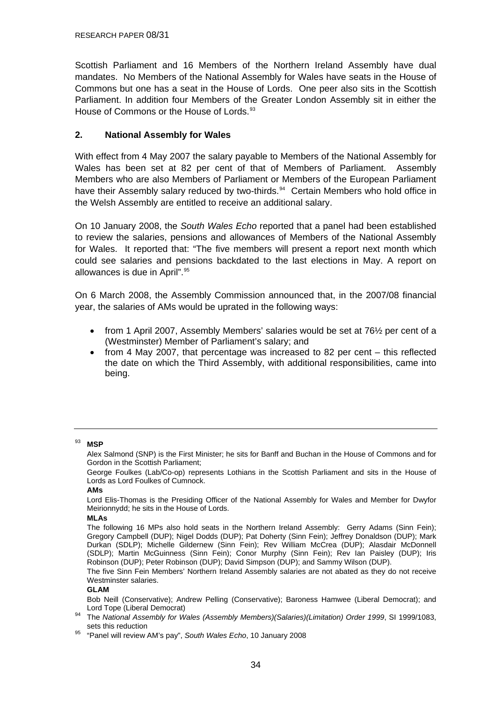<span id="page-33-0"></span>Scottish Parliament and 16 Members of the Northern Ireland Assembly have dual mandates. No Members of the National Assembly for Wales have seats in the House of Commons but one has a seat in the House of Lords. One peer also sits in the Scottish Parliament. In addition four Members of the Greater London Assembly sit in either the House of Commons or the House of Lords.<sup>[93](#page-33-0)</sup>

#### **2. National Assembly for Wales**

With effect from 4 May 2007 the salary payable to Members of the National Assembly for Wales has been set at 82 per cent of that of Members of Parliament. Assembly Members who are also Members of Parliament or Members of the European Parliament have their Assembly salary reduced by two-thirds.<sup>[94](#page-33-0)</sup> Certain Members who hold office in the Welsh Assembly are entitled to receive an additional salary.

On 10 January 2008, the *South Wales Echo* reported that a panel had been established to review the salaries, pensions and allowances of Members of the National Assembly for Wales. It reported that: "The five members will present a report next month which could see salaries and pensions backdated to the last elections in May. A report on allowances is due in April".<sup>[95](#page-33-0)</sup>

On 6 March 2008, the Assembly Commission announced that, in the 2007/08 financial year, the salaries of AMs would be uprated in the following ways:

- from 1 April 2007, Assembly Members' salaries would be set at 76½ per cent of a (Westminster) Member of Parliament's salary; and
- from 4 May 2007, that percentage was increased to 82 per cent this reflected the date on which the Third Assembly, with additional responsibilities, came into being.

#### 93 **MSP**

 Alex Salmond (SNP) is the First Minister; he sits for Banff and Buchan in the House of Commons and for Gordon in the Scottish Parliament;

 George Foulkes (Lab/Co-op) represents Lothians in the Scottish Parliament and sits in the House of Lords as Lord Foulkes of Cumnock.

#### **AMs**

 Lord Elis-Thomas is the Presiding Officer of the National Assembly for Wales and Member for Dwyfor Meirionnydd; he sits in the House of Lords.

#### **MLAs**

 The following 16 MPs also hold seats in the Northern Ireland Assembly: Gerry Adams (Sinn Fein); Gregory Campbell (DUP); Nigel Dodds (DUP); Pat Doherty (Sinn Fein); Jeffrey Donaldson (DUP); Mark Durkan (SDLP); Michelle Gildernew (Sinn Fein); Rev William McCrea (DUP); Alasdair McDonnell (SDLP); Martin McGuinness (Sinn Fein); Conor Murphy (Sinn Fein); Rev Ian Paisley (DUP); Iris Robinson (DUP); Peter Robinson (DUP); David Simpson (DUP); and Sammy Wilson (DUP).

 The five Sinn Fein Members' Northern Ireland Assembly salaries are not abated as they do not receive Westminster salaries.

#### **GLAM**

Bob Neill (Conservative); Andrew Pelling (Conservative); Baroness Hamwee (Liberal Democrat); and

- Lord Tope (Liberal Democrat) 94 The *National Assembly for Wales (Assembly Members)(Salaries)(Limitation) Order 1999*, SI 1999/1083,
- sets this reduction 95 "Panel will review AM's pay", *South Wales Echo*, 10 January 2008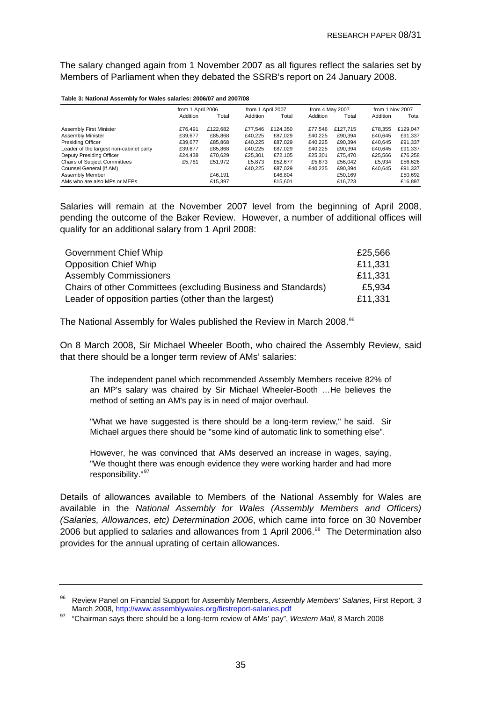<span id="page-34-0"></span>The salary changed again from 1 November 2007 as all figures reflect the salaries set by Members of Parliament when they debated the SSRB's report on 24 January 2008.

#### **Table 3: National Assembly for Wales salaries: 2006/07 and 2007/08**

|                                         | from 1 April 2006 |          | from 1 April 2007 |          | from 4 May 2007 |          | from 1 Nov 2007 |          |
|-----------------------------------------|-------------------|----------|-------------------|----------|-----------------|----------|-----------------|----------|
|                                         | Addition          | Total    | Addition          | Total    | Addition        | Total    | Addition        | Total    |
| Assembly First Minister                 | £76.491           | £122.682 | £77,546           | £124,350 | £77.546         | £127.715 | £78.355         | £129,047 |
| Assembly Minister                       | £39.677           | £85.868  | £40.225           | £87.029  | £40.225         | £90.394  | £40.645         | £91,337  |
| <b>Presiding Officer</b>                | £39.677           | £85,868  | £40.225           | £87.029  | £40.225         | £90.394  | £40.645         | £91,337  |
| Leader of the largest non-cabinet party | £39,677           | £85,868  | £40.225           | £87,029  | £40.225         | £90.394  | £40.645         | £91,337  |
| Deputy Presiding Officer                | £24.438           | £70,629  | £25.301           | £72,105  | £25.301         | £75.470  | £25.566         | £76,258  |
| <b>Chairs of Subject Committees</b>     | £5.781            | £51,972  | £5.873            | £52.677  | £5.873          | £56.042  | £5.934          | £56,626  |
| Counsel General (if AM)                 |                   |          | £40.225           | £87.029  | £40.225         | £90.394  | £40.645         | £91,337  |
| Assembly Member                         |                   | £46.191  |                   | £46.804  |                 | £50.169  |                 | £50,692  |
| AMs who are also MPs or MEPs            |                   | £15.397  |                   | £15.601  |                 | £16.723  |                 | £16,897  |

Salaries will remain at the November 2007 level from the beginning of April 2008, pending the outcome of the Baker Review. However, a number of additional offices will qualify for an additional salary from 1 April 2008:

| Government Chief Whip                                         | £25,566 |
|---------------------------------------------------------------|---------|
| <b>Opposition Chief Whip</b>                                  | £11,331 |
| <b>Assembly Commissioners</b>                                 | £11,331 |
| Chairs of other Committees (excluding Business and Standards) | £5,934  |
| Leader of opposition parties (other than the largest)         | £11,331 |

The National Assembly for Wales published the Review in March 2008.<sup>[96](#page-34-0)</sup>

On 8 March 2008, Sir Michael Wheeler Booth, who chaired the Assembly Review, said that there should be a longer term review of AMs' salaries:

The independent panel which recommended Assembly Members receive 82% of an MP's salary was chaired by Sir Michael Wheeler-Booth …He believes the method of setting an AM's pay is in need of major overhaul.

"What we have suggested is there should be a long-term review," he said. Sir Michael argues there should be "some kind of automatic link to something else".

However, he was convinced that AMs deserved an increase in wages, saying, "We thought there was enough evidence they were working harder and had more responsibility."<sup>[97](#page-34-0)</sup>

Details of allowances available to Members of the National Assembly for Wales are available in the *National Assembly for Wales (Assembly Members and Officers) (Salaries, Allowances, etc) Determination 2006*, which came into force on 30 November 2006 but applied to salaries and allowances from 1 April 2006.<sup>[98](#page-34-0)</sup> The Determination also provides for the annual uprating of certain allowances.

<sup>96</sup> Review Panel on Financial Support for Assembly Members, *Assembly Members' Salaries*, First Report, 3

<sup>&</sup>lt;sup>97</sup> "Chairman says there should be a long-term review of AMs' pay", *Western Mail*, 8 March 2008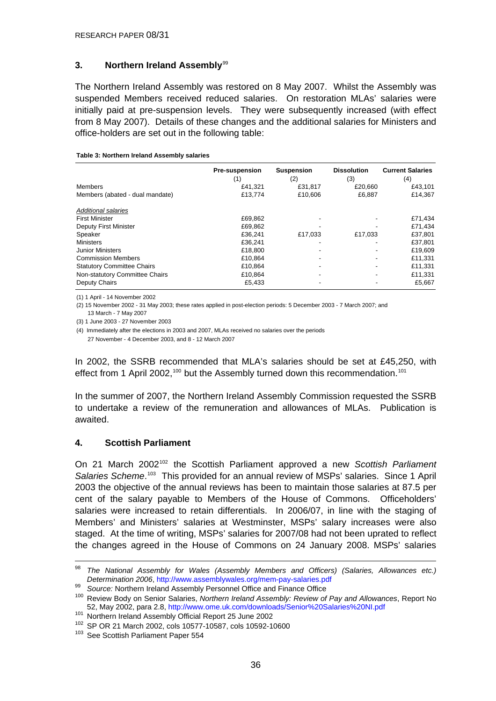#### <span id="page-35-0"></span>**3. Northern Ireland Assembly**[99](#page-35-0)

The Northern Ireland Assembly was restored on 8 May 2007. Whilst the Assembly was suspended Members received reduced salaries. On restoration MLAs' salaries were initially paid at pre-suspension levels. They were subsequently increased (with effect from 8 May 2007). Details of these changes and the additional salaries for Ministers and office-holders are set out in the following table:

|                                   | <b>Pre-suspension</b><br>(1) | <b>Suspension</b><br>(2) | <b>Dissolution</b><br>(3) | <b>Current Salaries</b><br>(4) |
|-----------------------------------|------------------------------|--------------------------|---------------------------|--------------------------------|
| Members                           | £41,321                      | £31,817                  | £20,660                   | £43,101                        |
| Members (abated - dual mandate)   | £13,774                      | £10,606                  | £6,887                    | £14,367                        |
| <b>Additional salaries</b>        |                              |                          |                           |                                |
| <b>First Minister</b>             | £69,862                      |                          |                           | £71,434                        |
| Deputy First Minister             | £69.862                      |                          |                           | £71,434                        |
| Speaker                           | £36.241                      | £17,033                  | £17,033                   | £37,801                        |
| <b>Ministers</b>                  | £36.241                      |                          |                           | £37,801                        |
| <b>Junior Ministers</b>           | £18,800                      |                          | -                         | £19,609                        |
| <b>Commission Members</b>         | £10.864                      |                          | -                         | £11,331                        |
| <b>Statutory Committee Chairs</b> | £10.864                      |                          |                           | £11,331                        |
| Non-statutory Committee Chairs    | £10.864                      |                          |                           | £11,331                        |
| Deputy Chairs                     | £5,433                       |                          |                           | £5,667                         |

#### **Table 3: Northern Ireland Assembly salaries**

(1) 1 April - 14 November 2002

(2) 15 November 2002 - 31 May 2003; these rates applied in post-election periods: 5 December 2003 - 7 March 2007; and 13 March - 7 May 2007

(3) 1 June 2003 - 27 November 2003

(4) Immediately after the elections in 2003 and 2007, MLAs received no salaries over the periods 27 November - 4 December 2003, and 8 - 12 March 2007

In 2002, the SSRB recommended that MLA's salaries should be set at £45,250, with effect from 1 April 2002,<sup>[100](#page-35-0)</sup> but the Assembly turned down this recommendation.<sup>[101](#page-35-0)</sup>

In the summer of 2007, the Northern Ireland Assembly Commission requested the SSRB to undertake a review of the remuneration and allowances of MLAs. Publication is awaited.

#### **4. Scottish Parliament**

On 21 March 2002[102](#page-35-0) the Scottish Parliament approved a new *Scottish Parliament*  Salaries Scheme.<sup>[103](#page-35-0)</sup> This provided for an annual review of MSPs' salaries. Since 1 April 2003 the objective of the annual reviews has been to maintain those salaries at 87.5 per cent of the salary payable to Members of the House of Commons. Officeholders' salaries were increased to retain differentials. In 2006/07, in line with the staging of Members' and Ministers' salaries at Westminster, MSPs' salary increases were also staged. At the time of writing, MSPs' salaries for 2007/08 had not been uprated to reflect the changes agreed in the House of Commons on 24 January 2008. MSPs' salaries

<sup>98</sup> 98 *The National Assembly for Wales (Assembly Members and Officers) (Salaries, Allowances etc.)* 

Determination 2006, http://www.assemblywales.org/mem-pay-salaries.pdf<br><sup>99</sup> Source: Northern Ireland Assembly Personnel Office and Finance Office<br><sup>100</sup> Review Body on Senior Salaries, *Northern Ireland Assembly: Review of P* 52, May 2002, para 2.8, <http://www.ome.uk.com/downloads/Senior%20Salaries%20NI.pdf><br>
<sup>101</sup> Northern Ireland Assembly Official Report 25 June 2002<br>
<sup>102</sup> SP OR 21 March 2002, cols 10577-10587, cols 10592-10600<br>
<sup>103</sup> See Sc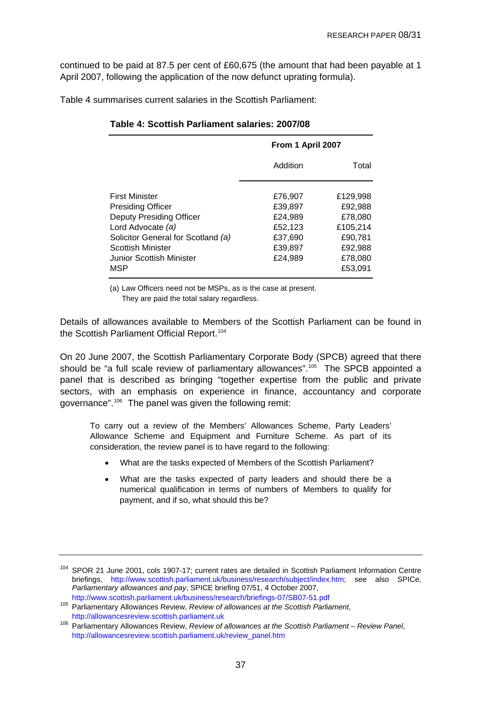<span id="page-36-0"></span>continued to be paid at 87.5 per cent of £60,675 (the amount that had been payable at 1 April 2007, following the application of the now defunct uprating formula).

Table 4 summarises current salaries in the Scottish Parliament:

|                                                                                                                                                                                           | From 1 April 2007                                                         |                                                                                        |  |
|-------------------------------------------------------------------------------------------------------------------------------------------------------------------------------------------|---------------------------------------------------------------------------|----------------------------------------------------------------------------------------|--|
|                                                                                                                                                                                           | Addition                                                                  | Total                                                                                  |  |
| First Minister<br><b>Presiding Officer</b><br>Deputy Presiding Officer<br>Lord Advocate (a)<br>Solicitor General for Scotland (a)<br>Scottish Minister<br>Junior Scottish Minister<br>MSP | £76,907<br>£39,897<br>£24,989<br>£52.123<br>£37,690<br>£39,897<br>£24,989 | £129.998<br>£92,988<br>£78,080<br>£105.214<br>£90,781<br>£92,988<br>£78,080<br>£53,091 |  |

#### **Table 4: Scottish Parliament salaries: 2007/08**

(a) Law Officers need not be MSPs, as is the case at present.

They are paid the total salary regardless.

Details of allowances available to Members of the Scottish Parliament can be found in the Scottish Parliament Official Report.<sup>[104](#page-36-0)</sup>

On 20 June 2007, the Scottish Parliamentary Corporate Body (SPCB) agreed that there should be "a full scale review of parliamentary allowances".<sup>[105](#page-36-0)</sup> The SPCB appointed a panel that is described as bringing "together expertise from the public and private sectors, with an emphasis on experience in finance, accountancy and corporate governance".[106](#page-36-0) The panel was given the following remit:

To carry out a review of the Members' Allowances Scheme, Party Leaders' Allowance Scheme and Equipment and Furniture Scheme. As part of its consideration, the review panel is to have regard to the following:

- What are the tasks expected of Members of the Scottish Parliament?
- What are the tasks expected of party leaders and should there be a numerical qualification in terms of numbers of Members to qualify for payment, and if so, what should this be?

<sup>&</sup>lt;sup>104</sup> SPOR 21 June 2001. cols 1907-17; current rates are detailed in Scottish Parliament Information Centre briefings, [http://www.scottish.parliament.uk/business/research/subject/index.htm;](http://www.scottish.parliament.uk/business/research/subject/index.htm) see also SPICe, *Parliamentary allowances and pay*, SPICE briefing 07/51, 4 October 2007,

<sup>&</sup>lt;sup>105</sup> Parliamentary Allowances Review, Review of allowances at the Scottish Parliament,

http://allowancesreview.scottish.parliament.uk<br><sup>106</sup> Parliamentary Allowances Review, *Review of allowances at the Scottish Parliament – Review Panel*, [http://allowancesreview.scottish.parliament.uk/review\\_panel.htm](http://allowancesreview.scottish.parliament.uk/review_panel.htm)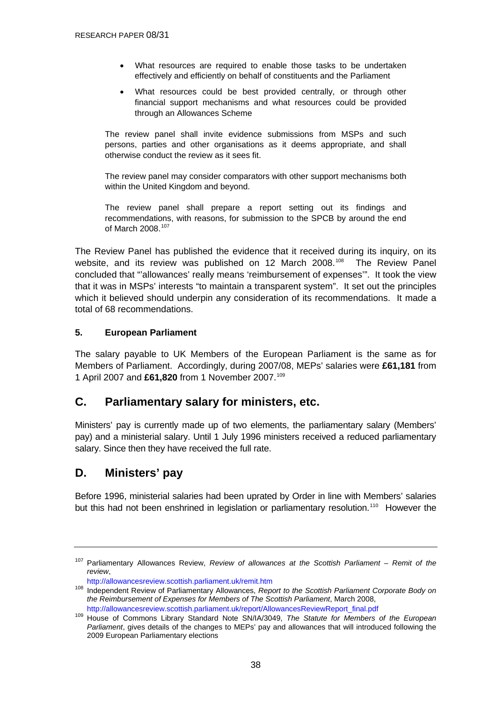- <span id="page-37-0"></span>What resources are required to enable those tasks to be undertaken effectively and efficiently on behalf of constituents and the Parliament
- What resources could be best provided centrally, or through other financial support mechanisms and what resources could be provided through an Allowances Scheme

The review panel shall invite evidence submissions from MSPs and such persons, parties and other organisations as it deems appropriate, and shall otherwise conduct the review as it sees fit.

The review panel may consider comparators with other support mechanisms both within the United Kingdom and beyond.

The review panel shall prepare a report setting out its findings and recommendations, with reasons, for submission to the SPCB by around the end of March 2008.<sup>[107](#page-37-0)</sup>

The Review Panel has published the evidence that it received during its inquiry, on its website, and its review was published on 12 March 2008.<sup>[108](#page-37-0)</sup> The Review Panel concluded that "'allowances' really means 'reimbursement of expenses'". It took the view that it was in MSPs' interests "to maintain a transparent system". It set out the principles which it believed should underpin any consideration of its recommendations. It made a total of 68 recommendations.

### **5. European Parliament**

The salary payable to UK Members of the European Parliament is the same as for Members of Parliament. Accordingly, during 2007/08, MEPs' salaries were **£61,181** from 1 April 2007 and **£61,820** from 1 November 2007.[109](#page-37-0)

## **C. Parliamentary salary for ministers, etc.**

Ministers' pay is currently made up of two elements, the parliamentary salary (Members' pay) and a ministerial salary. Until 1 July 1996 ministers received a reduced parliamentary salary. Since then they have received the full rate.

## **D. Ministers' pay**

Before 1996, ministerial salaries had been uprated by Order in line with Members' salaries but this had not been enshrined in legislation or parliamentary resolution.<sup>[110](#page-37-0)</sup> However the

<sup>107</sup> Parliamentary Allowances Review, *Review of allowances at the Scottish Parliament – Remit of the review*,

<http://allowancesreview.scottish.parliament.uk/remit.htm>108 Independent Review of Parliamentary Allowances, *Report to the Scottish Parliament Corporate Body on the Reimbursement of Expenses for Members of The Scottish Parliament*, March 2008,

[http://allowancesreview.scottish.parliament.uk/report/AllowancesReviewReport\\_final.pdf](http://allowancesreview.scottish.parliament.uk/report/AllowancesReviewReport_final.pdf) 109 House of Commons Library Standard Note SN/IA/3049, *The Statute for Members of the European Parliament*, gives details of the changes to MEPs' pay and allowances that will introduced following the 2009 European Parliamentary elections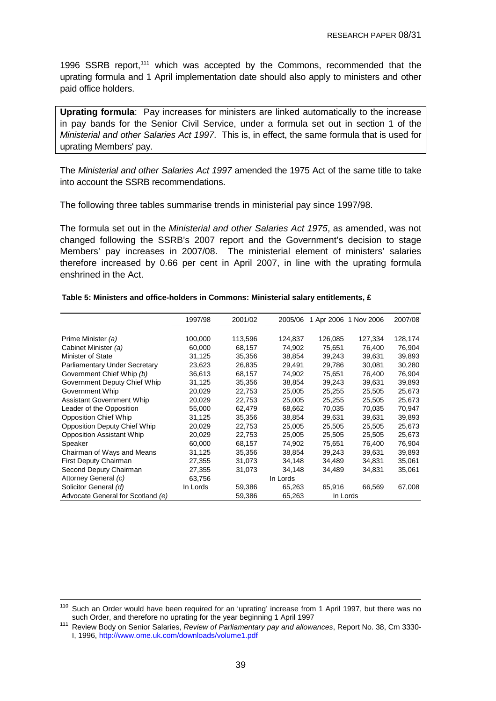<span id="page-38-0"></span>1996 SSRB report,<sup>[111](#page-38-0)</sup> which was accepted by the Commons, recommended that the uprating formula and 1 April implementation date should also apply to ministers and other paid office holders.

**Uprating formula**: Pay increases for ministers are linked automatically to the increase in pay bands for the Senior Civil Service, under a formula set out in section 1 of the *Ministerial and other Salaries Act 1997*. This is, in effect, the same formula that is used for uprating Members' pay.

The *Ministerial and other Salaries Act 1997* amended the 1975 Act of the same title to take into account the SSRB recommendations.

The following three tables summarise trends in ministerial pay since 1997/98.

The formula set out in the *Ministerial and other Salaries Act 1975*, as amended, was not changed following the SSRB's 2007 report and the Government's decision to stage Members' pay increases in 2007/08. The ministerial element of ministers' salaries therefore increased by 0.66 per cent in April 2007, in line with the uprating formula enshrined in the Act.

|                                     | 1997/98  | 2001/02 | 2005/06  |          | 1 Apr 2006 1 Nov 2006 | 2007/08 |
|-------------------------------------|----------|---------|----------|----------|-----------------------|---------|
|                                     |          |         |          |          |                       |         |
| Prime Minister (a)                  | 100,000  | 113,596 | 124,837  | 126,085  | 127,334               | 128,174 |
| Cabinet Minister (a)                | 60,000   | 68.157  | 74,902   | 75,651   | 76.400                | 76,904  |
| Minister of State                   | 31,125   | 35,356  | 38,854   | 39,243   | 39,631                | 39,893  |
| Parliamentary Under Secretary       | 23,623   | 26,835  | 29,491   | 29,786   | 30,081                | 30,280  |
| Government Chief Whip (b)           | 36,613   | 68,157  | 74,902   | 75,651   | 76,400                | 76,904  |
| Government Deputy Chief Whip        | 31,125   | 35,356  | 38,854   | 39,243   | 39,631                | 39,893  |
| Government Whip                     | 20,029   | 22,753  | 25,005   | 25,255   | 25,505                | 25,673  |
| <b>Assistant Government Whip</b>    | 20,029   | 22,753  | 25,005   | 25,255   | 25,505                | 25,673  |
| Leader of the Opposition            | 55,000   | 62,479  | 68,662   | 70,035   | 70,035                | 70,947  |
| <b>Opposition Chief Whip</b>        | 31,125   | 35,356  | 38,854   | 39,631   | 39,631                | 39,893  |
| <b>Opposition Deputy Chief Whip</b> | 20,029   | 22,753  | 25,005   | 25,505   | 25,505                | 25,673  |
| <b>Opposition Assistant Whip</b>    | 20,029   | 22,753  | 25,005   | 25,505   | 25,505                | 25,673  |
| Speaker                             | 60,000   | 68,157  | 74.902   | 75.651   | 76.400                | 76,904  |
| Chairman of Ways and Means          | 31,125   | 35,356  | 38,854   | 39,243   | 39,631                | 39,893  |
| First Deputy Chairman               | 27,355   | 31,073  | 34,148   | 34,489   | 34,831                | 35,061  |
| Second Deputy Chairman              | 27,355   | 31,073  | 34,148   | 34,489   | 34,831                | 35,061  |
| Attorney General (c)                | 63,756   |         | In Lords |          |                       |         |
| Solicitor General (d)               | In Lords | 59,386  | 65,263   | 65,916   | 66,569                | 67,008  |
| Advocate General for Scotland (e)   |          | 59,386  | 65,263   | In Lords |                       |         |

**Table 5: Ministers and office-holders in Commons: Ministerial salary entitlements, £**

<sup>&</sup>lt;sup>110</sup> Such an Order would have been required for an 'uprating' increase from 1 April 1997, but there was no such Order, and therefore no uprating for the year beginning 1 April 1997

Review Body on Senior Salaries, Review of Parliamentary pay and allowances, Report No. 38, Cm 3330-I, 1996, <http://www.ome.uk.com/downloads/volume1.pdf>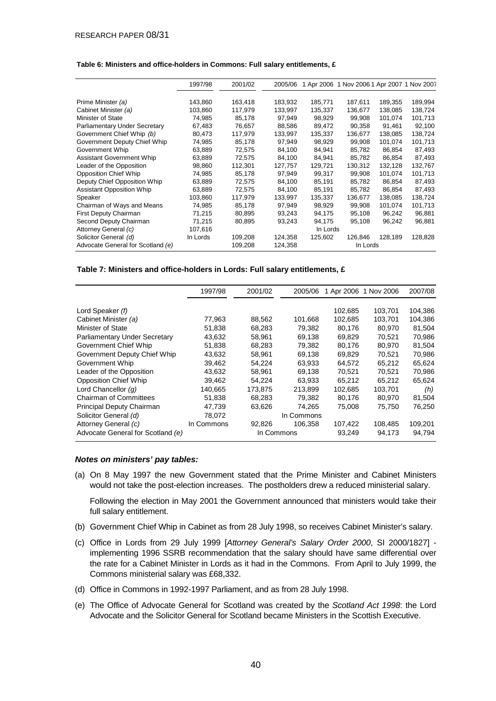#### RESEARCH PAPER 08/31

#### **Table 6: Ministers and office-holders in Commons: Full salary entitlements, £**

|                                   | 1997/98  | 2001/02 | 2005/06 |          | 1 Apr 2006 1 Nov 2006 1 Apr 2007 1 Nov 2007 |         |         |
|-----------------------------------|----------|---------|---------|----------|---------------------------------------------|---------|---------|
|                                   |          |         |         |          |                                             |         |         |
| Prime Minister (a)                | 143,860  | 163,418 | 183,932 | 185,771  | 187,611                                     | 189,355 | 189,994 |
| Cabinet Minister (a)              | 103,860  | 117,979 | 133,997 | 135,337  | 136,677                                     | 138.085 | 138,724 |
| <b>Minister of State</b>          | 74.985   | 85,178  | 97,949  | 98.929   | 99.908                                      | 101.074 | 101,713 |
| Parliamentary Under Secretary     | 67,483   | 76,657  | 88,586  | 89,472   | 90,358                                      | 91,461  | 92,100  |
| Government Chief Whip (b)         | 80,473   | 117,979 | 133,997 | 135,337  | 136,677                                     | 138.085 | 138,724 |
| Government Deputy Chief Whip      | 74,985   | 85,178  | 97,949  | 98,929   | 99,908                                      | 101,074 | 101,713 |
| Government Whip                   | 63,889   | 72,575  | 84,100  | 84,941   | 85,782                                      | 86.854  | 87,493  |
| <b>Assistant Government Whip</b>  | 63,889   | 72,575  | 84,100  | 84,941   | 85,782                                      | 86.854  | 87,493  |
| Leader of the Opposition          | 98.860   | 112,301 | 127,757 | 129.721  | 130.312                                     | 132.128 | 132,767 |
| <b>Opposition Chief Whip</b>      | 74,985   | 85,178  | 97,949  | 99,317   | 99,908                                      | 101,074 | 101,713 |
| Deputy Chief Opposition Whip      | 63,889   | 72,575  | 84,100  | 85,191   | 85,782                                      | 86,854  | 87,493  |
| <b>Assistant Opposition Whip</b>  | 63,889   | 72,575  | 84,100  | 85,191   | 85,782                                      | 86.854  | 87,493  |
| Speaker                           | 103,860  | 117,979 | 133,997 | 135,337  | 136,677                                     | 138.085 | 138,724 |
| Chairman of Ways and Means        | 74,985   | 85,178  | 97,949  | 98,929   | 99,908                                      | 101,074 | 101,713 |
| First Deputy Chairman             | 71,215   | 80,895  | 93,243  | 94,175   | 95,108                                      | 96,242  | 96,881  |
| Second Deputy Chairman            | 71,215   | 80,895  | 93,243  | 94,175   | 95,108                                      | 96,242  | 96,881  |
| Attorney General (c)              | 107,616  |         |         | In Lords |                                             |         |         |
| Solicitor General (d)             | In Lords | 109,208 | 124,358 | 125,602  | 126.846                                     | 128,189 | 128,828 |
| Advocate General for Scotland (e) |          | 109,208 | 124,358 |          | In Lords                                    |         |         |

#### **Table 7: Ministers and office-holders in Lords: Full salary entitlements, £**

|                                   | 1997/98    | 2001/02 | 2005/06    |         | 1 Apr 2006 1 Nov 2006 | 2007/08 |
|-----------------------------------|------------|---------|------------|---------|-----------------------|---------|
|                                   |            |         |            |         |                       |         |
| Lord Speaker (f)                  |            |         |            | 102,685 | 103.701               | 104,386 |
| Cabinet Minister (a)              | 77,963     | 88,562  | 101,668    | 102.685 | 103.701               | 104,386 |
| Minister of State                 | 51,838     | 68.283  | 79.382     | 80.176  | 80.970                | 81,504  |
| Parliamentary Under Secretary     | 43,632     | 58.961  | 69.138     | 69.829  | 70.521                | 70,986  |
| Government Chief Whip             | 51,838     | 68.283  | 79.382     | 80.176  | 80.970                | 81,504  |
| Government Deputy Chief Whip      | 43,632     | 58.961  | 69.138     | 69.829  | 70.521                | 70,986  |
| Government Whip                   | 39,462     | 54,224  | 63,933     | 64,572  | 65,212                | 65,624  |
| Leader of the Opposition          | 43,632     | 58,961  | 69,138     | 70,521  | 70,521                | 70,986  |
| <b>Opposition Chief Whip</b>      | 39,462     | 54,224  | 63,933     | 65,212  | 65.212                | 65,624  |
| Lord Chancellor $(q)$             | 140,665    | 173,875 | 213.899    | 102,685 | 103,701               | (h)     |
| <b>Chairman of Committees</b>     | 51,838     | 68,283  | 79,382     | 80,176  | 80,970                | 81,504  |
| Principal Deputy Chairman         | 47,739     | 63,626  | 74,265     | 75,008  | 75,750                | 76,250  |
| Solicitor General (d)             | 78,072     |         | In Commons |         |                       |         |
| Attorney General (c)              | In Commons | 92,826  | 106,358    | 107,422 | 108,485               | 109,201 |
| Advocate General for Scotland (e) |            |         | In Commons | 93,249  | 94,173                | 94,794  |

#### *Notes on ministers' pay tables:*

(a) On 8 May 1997 the new Government stated that the Prime Minister and Cabinet Ministers would not take the post-election increases. The postholders drew a reduced ministerial salary.

Following the election in May 2001 the Government announced that ministers would take their full salary entitlement.

- (b) Government Chief Whip in Cabinet as from 28 July 1998, so receives Cabinet Minister's salary.
- (c) Office in Lords from 29 July 1999 [*Attorney General's Salary Order 2000*, SI 2000/1827] implementing 1996 SSRB recommendation that the salary should have same differential over the rate for a Cabinet Minister in Lords as it had in the Commons. From April to July 1999, the Commons ministerial salary was £68,332.
- (d) Office in Commons in 1992-1997 Parliament, and as from 28 July 1998.
- (e) The Office of Advocate General for Scotland was created by the *Scotland Act 1998*: the Lord Advocate and the Solicitor General for Scotland became Ministers in the Scottish Executive.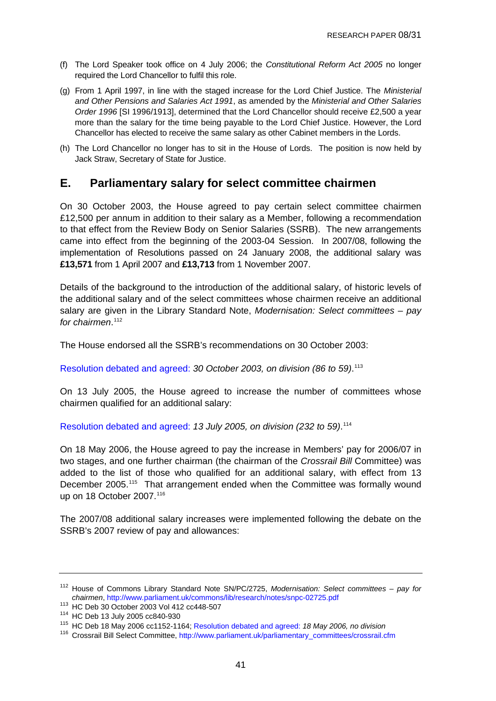- <span id="page-40-0"></span>(f) The Lord Speaker took office on 4 July 2006; the *Constitutional Reform Act 2005* no longer required the Lord Chancellor to fulfil this role.
- (g) From 1 April 1997, in line with the staged increase for the Lord Chief Justice. The *Ministerial and Other Pensions and Salaries Act 1991*, as amended by the *Ministerial and Other Salaries Order 1996* [SI 1996/1913], determined that the Lord Chancellor should receive £2,500 a year more than the salary for the time being payable to the Lord Chief Justice. However, the Lord Chancellor has elected to receive the same salary as other Cabinet members in the Lords.
- (h) The Lord Chancellor no longer has to sit in the House of Lords. The position is now held by Jack Straw, Secretary of State for Justice.

## **E. Parliamentary salary for select committee chairmen**

On 30 October 2003, the House agreed to pay certain select committee chairmen £12,500 per annum in addition to their salary as a Member, following a recommendation to that effect from the Review Body on Senior Salaries (SSRB). The new arrangements came into effect from the beginning of the 2003-04 Session. In 2007/08, following the implementation of Resolutions passed on 24 January 2008, the additional salary was **£13,571** from 1 April 2007 and **£13,713** from 1 November 2007.

Details of the background to the introduction of the additional salary, of historic levels of the additional salary and of the select committees whose chairmen receive an additional salary are given in the Library Standard Note, *Modernisation: Select committees – pay for chairmen*. [112](#page-40-0)

The House endorsed all the SSRB's recommendations on 30 October 2003:

[Resolution debated and agreed:](http://pubs1.tso.parliament.uk/pa/cm200203/cmhansrd/vo031030/debtext/31030-25.htm) *30 October 2003, on division (86 to 59)*. [113](#page-40-0)

On 13 July 2005, the House agreed to increase the number of committees whose chairmen qualified for an additional salary:

[Resolution debated and agreed:](http://pubs1.tso.parliament.uk/pa/cm200506/cmhansrd/cm050713/debtext/50713-32.htm#50713-32_div42) *13 July 2005, on division (232 to 59)*. [114](#page-40-0)

On 18 May 2006, the House agreed to pay the increase in Members' pay for 2006/07 in two stages, and one further chairman (the chairman of the *Crossrail Bill* Committee) was added to the list of those who qualified for an additional salary, with effect from 13 December 2005.[115](#page-40-0) That arrangement ended when the Committee was formally wound up on 18 October 2007.<sup>[116](#page-40-0)</sup>

The 2007/08 additional salary increases were implemented following the debate on the SSRB's 2007 review of pay and allowances:

<sup>112</sup> House of Commons Library Standard Note SN/PC/2725, *Modernisation: Select committees – pay for chairmen*,<http://www.parliament.uk/commons/lib/research/notes/snpc-02725.pdf>

<sup>&</sup>lt;sup>114</sup> HC Deb 13 July 2005 cc840-930<br><sup>115</sup> HC Deb 18 May 2006 cc1152-1164; [Resolution debated and agreed:](http://pubs1.tso.parliament.uk/pa/cm200506/cmhansrd/cm060518/debtext/60518-0241.htm#060518114000011) *18 May 2006, no division* 

<sup>116</sup> Crossrail Bill Select Committee, [http://www.parliament.uk/parliamentary\\_committees/crossrail.cfm](http://www.parliament.uk/parliamentary_committees/crossrail.cfm)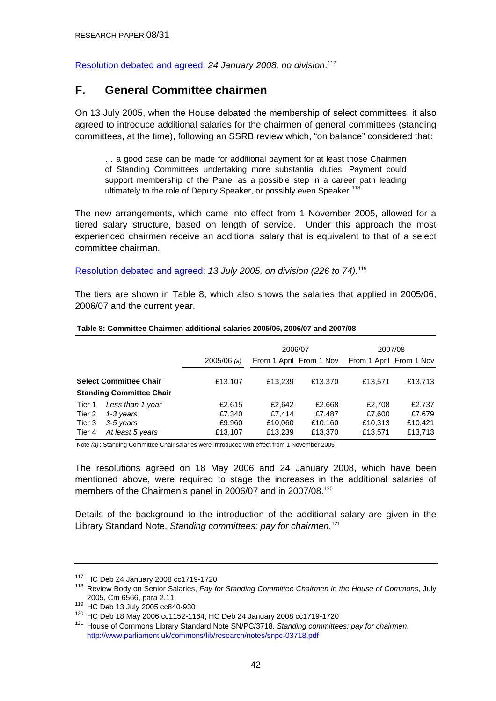<span id="page-41-0"></span>[Resolution debated and agreed:](http://www.publications.parliament.uk/pa/cm200708/cmhansrd/cm080124/debtext/80124-0018.htm#08012472000008) *24 January 2008, no division*. [117](#page-41-0)

### **F. General Committee chairmen**

On 13 July 2005, when the House debated the membership of select committees, it also agreed to introduce additional salaries for the chairmen of general committees (standing committees, at the time), following an SSRB review which, "on balance" considered that:

… a good case can be made for additional payment for at least those Chairmen of Standing Committees undertaking more substantial duties. Payment could support membership of the Panel as a possible step in a career path leading ultimately to the role of Deputy Speaker, or possibly even Speaker.<sup>[118](#page-41-0)</sup>

The new arrangements, which came into effect from 1 November 2005, allowed for a tiered salary structure, based on length of service. Under this approach the most experienced chairmen receive an additional salary that is equivalent to that of a select committee chairman.

[Resolution debated and agreed](http://pubs1.tso.parliament.uk/pa/cm200506/cmhansrd/cm050713/debtext/50713-31.htm): *13 July 2005, on division (226 to 74)*. [119](#page-41-0)

The tiers are shown in Table 8, which also shows the salaries that applied in 2005/06, 2006/07 and the current year.

|        |                                                                  |               | 2006/07 |                         | 2007/08                 |         |  |
|--------|------------------------------------------------------------------|---------------|---------|-------------------------|-------------------------|---------|--|
|        |                                                                  | $2005/06$ (a) |         | From 1 April From 1 Nov | From 1 April From 1 Nov |         |  |
|        | <b>Select Committee Chair</b><br><b>Standing Committee Chair</b> | £13.107       | £13,239 | £13,370                 | £13,571                 | £13,713 |  |
| Tier 1 | Less than 1 year                                                 | £2,615        | £2.642  | £2,668                  | £2.708                  | £2,737  |  |
| Tier 2 | 1-3 years                                                        | £7,340        | £7.414  | £7,487                  | £7,600                  | £7,679  |  |
| Tier 3 | 3-5 years                                                        | £9,960        | £10,060 | £10,160                 | £10,313                 | £10,421 |  |
| Tier 4 | At least 5 years                                                 | £13,107       | £13,239 | £13,370                 | £13,571                 | £13,713 |  |

#### **Table 8: Committee Chairmen additional salaries 2005/06, 2006/07 and 2007/08**

Note *(a)* : Standing Committee Chair salaries were introduced with effect from 1 November 2005

The resolutions agreed on 18 May 2006 and 24 January 2008, which have been mentioned above, were required to stage the increases in the additional salaries of members of the Chairmen's panel in 2006/07 and in 2007/08.<sup>[120](#page-41-0)</sup>

Details of the background to the introduction of the additional salary are given in the Library Standard Note, *Standing committees: pay for chairmen*. [121](#page-41-0)

<sup>&</sup>lt;sup>117</sup> HC Deb 24 January 2008 cc1719-1720<br><sup>118</sup> Review Body on Senior Salaries, *Pay for Standing Committee Chairmen in the House of Commons*, July

<sup>2005,</sup> Cm 6566, para 2.11<br>
<sup>119</sup> HC Deb 13 July 2005 cc840-930<br>
<sup>120</sup> HC Deb 18 May 2006 cc1152-1164; HC Deb 24 January 2008 cc1719-1720<br>
<sup>121</sup> House of Commons Library Standard Note SN/PC/3718, Standing committees: pay fo <http://www.parliament.uk/commons/lib/research/notes/snpc-03718.pdf>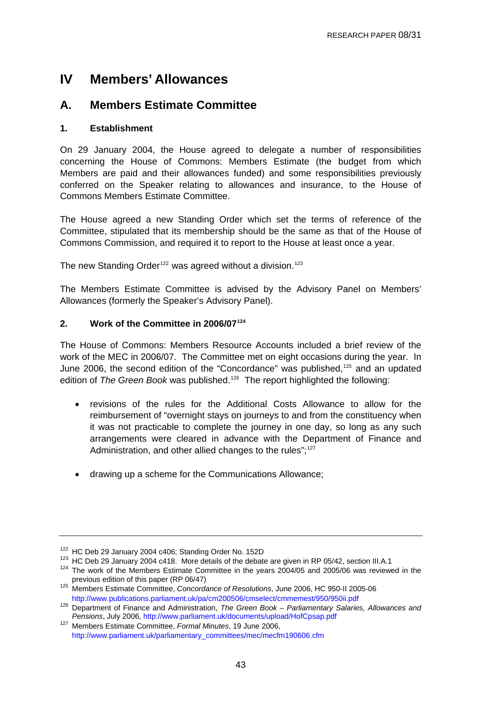# <span id="page-42-0"></span>**IV Members' Allowances**

## **A. Members Estimate Committee**

### **1. Establishment**

On 29 January 2004, the House agreed to delegate a number of responsibilities concerning the House of Commons: Members Estimate (the budget from which Members are paid and their allowances funded) and some responsibilities previously conferred on the Speaker relating to allowances and insurance, to the House of Commons Members Estimate Committee.

The House agreed a new Standing Order which set the terms of reference of the Committee, stipulated that its membership should be the same as that of the House of Commons Commission, and required it to report to the House at least once a year.

The new Standing Order<sup>[122](#page-42-0)</sup> was agreed without a division.<sup>[123](#page-42-0)</sup>

The Members Estimate Committee is advised by the Advisory Panel on Members' Allowances (formerly the Speaker's Advisory Panel).

### **2. Work of the Committee in 2006/07[124](#page-42-0)**

The House of Commons: Members Resource Accounts included a brief review of the work of the MEC in 2006/07. The Committee met on eight occasions during the year. In June 2006, the second edition of the "Concordance" was published,<sup>[125](#page-42-0)</sup> and an updated edition of *The Green Book* was published.[126](#page-42-0) The report highlighted the following:

- revisions of the rules for the Additional Costs Allowance to allow for the reimbursement of "overnight stays on journeys to and from the constituency when it was not practicable to complete the journey in one day, so long as any such arrangements were cleared in advance with the Department of Finance and Administration, and other allied changes to the rules";<sup>[127](#page-42-0)</sup>
- drawing up a scheme for the Communications Allowance;

<sup>&</sup>lt;sup>122</sup> HC Deb 29 January 2004 c406; Standing Order No. 152D<br><sup>123</sup> HC Deb 29 January 2004 c418. More details of the debate are given in RP 05/42, section III.A.1<br><sup>124</sup> The work of the Members Estimate Committee in the years

<sup>&</sup>lt;sup>125</sup> Members Estimate Committee, *Concordance of Resolutions*, June 2006, HC 950-II 2005-06

<http://www.publications.parliament.uk/pa/cm200506/cmselect/cmmemest/950/950ii.pdf> 126 Department of Finance and Administration, *The Green Book – Parliamentary Salaries, Allowances and Pensions*, July 2006, <http://www.parliament.uk/documents/upload/HofCpsap.pdf>

<sup>127</sup> Members Estimate Committee, *Formal Minutes*, 19 June 2006, [http://www.parliament.uk/parliamentary\\_committees/mec/mecfm190606.cfm](http://www.parliament.uk/parliamentary_committees/mec/mecfm190606.cfm)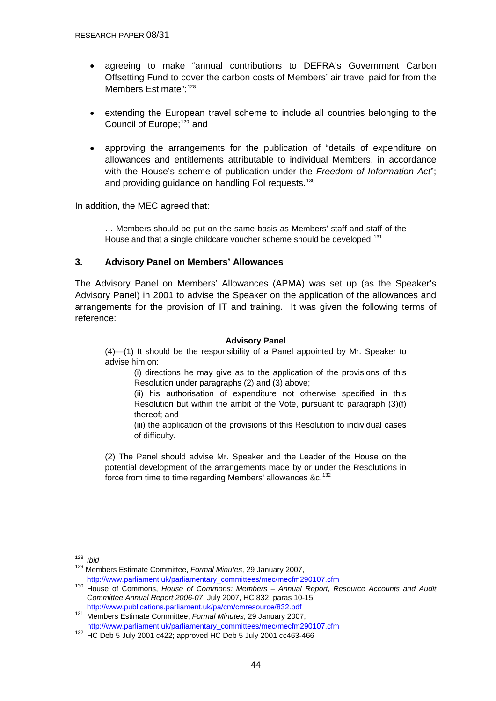- <span id="page-43-0"></span>agreeing to make "annual contributions to DEFRA's Government Carbon Offsetting Fund to cover the carbon costs of Members' air travel paid for from the Members Estimate":<sup>[128](#page-43-0)</sup>
- extending the European travel scheme to include all countries belonging to the Council of Europe:<sup>[129](#page-43-0)</sup> and
- approving the arrangements for the publication of "details of expenditure on allowances and entitlements attributable to individual Members, in accordance with the House's scheme of publication under the *Freedom of Information Act*"; and providing guidance on handling FoI requests.<sup>[130](#page-43-0)</sup>

In addition, the MEC agreed that:

… Members should be put on the same basis as Members' staff and staff of the House and that a single childcare voucher scheme should be developed.<sup>[131](#page-43-0)</sup>

#### **3. Advisory Panel on Members' Allowances**

The Advisory Panel on Members' Allowances (APMA) was set up (as the Speaker's Advisory Panel) in 2001 to advise the Speaker on the application of the allowances and arrangements for the provision of IT and training. It was given the following terms of reference:

#### **Advisory Panel**

(4)—(1) It should be the responsibility of a Panel appointed by Mr. Speaker to advise him on:

(i) directions he may give as to the application of the provisions of this Resolution under paragraphs (2) and (3) above;

(ii) his authorisation of expenditure not otherwise specified in this Resolution but within the ambit of the Vote, pursuant to paragraph (3)(f) thereof; and

(iii) the application of the provisions of this Resolution to individual cases of difficulty.

(2) The Panel should advise Mr. Speaker and the Leader of the House on the potential development of the arrangements made by or under the Resolutions in force from time to time regarding Members' allowances &c.<sup>[132](#page-43-0)</sup>

<sup>128</sup> *Ibid* 

<sup>129</sup> Members Estimate Committee, *Formal Minutes*, 29 January 2007,

[http://www.parliament.uk/parliamentary\\_committees/mec/mecfm290107.cfm](http://www.parliament.uk/parliamentary_committees/mec/mecfm290107.cfm) 130 House of Commons, *House of Commons: Members – Annual Report, Resource Accounts and Audit Committee Annual Report 2006-07*, July 2007, HC 832, paras 10-15,

<http://www.publications.parliament.uk/pa/cm/cmresource/832.pdf>131 Members Estimate Committee, *Formal Minutes*, 29 January 2007,

[http://www.parliament.uk/parliamentary\\_committees/mec/mecfm290107.cfm](http://www.parliament.uk/parliamentary_committees/mec/mecfm290107.cfm) 132 HC Deb 5 July 2001 c422; approved HC Deb 5 July 2001 cc463-466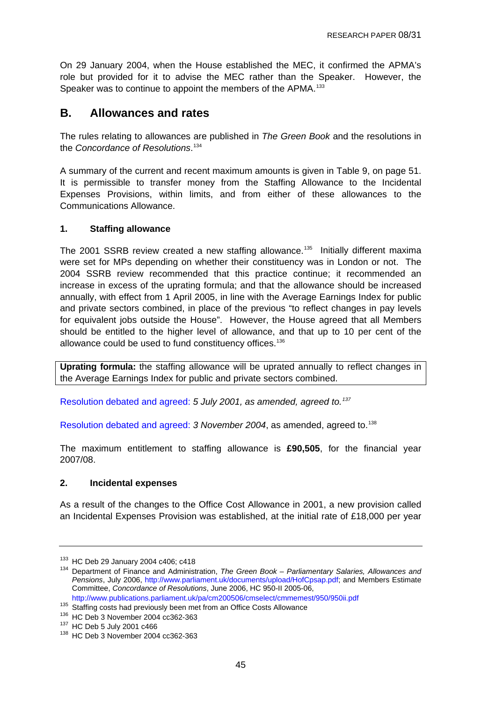<span id="page-44-0"></span>On 29 January 2004, when the House established the MEC, it confirmed the APMA's role but provided for it to advise the MEC rather than the Speaker. However, the Speaker was to continue to appoint the members of the APMA.<sup>[133](#page-44-0)</sup>

### **B. Allowances and rates**

The rules relating to allowances are published in *The Green Book* and the resolutions in the *Concordance of Resolutions*. [134](#page-44-0)

A summary of the current and recent maximum amounts is given in Table 9, on page 51. It is permissible to transfer money from the Staffing Allowance to the Incidental Expenses Provisions, within limits, and from either of these allowances to the Communications Allowance.

#### **1. Staffing allowance**

The 2001 SSRB review created a new staffing allowance.<sup>[135](#page-44-0)</sup> Initially different maxima were set for MPs depending on whether their constituency was in London or not. The 2004 SSRB review recommended that this practice continue; it recommended an increase in excess of the uprating formula; and that the allowance should be increased annually, with effect from 1 April 2005, in line with the Average Earnings Index for public and private sectors combined, in place of the previous "to reflect changes in pay levels for equivalent jobs outside the House". However, the House agreed that all Members should be entitled to the higher level of allowance, and that up to 10 per cent of the allowance could be used to fund constituency offices.<sup>[136](#page-44-0)</sup>

**Uprating formula:** the staffing allowance will be uprated annually to reflect changes in the Average Earnings Index for public and private sectors combined.

[Resolution debated and agreed:](http://www.publications.parliament.uk/pa/cm200102/cmhansrd/vo010705/debtext/10705-24.htm#10705-24_div11) *5 July 2001, as amended, agreed to.[137](#page-44-0)*

[Resolution debated and agreed:](http://www.publications.parliament.uk/pa/cm200304/cmhansrd/cm041103/debtext/41103-21.htm#41103-21_div308) *3 November 2004*, as amended, agreed to.[138](#page-44-0)

The maximum entitlement to staffing allowance is **£90,505**, for the financial year 2007/08.

#### **2. Incidental expenses**

As a result of the changes to the Office Cost Allowance in 2001, a new provision called an Incidental Expenses Provision was established, at the initial rate of £18,000 per year

<sup>&</sup>lt;sup>133</sup> HC Deb 29 January 2004 c406; c418<br><sup>134</sup> Department of Finance and Administration, *The Green Book – Parliamentary Salaries, Allowances and Pensions*, July 2006, [http://www.parliament.uk/documents/upload/HofCpsap.pdf;](http://www.parliament.uk/documents/upload/HofCpsap.pdf) and Members Estimate Committee, *Concordance of Resolutions*, June 2006, HC 950-II 2005-06,

<http://www.publications.parliament.uk/pa/cm200506/cmselect/cmmemest/950/950ii.pdf>

<sup>&</sup>lt;sup>135</sup> Staffing costs had previously been met from an Office Costs Allowance<br><sup>136</sup> HC Deb 3 November 2004 cc362-363<br><sup>137</sup> HC Deb 5 July 2001 c466<br><sup>138</sup> HC Deb 3 November 2004 cc362-363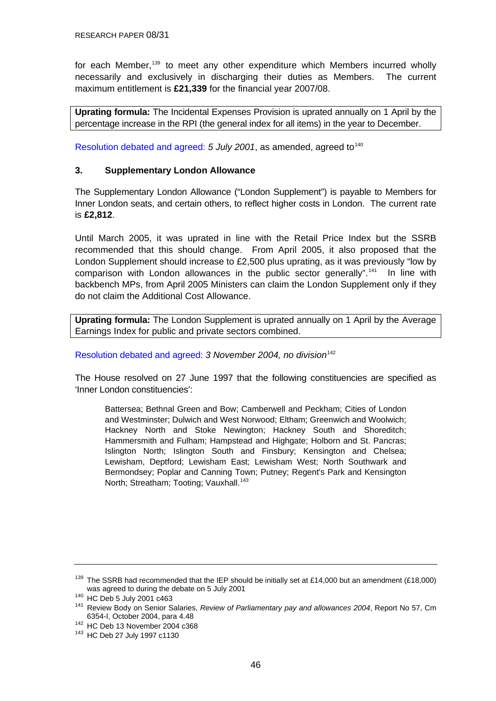<span id="page-45-0"></span>for each Member,<sup>[139](#page-45-0)</sup> to meet any other expenditure which Members incurred wholly necessarily and exclusively in discharging their duties as Members. The current maximum entitlement is **£21,339** for the financial year 2007/08.

**Uprating formula:** The Incidental Expenses Provision is uprated annually on 1 April by the percentage increase in the RPI (the general index for all items) in the year to December.

[Resolution debated and agreed:](http://www.parliament.the-stationery-office.co.uk/pa/cm200102/cmhansrd/vo010705/debtext/10705-11.htm#10705-11_head2) 5 July 2001, as amended, agreed to<sup>[140](#page-45-0)</sup>

#### **3. Supplementary London Allowance**

The Supplementary London Allowance ("London Supplement") is payable to Members for Inner London seats, and certain others, to reflect higher costs in London. The current rate is **£2,812**.

Until March 2005, it was uprated in line with the Retail Price Index but the SSRB recommended that this should change. From April 2005, it also proposed that the London Supplement should increase to £2,500 plus uprating, as it was previously "low by comparison with London allowances in the public sector generally".<sup>[141](#page-45-0)</sup> In line with backbench MPs, from April 2005 Ministers can claim the London Supplement only if they do not claim the Additional Cost Allowance.

**Uprating formula:** The London Supplement is uprated annually on 1 April by the Average Earnings Index for public and private sectors combined.

[Resolution debated and agreed:](http://www.publications.parliament.uk/pa/cm200304/cmhansrd/cm041103/debtext/41103-22.htm#41103-22_head0) *3 November 2004, no division*[142](#page-45-0)

The House resolved on 27 June 1997 that the following constituencies are specified as 'Inner London constituencies':

Battersea; Bethnal Green and Bow; Camberwell and Peckham; Cities of London and Westminster; Dulwich and West Norwood; Eltham; Greenwich and Woolwich; Hackney North and Stoke Newington; Hackney South and Shoreditch; Hammersmith and Fulham; Hampstead and Highgate; Holborn and St. Pancras; Islington North; Islington South and Finsbury; Kensington and Chelsea; Lewisham, Deptford; Lewisham East; Lewisham West; North Southwark and Bermondsey; Poplar and Canning Town; Putney; Regent's Park and Kensington North: Streatham: Tooting: Vauxhall.<sup>[143](#page-45-0)</sup>

<sup>&</sup>lt;sup>139</sup> The SSRB had recommended that the IEP should be initially set at £14,000 but an amendment (£18,000) was agreed to during the debate on 5 July 2001<br><sup>140</sup> HC Deb 5 July 2001 c463<br><sup>141</sup> Review Body on Senior Salaries, *Review of Parliamentary pay and allowances 2004*, Report No 57, Cm

<sup>6354-</sup>I, October 2004, para 4.48 142 HC Deb 13 November 2004 c368 143 HC Deb 27 July 1997 c1130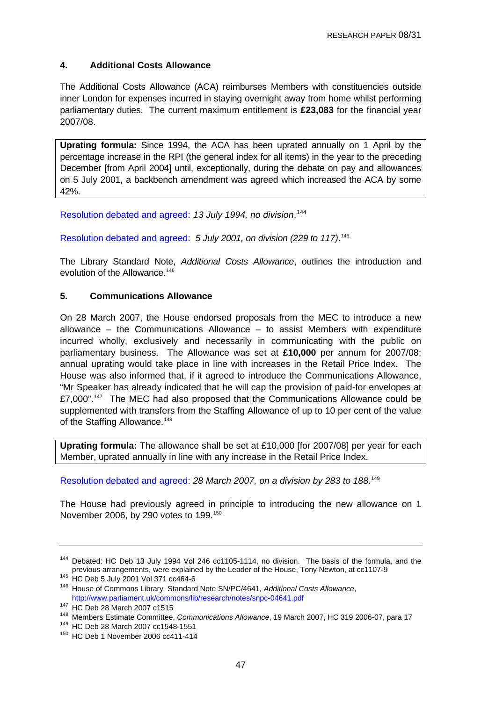### <span id="page-46-0"></span>**4. Additional Costs Allowance**

The Additional Costs Allowance (ACA) reimburses Members with constituencies outside inner London for expenses incurred in staying overnight away from home whilst performing parliamentary duties. The current maximum entitlement is **£23,083** for the financial year 2007/08.

**Uprating formula:** Since 1994, the ACA has been uprated annually on 1 April by the percentage increase in the RPI (the general index for all items) in the year to the preceding December [from April 2004] until, exceptionally, during the debate on pay and allowances on 5 July 2001, a backbench amendment was agreed which increased the ACA by some 42%.

[Resolution debated and agreed:](http://www.parliament.the-stationery-office.co.uk/pa/cm199394/cmhansrd/1994-07-13/Debate-11.html) *13 July 1994, no division*. [144](#page-46-0)

[Resolution debated and agreed:](http://www.parliament.the-stationery-office.co.uk/pa/cm200102/cmhansrd/vo010705/debtext/10705-11.htm#10705-11_head2) *5 July 2001, on division (229 to 117)*. [145](#page-46-0)

The Library Standard Note, *Additional Costs Allowance*, outlines the introduction and evolution of the Allowance.<sup>[146](#page-46-0)</sup>

#### **5. Communications Allowance**

On 28 March 2007, the House endorsed proposals from the MEC to introduce a new allowance – the Communications Allowance – to assist Members with expenditure incurred wholly, exclusively and necessarily in communicating with the public on parliamentary business. The Allowance was set at **£10,000** per annum for 2007/08; annual uprating would take place in line with increases in the Retail Price Index. The House was also informed that, if it agreed to introduce the Communications Allowance, "Mr Speaker has already indicated that he will cap the provision of paid-for envelopes at £7,000".<sup>[147](#page-46-0)</sup> The MEC had also proposed that the Communications Allowance could be supplemented with transfers from the Staffing Allowance of up to 10 per cent of the value of the Staffing Allowance.<sup>[148](#page-46-0)</sup>

**Uprating formula:** The allowance shall be set at £10,000 [for 2007/08] per year for each Member, uprated annually in line with any increase in the Retail Price Index.

[Resolution debated and agreed](http://www.publications.parliament.uk/pa/cm200607/cmhansrd/cm070328/debtext/70328-0012.htm): 28 March 2007, on a division by 283 to 188.<sup>[149](#page-46-0)</sup>

The House had previously agreed in principle to introducing the new allowance on 1 November 2006, by 290 votes to 199.[150](#page-46-0)

<sup>&</sup>lt;sup>144</sup> Debated: HC Deb 13 July 1994 Vol 246 cc1105-1114, no division. The basis of the formula, and the previous arrangements, were explained by the Leader of the House, Tony Newton, at cc1107-9

previous arrangements, were explained by the Leader of the House, Tony Newton, at cc1107-9 145 HC Deb 5 July 2001 Vol 371 cc464-6 146 House of Commons Library Standard Note SN/PC/4641, *Additional Costs Allowance*,

<http://www.parliament.uk/commons/lib/research/notes/snpc-04641.pdf><br>
<sup>147</sup> HC Deb 28 March 2007 c1515<br>
<sup>148</sup> Members Estimate Committee, *Communications Allowance*, 19 March 2007, HC 319 2006-07, para 17<br>
<sup>149</sup> HC Deb 28 Ma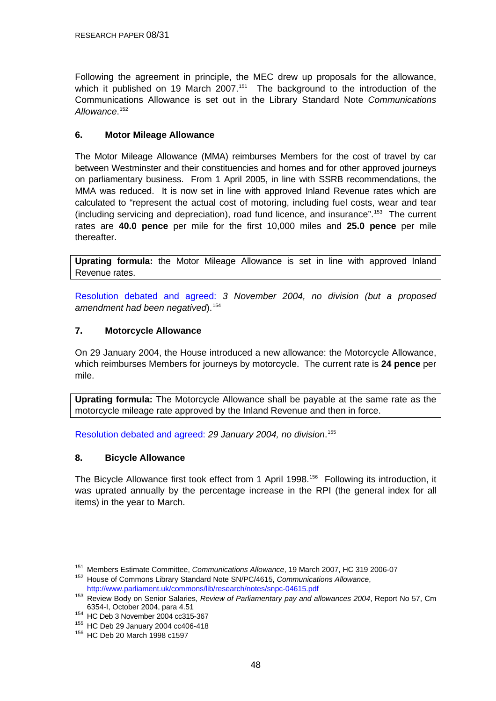<span id="page-47-0"></span>Following the agreement in principle, the MEC drew up proposals for the allowance, which it published on 19 March 2007.<sup>[151](#page-47-0)</sup> The background to the introduction of the Communications Allowance is set out in the Library Standard Note *Communications Allowance*. [152](#page-47-0)

### **6. Motor Mileage Allowance**

The Motor Mileage Allowance (MMA) reimburses Members for the cost of travel by car between Westminster and their constituencies and homes and for other approved journeys on parliamentary business. From 1 April 2005, in line with SSRB recommendations, the MMA was reduced. It is now set in line with approved Inland Revenue rates which are calculated to "represent the actual cost of motoring, including fuel costs, wear and tear (including servicing and depreciation), road fund licence, and insurance".[153](#page-47-0) The current rates are **40.0 pence** per mile for the first 10,000 miles and **25.0 pence** per mile thereafter.

**Uprating formula:** the Motor Mileage Allowance is set in line with approved Inland Revenue rates.

[Resolution debated and agreed:](http://www.parliament.the-stationery-office.co.uk/pa/cm199596/cmhansrd/vo960710/debtext/60710-47.htm#60710-47_head0) *3 November 2004, no division (but a proposed*  amendment had been negatived).<sup>[154](#page-47-0)</sup>

### **7. Motorcycle Allowance**

On 29 January 2004, the House introduced a new allowance: the Motorcycle Allowance, which reimburses Members for journeys by motorcycle. The current rate is **24 pence** per mile.

**Uprating formula:** The Motorcycle Allowance shall be payable at the same rate as the motorcycle mileage rate approved by the Inland Revenue and then in force.

[Resolution debated and agreed:](http://www.publications.parliament.uk/pa/cm200304/cmhansrd/cm040129/debtext/40129-11.htm#40129-11_head0) *29 January 2004, no division*. [155](#page-47-0)

#### **8. Bicycle Allowance**

The Bicycle Allowance first took effect from 1 April 1998.<sup>[156](#page-47-0)</sup> Following its introduction, it was uprated annually by the percentage increase in the RPI (the general index for all items) in the year to March.

<sup>&</sup>lt;sup>151</sup> Members Estimate Committee, *Communications Allowance*, 19 March 2007, HC 319 2006-07<br><sup>152</sup> House of Commons Library Standard Note SN/PC/4615, *Communications Allowance*,

<http://www.parliament.uk/commons/lib/research/notes/snpc-04615.pdf> 153 Review Body on Senior Salaries, *Review of Parliamentary pay and allowances 2004*, Report No 57, Cm

<sup>&</sup>lt;sup>154</sup> HC Deb 3 November 2004 cc315-367<br><sup>155</sup> HC Deb 29 January 2004 cc406-418<br><sup>156</sup> HC Deb 20 March 1998 c1597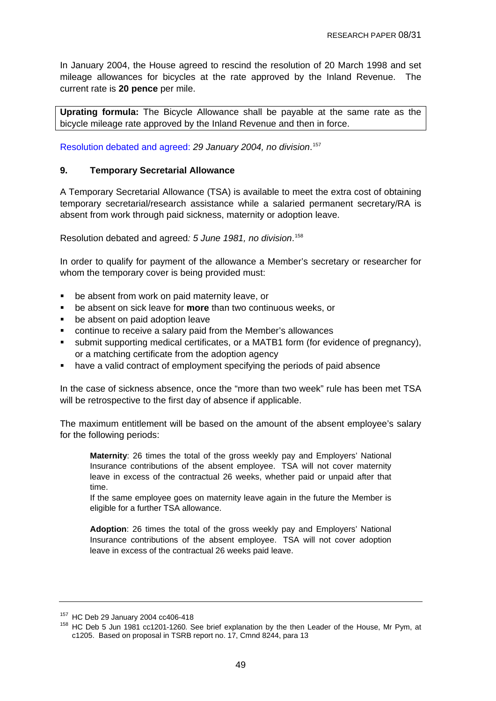<span id="page-48-0"></span>In January 2004, the House agreed to rescind the resolution of 20 March 1998 and set mileage allowances for bicycles at the rate approved by the Inland Revenue. The current rate is **20 pence** per mile.

**Uprating formula:** The Bicycle Allowance shall be payable at the same rate as the bicycle mileage rate approved by the Inland Revenue and then in force.

[Resolution debated and agreed:](http://www.publications.parliament.uk/pa/cm200304/cmhansrd/cm040129/debtext/40129-11.htm#40129-11_head0) *29 January 2004, no division*. [157](#page-48-0)

#### **9. Temporary Secretarial Allowance**

A Temporary Secretarial Allowance (TSA) is available to meet the extra cost of obtaining temporary secretarial/research assistance while a salaried permanent secretary/RA is absent from work through paid sickness, maternity or adoption leave.

Resolution debated and agreed*: 5 June 1981, no division*. [158](#page-48-0)

In order to qualify for payment of the allowance a Member's secretary or researcher for whom the temporary cover is being provided must:

- be absent from work on paid maternity leave, or
- be absent on sick leave for **more** than two continuous weeks, or
- be absent on paid adoption leave
- continue to receive a salary paid from the Member's allowances
- submit supporting medical certificates, or a MATB1 form (for evidence of pregnancy), or a matching certificate from the adoption agency
- have a valid contract of employment specifying the periods of paid absence

In the case of sickness absence, once the "more than two week" rule has been met TSA will be retrospective to the first day of absence if applicable.

The maximum entitlement will be based on the amount of the absent employee's salary for the following periods:

**Maternity**: 26 times the total of the gross weekly pay and Employers' National Insurance contributions of the absent employee. TSA will not cover maternity leave in excess of the contractual 26 weeks, whether paid or unpaid after that time.

If the same employee goes on maternity leave again in the future the Member is eligible for a further TSA allowance.

**Adoption**: 26 times the total of the gross weekly pay and Employers' National Insurance contributions of the absent employee. TSA will not cover adoption leave in excess of the contractual 26 weeks paid leave.

<sup>&</sup>lt;sup>157</sup> HC Deb 29 January 2004 cc406-418<br><sup>158</sup> HC Deb 5 Jun 1981 cc1201-1260. See brief explanation by the then Leader of the House, Mr Pym, at c1205. Based on proposal in TSRB report no. 17, Cmnd 8244, para 13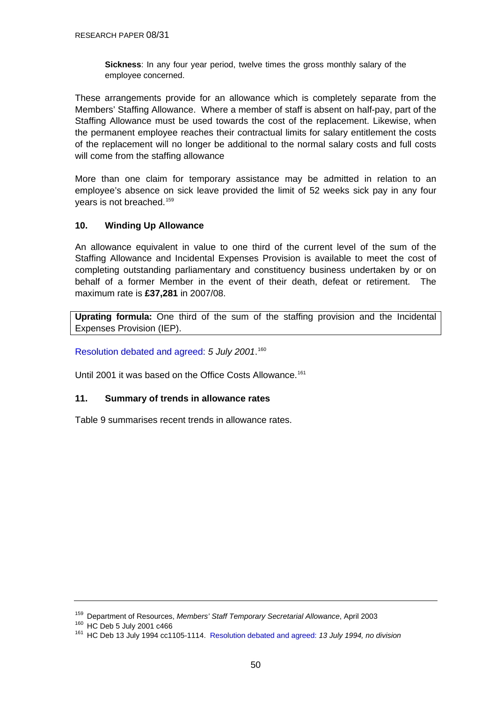**Sickness**: In any four year period, twelve times the gross monthly salary of the employee concerned.

<span id="page-49-0"></span>These arrangements provide for an allowance which is completely separate from the Members' Staffing Allowance. Where a member of staff is absent on half-pay, part of the Staffing Allowance must be used towards the cost of the replacement. Likewise, when the permanent employee reaches their contractual limits for salary entitlement the costs of the replacement will no longer be additional to the normal salary costs and full costs will come from the staffing allowance

More than one claim for temporary assistance may be admitted in relation to an employee's absence on sick leave provided the limit of 52 weeks sick pay in any four years is not breached.<sup>[159](#page-49-0)</sup>

### **10. Winding Up Allowance**

An allowance equivalent in value to one third of the current level of the sum of the Staffing Allowance and Incidental Expenses Provision is available to meet the cost of completing outstanding parliamentary and constituency business undertaken by or on behalf of a former Member in the event of their death, defeat or retirement. The maximum rate is **£37,281** in 2007/08.

**Uprating formula:** One third of the sum of the staffing provision and the Incidental Expenses Provision (IEP).

[Resolution debated and agreed:](http://www.parliament.the-stationery-office.co.uk/pa/cm200102/cmhansrd/vo010705/debtext/10705-11.htm#10705-11_head2) *5 July 2001*. [160](#page-49-0)

Until 2001 it was based on the Office Costs Allowance.<sup>[161](#page-49-0)</sup>

### **11. Summary of trends in allowance rates**

Table 9 summarises recent trends in allowance rates.

<sup>&</sup>lt;sup>159</sup> Department of Resources, *Members' Staff Temporary Secretarial Allowance*, April 2003<br><sup>160</sup> HC Deb 5 July 2001 c466<br><sup>161</sup> HC Deb 13 July 1994 cc1105-1114. [Resolution debated and agreed:](http://www.parliament.the-stationery-office.co.uk/pa/cm199394/cmhansrd/1994-07-13/Debate-11.html) 13 July 1994, no division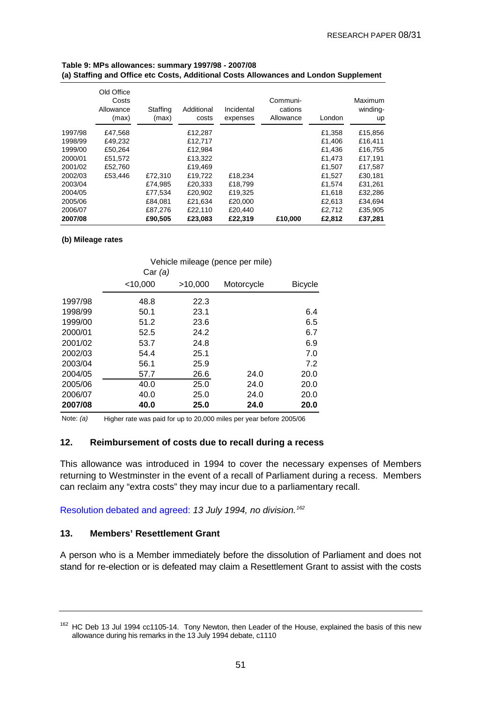|         | Old Office<br>Costs<br>Allowance<br>(max) | Staffing<br>(max) | Additional<br>costs | Incidental<br>expenses | Communi-<br>cations<br>Allowance | London | Maximum<br>winding-<br>up |
|---------|-------------------------------------------|-------------------|---------------------|------------------------|----------------------------------|--------|---------------------------|
| 1997/98 | £47.568                                   |                   | £12.287             |                        |                                  | £1.358 | £15,856                   |
| 1998/99 | £49,232                                   |                   | £12,717             |                        |                                  | £1,406 | £16,411                   |
| 1999/00 | £50,264                                   |                   | £12.984             |                        |                                  | £1.436 | £16,755                   |
| 2000/01 | £51,572                                   |                   | £13.322             |                        |                                  | £1.473 | £17.191                   |
| 2001/02 | £52.760                                   |                   | £19,469             |                        |                                  | £1,507 | £17,587                   |
| 2002/03 | £53.446                                   | £72,310           | £19.722             | £18,234                |                                  | £1,527 | £30.181                   |
| 2003/04 |                                           | £74,985           | £20.333             | £18,799                |                                  | £1.574 | £31,261                   |
| 2004/05 |                                           | £77,534           | £20,902             | £19,325                |                                  | £1.618 | £32,286                   |
| 2005/06 |                                           | £84,081           | £21,634             | £20,000                |                                  | £2,613 | £34,694                   |
| 2006/07 |                                           | £87,276           | £22,110             | £20,440                |                                  | £2.712 | £35,905                   |
| 2007/08 |                                           | £90,505           | £23,083             | £22,319                | £10,000                          | £2,812 | £37,281                   |

#### <span id="page-50-0"></span>**Table 9: MPs allowances: summary 1997/98 - 2007/08 (a) Staffing and Office etc Costs, Additional Costs Allowances and London Supplement**

#### **(b) Mileage rates**

|         |            |         | Vehicle mileage (pence per mile) |                |
|---------|------------|---------|----------------------------------|----------------|
|         | Car(a)     |         |                                  |                |
|         | $<$ 10,000 | >10,000 | Motorcycle                       | <b>Bicycle</b> |
| 1997/98 | 48.8       | 22.3    |                                  |                |
| 1998/99 | 50.1       | 23.1    |                                  | 6.4            |
| 1999/00 | 51.2       | 23.6    |                                  | 6.5            |
| 2000/01 | 52.5       | 24.2    |                                  | 6.7            |
| 2001/02 | 53.7       | 24.8    |                                  | 6.9            |
| 2002/03 | 54.4       | 25.1    |                                  | 7.0            |
| 2003/04 | 56.1       | 25.9    |                                  | 7.2            |
| 2004/05 | 57.7       | 26.6    | 24.0                             | 20.0           |
| 2005/06 | 40.0       | 25.0    | 24.0                             | 20.0           |
| 2006/07 | 40.0       | 25.0    | 24.0                             | 20.0           |
| 2007/08 | 40.0       | 25.0    | 24.0                             | 20.0           |

Note: *(a)* Higher rate was paid for up to 20,000 miles per year before 2005/06

#### **12. Reimbursement of costs due to recall during a recess**

This allowance was introduced in 1994 to cover the necessary expenses of Members returning to Westminster in the event of a recall of Parliament during a recess. Members can reclaim any "extra costs" they may incur due to a parliamentary recall.

[Resolution debated and agreed:](http://www.parliament.the-stationery-office.co.uk/pa/cm199394/cmhansrd/1994-07-13/Debate-11.html) *13 July 1994, no division.[162](#page-50-0)*

#### **13. Members' Resettlement Grant**

A person who is a Member immediately before the dissolution of Parliament and does not stand for re-election or is defeated may claim a Resettlement Grant to assist with the costs

<sup>&</sup>lt;sup>162</sup> HC Deb 13 Jul 1994 cc1105-14. Tony Newton, then Leader of the House, explained the basis of this new allowance during his remarks in the 13 July 1994 debate, c1110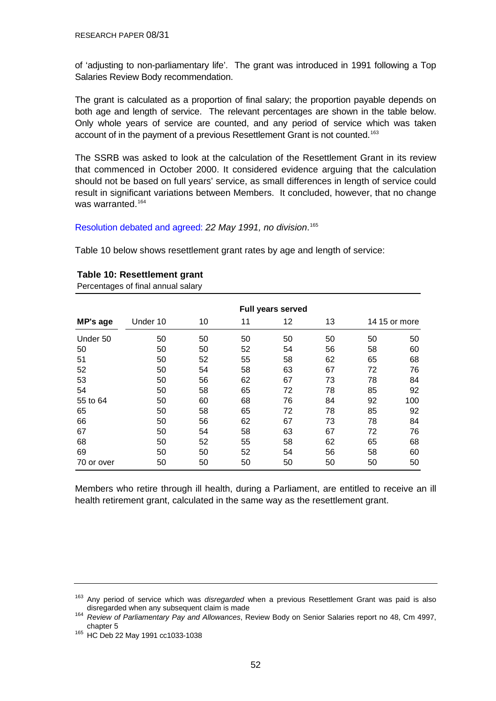<span id="page-51-0"></span>of 'adjusting to non-parliamentary life'. The grant was introduced in 1991 following a Top Salaries Review Body recommendation.

The grant is calculated as a proportion of final salary; the proportion payable depends on both age and length of service. The relevant percentages are shown in the table below. Only whole years of service are counted, and any period of service which was taken account of in the payment of a previous Resettlement Grant is not counted.<sup>[163](#page-51-0)</sup>

The SSRB was asked to look at the calculation of the Resettlement Grant in its review that commenced in October 2000. It considered evidence arguing that the calculation should not be based on full years' service, as small differences in length of service could result in significant variations between Members. It concluded, however, that no change was warranted.<sup>[164](#page-51-0)</sup>

[Resolution debated and agreed:](http://www.parliament.the-stationery-office.co.uk/pa/cm199091/cmhansrd/1991-05-22/Debate-14.html) *22 May 1991, no division*. [165](#page-51-0)

Table 10 below shows resettlement grant rates by age and length of service:

|            |          |    |    | <b>Full years served</b> |    |    |               |
|------------|----------|----|----|--------------------------|----|----|---------------|
| MP's age   | Under 10 | 10 | 11 | 12                       | 13 |    | 14 15 or more |
| Under 50   | 50       | 50 | 50 | 50                       | 50 | 50 | 50            |
| 50         | 50       | 50 | 52 | 54                       | 56 | 58 | 60            |
| 51         | 50       | 52 | 55 | 58                       | 62 | 65 | 68            |
| 52         | 50       | 54 | 58 | 63                       | 67 | 72 | 76            |
| 53         | 50       | 56 | 62 | 67                       | 73 | 78 | 84            |
| 54         | 50       | 58 | 65 | 72                       | 78 | 85 | 92            |
| 55 to 64   | 50       | 60 | 68 | 76                       | 84 | 92 | 100           |
| 65         | 50       | 58 | 65 | 72                       | 78 | 85 | 92            |
| 66         | 50       | 56 | 62 | 67                       | 73 | 78 | 84            |
| 67         | 50       | 54 | 58 | 63                       | 67 | 72 | 76            |
| 68         | 50       | 52 | 55 | 58                       | 62 | 65 | 68            |
| 69         | 50       | 50 | 52 | 54                       | 56 | 58 | 60            |
| 70 or over | 50       | 50 | 50 | 50                       | 50 | 50 | 50            |

#### **Table 10: Resettlement grant**

Percentages of final annual salary

Members who retire through ill health, during a Parliament, are entitled to receive an ill health retirement grant, calculated in the same way as the resettlement grant.

<sup>&</sup>lt;sup>163</sup> Any period of service which was *disregarded* when a previous Resettlement Grant was paid is also<br>disregarded when any subsequent claim is made

disregarded when any subsequent claim is made 164 *Review of Parliamentary Pay and Allowances*, Review Body on Senior Salaries report no 48, Cm 4997,

chapter 5<br><sup>165</sup> HC Deb 22 May 1991 cc1033-1038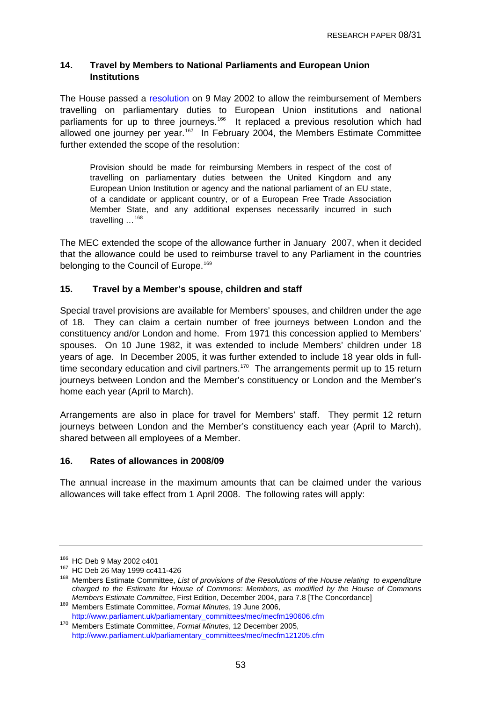#### <span id="page-52-0"></span>**14. Travel by Members to National Parliaments and European Union Institutions**

The House passed a [resolution](http://www.parliament.the-stationery-office.co.uk/pa/cm200102/cmhansrd/vo020509/debtext/20509-41.htm#20509-41_spmin1) on 9 May 2002 to allow the reimbursement of Members travelling on parliamentary duties to European Union institutions and national parliaments for up to three journeys.<sup>[166](#page-52-0)</sup> It replaced a previous resolution which had allowed one journey per year.<sup>[167](#page-52-0)</sup> In February 2004, the Members Estimate Committee further extended the scope of the resolution:

Provision should be made for reimbursing Members in respect of the cost of travelling on parliamentary duties between the United Kingdom and any European Union Institution or agency and the national parliament of an EU state, of a candidate or applicant country, or of a European Free Trade Association Member State, and any additional expenses necessarily incurred in such travelling …[168](#page-52-0)

The MEC extended the scope of the allowance further in January 2007, when it decided that the allowance could be used to reimburse travel to any Parliament in the countries belonging to the Council of Europe.<sup>[169](#page-52-0)</sup>

### **15. Travel by a Member's spouse, children and staff**

Special travel provisions are available for Members' spouses, and children under the age of 18. They can claim a certain number of free journeys between London and the constituency and/or London and home. From 1971 this concession applied to Members' spouses. On 10 June 1982, it was extended to include Members' children under 18 years of age. In December 2005, it was further extended to include 18 year olds in full-time secondary education and civil partners.<sup>[170](#page-52-0)</sup> The arrangements permit up to 15 return journeys between London and the Member's constituency or London and the Member's home each year (April to March).

Arrangements are also in place for travel for Members' staff. They permit 12 return journeys between London and the Member's constituency each year (April to March), shared between all employees of a Member.

### **16. Rates of allowances in 2008/09**

The annual increase in the maximum amounts that can be claimed under the various allowances will take effect from 1 April 2008. The following rates will apply:

<sup>&</sup>lt;sup>166</sup> HC Deb 9 May 2002 c401<br><sup>167</sup> HC Deb 26 May 1999 cc411-426<br><sup>168</sup> Members Estimate Committee, *List of provisions of the Resolutions of the House relating to expenditure charged to the Estimate for House of Commons: Members, as modified by the House of Commons* 

<sup>&</sup>lt;sup>169</sup> Members Estimate Committee, Formal Minutes, 19 June 2006, [http://www.parliament.uk/parliamentary\\_committees/mec/mecfm190606.cfm](http://www.parliament.uk/parliamentary_committees/mec/mecfm190606.cfm)

<sup>170</sup> Members Estimate Committee, *Formal Minutes*, 12 December 2005, [http://www.parliament.uk/parliamentary\\_committees/mec/mecfm121205.cfm](http://www.parliament.uk/parliamentary_committees/mec/mecfm121205.cfm)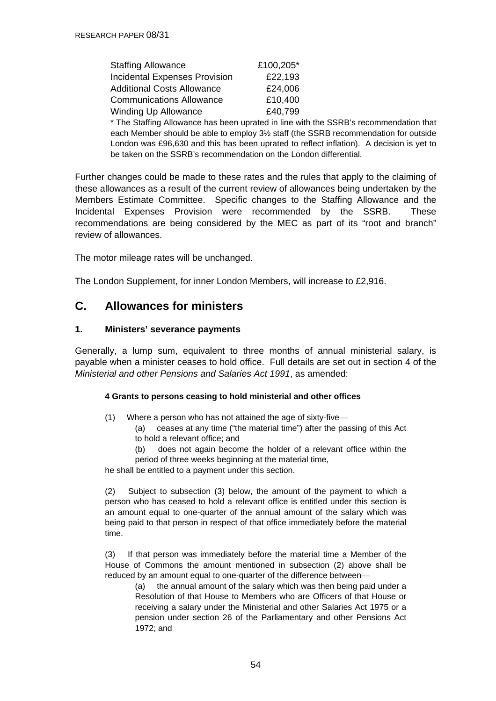| <b>Staffing Allowance</b>            | £100,205* |
|--------------------------------------|-----------|
| <b>Incidental Expenses Provision</b> | £22,193   |
| <b>Additional Costs Allowance</b>    | £24,006   |
| <b>Communications Allowance</b>      | £10,400   |
| <b>Winding Up Allowance</b>          | £40,799   |

\* The Staffing Allowance has been uprated in line with the SSRB's recommendation that each Member should be able to employ 3½ staff (the SSRB recommendation for outside London was £96,630 and this has been uprated to reflect inflation). A decision is yet to be taken on the SSRB's recommendation on the London differential.

Further changes could be made to these rates and the rules that apply to the claiming of these allowances as a result of the current review of allowances being undertaken by the Members Estimate Committee. Specific changes to the Staffing Allowance and the Incidental Expenses Provision were recommended by the SSRB. These recommendations are being considered by the MEC as part of its "root and branch" review of allowances.

The motor mileage rates will be unchanged.

The London Supplement, for inner London Members, will increase to £2,916.

## **C. Allowances for ministers**

#### **1. Ministers' severance payments**

Generally, a lump sum, equivalent to three months of annual ministerial salary, is payable when a minister ceases to hold office. Full details are set out in section 4 of the *Ministerial and other Pensions and Salaries Act 1991*, as amended:

#### **4 Grants to persons ceasing to hold ministerial and other offices**

- (1) Where a person who has not attained the age of sixty-five—
	- (a) ceases at any time ("the material time") after the passing of this Act to hold a relevant office; and
	- (b) does not again become the holder of a relevant office within the period of three weeks beginning at the material time,

he shall be entitled to a payment under this section.

(2) Subject to subsection (3) below, the amount of the payment to which a person who has ceased to hold a relevant office is entitled under this section is an amount equal to one-quarter of the annual amount of the salary which was being paid to that person in respect of that office immediately before the material time.

(3) If that person was immediately before the material time a Member of the House of Commons the amount mentioned in subsection (2) above shall be reduced by an amount equal to one-quarter of the difference between—

(a) the annual amount of the salary which was then being paid under a Resolution of that House to Members who are Officers of that House or receiving a salary under the Ministerial and other Salaries Act 1975 or a pension under section 26 of the Parliamentary and other Pensions Act 1972; and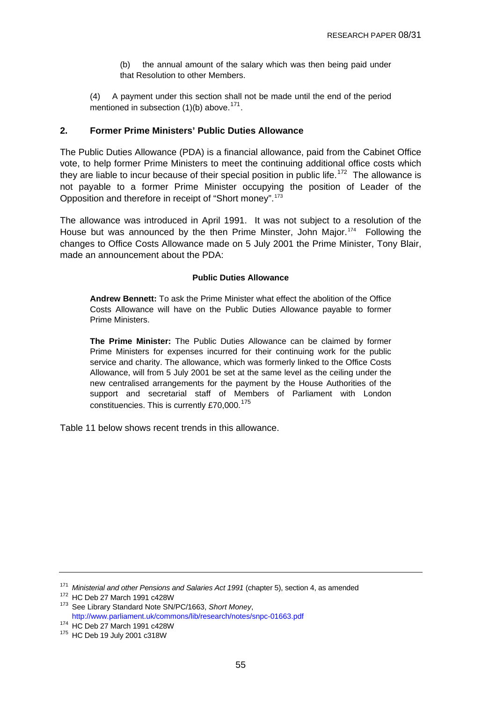(b) the annual amount of the salary which was then being paid under that Resolution to other Members.

<span id="page-54-0"></span>(4) A payment under this section shall not be made until the end of the period mentioned in subsection  $(1)(b)$  above.<sup>[171](#page-54-0)</sup>.

#### **2. Former Prime Ministers' Public Duties Allowance**

The Public Duties Allowance (PDA) is a financial allowance, paid from the Cabinet Office vote, to help former Prime Ministers to meet the continuing additional office costs which they are liable to incur because of their special position in public life.<sup>[172](#page-54-0)</sup> The allowance is not payable to a former Prime Minister occupying the position of Leader of the Opposition and therefore in receipt of "Short money".[173](#page-54-0)

The allowance was introduced in April 1991. It was not subject to a resolution of the House but was announced by the then Prime Minster, John Major.<sup>[174](#page-54-0)</sup> Following the changes to Office Costs Allowance made on 5 July 2001 the Prime Minister, Tony Blair, made an announcement about the PDA:

#### **Public Duties Allowance**

**Andrew Bennett:** To ask the Prime Minister what effect the abolition of the Office Costs Allowance will have on the Public Duties Allowance payable to former Prime Ministers.

**The Prime Minister:** The Public Duties Allowance can be claimed by former Prime Ministers for expenses incurred for their continuing work for the public service and charity. The allowance, which was formerly linked to the Office Costs Allowance, will from 5 July 2001 be set at the same level as the ceiling under the new centralised arrangements for the payment by the House Authorities of the support and secretarial staff of Members of Parliament with London constituencies. This is currently £70,000.<sup>[175](#page-54-0)</sup>

Table 11 below shows recent trends in this allowance.

<sup>&</sup>lt;sup>171</sup> Ministerial and other Pensions and Salaries Act 1991 (chapter 5), section 4, as amended <sup>172</sup> HC Deb 27 March 1991 c428W<br><sup>173</sup> See Library Standard Note SN/PC/1663, *Short Money*,

<http://www.parliament.uk/commons/lib/research/notes/snpc-01663.pdf> 174 HC Deb 27 March 1991 c428W 175 HC Deb 19 July 2001 c318W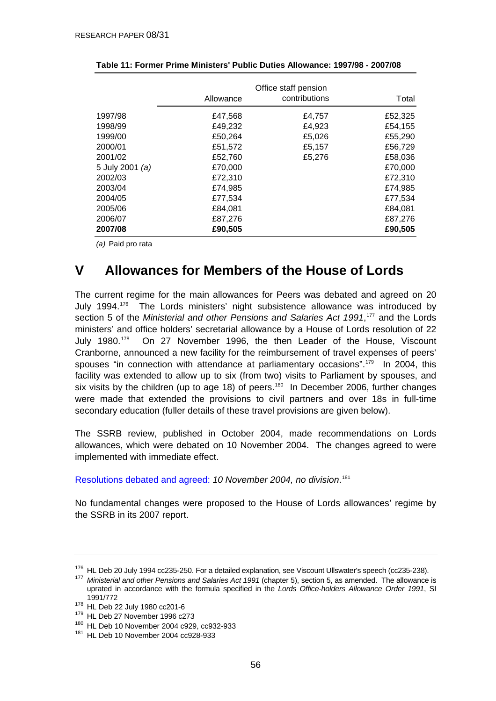|                 | Allowance | Office staff pension<br>contributions | Total   |
|-----------------|-----------|---------------------------------------|---------|
|                 |           |                                       |         |
| 1997/98         | £47,568   | £4,757                                | £52,325 |
| 1998/99         | £49,232   | £4,923                                | £54,155 |
| 1999/00         | £50,264   | £5,026                                | £55,290 |
| 2000/01         | £51,572   | £5,157                                | £56,729 |
| 2001/02         | £52,760   | £5,276                                | £58,036 |
| 5 July 2001 (a) | £70,000   |                                       | £70,000 |
| 2002/03         | £72,310   |                                       | £72,310 |
| 2003/04         | £74,985   |                                       | £74,985 |
| 2004/05         | £77,534   |                                       | £77,534 |
| 2005/06         | £84,081   |                                       | £84,081 |
| 2006/07         | £87,276   |                                       | £87,276 |
| 2007/08         | £90,505   |                                       | £90,505 |

<span id="page-55-0"></span>

| Table 11: Former Prime Ministers' Public Duties Allowance: 1997/98 - 2007/08 |  |
|------------------------------------------------------------------------------|--|
|------------------------------------------------------------------------------|--|

*(a)* Paid pro rata

# **V Allowances for Members of the House of Lords**

The current regime for the main allowances for Peers was debated and agreed on 20 July 1994.[176](#page-55-0) The Lords ministers' night subsistence allowance was introduced by section 5 of the *Ministerial and other Pensions and Salaries Act 1991*,<sup>[177](#page-55-0)</sup> and the Lords ministers' and office holders' secretarial allowance by a House of Lords resolution of 22 July 1980.<sup>[178](#page-55-0)</sup> On 27 November 1996, the then Leader of the House, Viscount Cranborne, announced a new facility for the reimbursement of travel expenses of peers' spouses "in connection with attendance at parliamentary occasions".<sup>[179](#page-55-0)</sup> In 2004, this facility was extended to allow up to six (from two) visits to Parliament by spouses, and six visits by the children (up to age 18) of peers.<sup>[180](#page-55-0)</sup> In December 2006, further changes were made that extended the provisions to civil partners and over 18s in full-time secondary education (fuller details of these travel provisions are given below).

The SSRB review, published in October 2004, made recommendations on Lords allowances, which were debated on 10 November 2004. The changes agreed to were implemented with immediate effect.

[Resolutions debated and agreed:](http://www.publications.parliament.uk/pa/ld199900/ldhansrd/pdvn/lds04/text/41110-10.htm#41110-10_head0) *10 November 2004, no division*. [181](#page-55-0)

No fundamental changes were proposed to the House of Lords allowances' regime by the SSRB in its 2007 report.

<sup>&</sup>lt;sup>176</sup> HL Deb 20 July 1994 cc235-250. For a detailed explanation, see Viscount Ullswater's speech (cc235-238).<br><sup>177</sup> *Ministerial and other Pensions and Salaries Act 1991* (chapter 5), section 5, as amended. The allowance i uprated in accordance with the formula specified in the *Lords Office-holders Allowance Order 1991*, SI

<sup>1991/772&</sup>lt;br><sup>178</sup> HL Deb 22 July 1980 cc201-6<br><sup>179</sup> HL Deb 27 November 1996 c273<br><sup>180</sup> HL Deb 10 November 2004 cc928-933<br><sup>181</sup> HL Deb 10 November 2004 cc928-933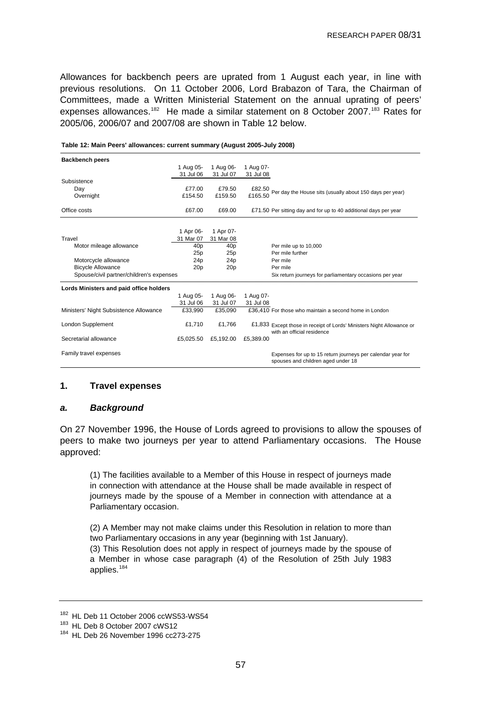<span id="page-56-0"></span>Allowances for backbench peers are uprated from 1 August each year, in line with previous resolutions. On 11 October 2006, Lord Brabazon of Tara, the Chairman of Committees, made a Written Ministerial Statement on the annual uprating of peers' expenses allowances.<sup>[182](#page-56-0)</sup> He made a similar statement on 8 October 2007.<sup>[183](#page-56-0)</sup> Rates for 2005/06, 2006/07 and 2007/08 are shown in Table 12 below.

| <b>Backbench peers</b>                   |                 |                 |                                                                                                     |
|------------------------------------------|-----------------|-----------------|-----------------------------------------------------------------------------------------------------|
|                                          | 1 Aug 05-       | 1 Aug 06-       | 1 Aug 07-                                                                                           |
|                                          | 31 Jul 06       | 31 Jul 07       | 31 Jul 08                                                                                           |
| Subsistence                              |                 |                 |                                                                                                     |
| Day                                      | £77.00          | £79.50          | £82.50 Per day the House sits (usually about 150 days per year)                                     |
| Overnight                                | £154.50         | £159.50         | £165.50                                                                                             |
|                                          |                 |                 |                                                                                                     |
| Office costs                             | £67.00          | £69.00          | £71.50 Per sitting day and for up to 40 additional days per year                                    |
|                                          |                 |                 |                                                                                                     |
|                                          | 1 Apr 06-       | 1 Apr 07-       |                                                                                                     |
| Travel                                   | 31 Mar 07       | 31 Mar 08       |                                                                                                     |
| Motor mileage allowance                  | 40p             | 40p             | Per mile up to 10,000                                                                               |
|                                          | 25p             | 25p             | Per mile further                                                                                    |
| Motorcycle allowance                     | 24 <sub>p</sub> | 24p             | Per mile                                                                                            |
| <b>Bicycle Allowance</b>                 | 20 <sub>p</sub> | 20 <sub>p</sub> | Per mile                                                                                            |
| Spouse/civil partner/children's expenses |                 |                 | Six return journeys for parliamentary occasions per year                                            |
| Lords Ministers and paid office holders  |                 |                 |                                                                                                     |
|                                          | 1 Aug 05-       | 1 Aug 06-       | 1 Aug 07-                                                                                           |
|                                          | 31 Jul 06       | 31 Jul 07       | 31 Jul 08                                                                                           |
| Ministers' Night Subsistence Allowance   | £33.990         | £35.090         | £36,410 For those who maintain a second home in London                                              |
| <b>London Supplement</b>                 | £1,710          | £1,766          | £1,833 Except those in receipt of Lords' Ministers Night Allowance or<br>with an official residence |
| Secretarial allowance                    | £5,025.50       | £5,192.00       | £5,389.00                                                                                           |
| Family travel expenses                   |                 |                 | Expenses for up to 15 return journeys per calendar year for<br>spouses and children aged under 18   |

**Table 12: Main Peers' allowances: current summary (August 2005-July 2008)**

#### **1. Travel expenses**

#### *a. Background*

On 27 November 1996, the House of Lords agreed to provisions to allow the spouses of peers to make two journeys per year to attend Parliamentary occasions. The House approved:

(1) The facilities available to a Member of this House in respect of journeys made in connection with attendance at the House shall be made available in respect of journeys made by the spouse of a Member in connection with attendance at a Parliamentary occasion.

(2) A Member may not make claims under this Resolution in relation to more than two Parliamentary occasions in any year (beginning with 1st January).

(3) This Resolution does not apply in respect of journeys made by the spouse of a Member in whose case paragraph (4) of the Resolution of 25th July 1983 applies.[184](#page-56-0)

<sup>&</sup>lt;sup>182</sup> HL Deb 11 October 2006 ccWS53-WS54<br><sup>183</sup> HL Deb 8 October 2007 cWS12<br><sup>184</sup> HL Deb 26 November 1996 cc273-275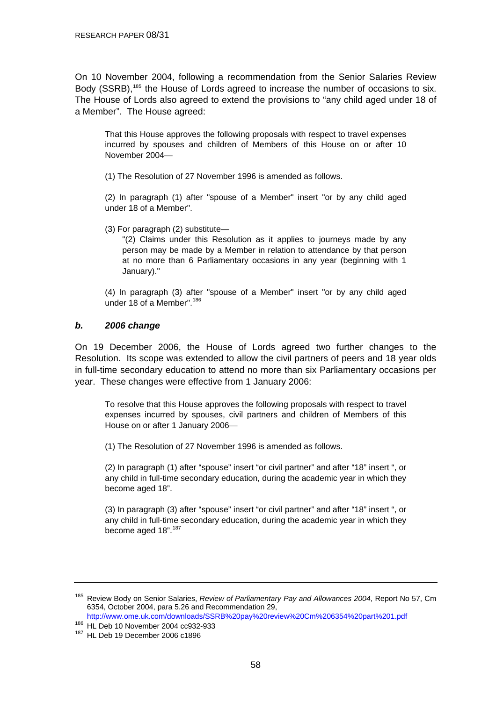<span id="page-57-0"></span>On 10 November 2004, following a recommendation from the Senior Salaries Review Body (SSRB),<sup>[185](#page-57-0)</sup> the House of Lords agreed to increase the number of occasions to six. The House of Lords also agreed to extend the provisions to "any child aged under 18 of a Member". The House agreed:

That this House approves the following proposals with respect to travel expenses incurred by spouses and children of Members of this House on or after 10 November 2004—

(1) The Resolution of 27 November 1996 is amended as follows.

(2) In paragraph (1) after "spouse of a Member" insert "or by any child aged under 18 of a Member".

(3) For paragraph (2) substitute—

"(2) Claims under this Resolution as it applies to journeys made by any person may be made by a Member in relation to attendance by that person at no more than 6 Parliamentary occasions in any year (beginning with 1 January)."

(4) In paragraph (3) after "spouse of a Member" insert "or by any child aged under 18 of a Member".<sup>[186](#page-57-0)</sup>

#### *b. 2006 change*

On 19 December 2006, the House of Lords agreed two further changes to the Resolution. Its scope was extended to allow the civil partners of peers and 18 year olds in full-time secondary education to attend no more than six Parliamentary occasions per year. These changes were effective from 1 January 2006:

To resolve that this House approves the following proposals with respect to travel expenses incurred by spouses, civil partners and children of Members of this House on or after 1 January 2006—

(1) The Resolution of 27 November 1996 is amended as follows.

(2) In paragraph (1) after "spouse" insert "or civil partner" and after "18" insert ", or any child in full-time secondary education, during the academic year in which they become aged 18".

(3) In paragraph (3) after "spouse" insert "or civil partner" and after "18" insert ", or any child in full-time secondary education, during the academic year in which they become aged 18".<sup>[187](#page-57-0)</sup>

<http://www.ome.uk.com/downloads/SSRB%20pay%20review%20Cm%206354%20part%201.pdf>

<sup>185</sup> Review Body on Senior Salaries, *Review of Parliamentary Pay and Allowances 2004*, Report No 57, Cm 6354, October 2004, para 5.26 and Recommendation 29,

<sup>186</sup> HL Deb 10 November 2004 cc932-933<br><sup>187</sup> HL Deb 19 December 2006 c1896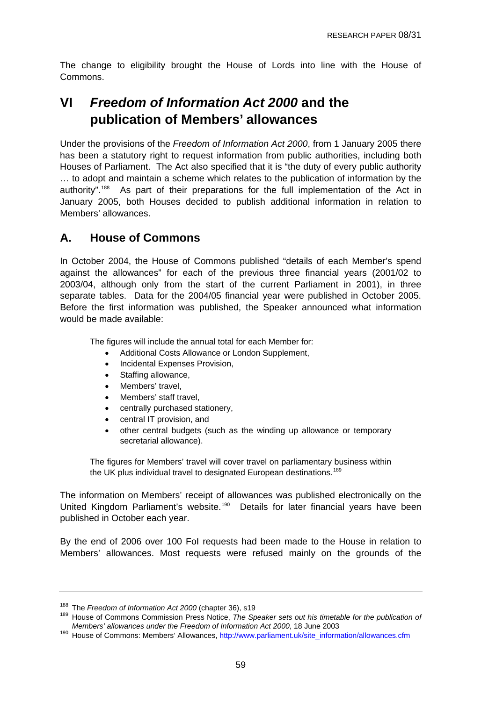<span id="page-58-0"></span>The change to eligibility brought the House of Lords into line with the House of Commons.

# **VI** *Freedom of Information Act 2000* **and the publication of Members' allowances**

Under the provisions of the *Freedom of Information Act 2000*, from 1 January 2005 there has been a statutory right to request information from public authorities, including both Houses of Parliament. The Act also specified that it is "the duty of every public authority … to adopt and maintain a scheme which relates to the publication of information by the authority".[188](#page-58-0) As part of their preparations for the full implementation of the Act in January 2005, both Houses decided to publish additional information in relation to Members' allowances.

## **A. House of Commons**

In October 2004, the House of Commons published "details of each Member's spend against the allowances" for each of the previous three financial years (2001/02 to 2003/04, although only from the start of the current Parliament in 2001), in three separate tables. Data for the 2004/05 financial year were published in October 2005. Before the first information was published, the Speaker announced what information would be made available:

The figures will include the annual total for each Member for:

- Additional Costs Allowance or London Supplement,
- Incidental Expenses Provision,
- Staffing allowance,
- Members' travel,
- Members' staff travel.
- centrally purchased stationery,
- central IT provision, and
- other central budgets (such as the winding up allowance or temporary secretarial allowance).

The figures for Members' travel will cover travel on parliamentary business within the UK plus individual travel to designated European destinations.<sup>[189](#page-58-0)</sup>

The information on Members' receipt of allowances was published electronically on the United Kingdom Parliament's website.<sup>[190](#page-58-0)</sup> Details for later financial years have been published in October each year.

By the end of 2006 over 100 FoI requests had been made to the House in relation to Members' allowances. Most requests were refused mainly on the grounds of the

<sup>&</sup>lt;sup>188</sup> The *Freedom of Information Act 2000* (chapter 36), s19<br><sup>189</sup> House of Commons Commission Press Notice, *The Speaker sets out his timetable for the publication of*<br>*Members' allowances under the Freedom of Informatio* 

<sup>&</sup>lt;sup>190</sup> House of Commons: Members' Allowances, [http://www.parliament.uk/site\\_information/allowances.cfm](http://www.parliament.uk/site_information/allowances.cfm)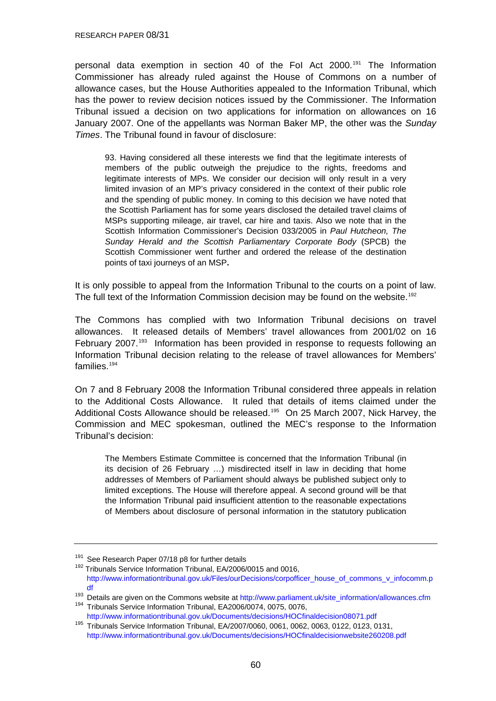<span id="page-59-0"></span>RESEARCH PAPER 08/31

personal data exemption in section 40 of the FoI Act 2000.[191](#page-59-0) The Information Commissioner has already ruled against the House of Commons on a number of allowance cases, but the House Authorities appealed to the Information Tribunal, which has the power to review decision notices issued by the Commissioner. The Information Tribunal issued a decision on two applications for information on allowances on 16 January 2007. One of the appellants was Norman Baker MP, the other was the *Sunday Times*. The Tribunal found in favour of disclosure:

93. Having considered all these interests we find that the legitimate interests of members of the public outweigh the prejudice to the rights, freedoms and legitimate interests of MPs. We consider our decision will only result in a very limited invasion of an MP's privacy considered in the context of their public role and the spending of public money. In coming to this decision we have noted that the Scottish Parliament has for some years disclosed the detailed travel claims of MSPs supporting mileage, air travel, car hire and taxis. Also we note that in the Scottish Information Commissioner's Decision 033/2005 in *Paul Hutcheon, The Sunday Herald and the Scottish Parliamentary Corporate Body* (SPCB) the Scottish Commissioner went further and ordered the release of the destination points of taxi journeys of an MSP**.**

It is only possible to appeal from the Information Tribunal to the courts on a point of law. The full text of the Information Commission decision may be found on the website.<sup>[192](#page-59-0)</sup>

The Commons has complied with two Information Tribunal decisions on travel allowances. It released details of Members' travel allowances from 2001/02 on 16 February 2007.<sup>[193](#page-59-0)</sup> Information has been provided in response to requests following an Information Tribunal decision relating to the release of travel allowances for Members' families.<sup>[194](#page-59-0)</sup>

On 7 and 8 February 2008 the Information Tribunal considered three appeals in relation to the Additional Costs Allowance. It ruled that details of items claimed under the Additional Costs Allowance should be released.<sup>[195](#page-59-0)</sup> On 25 March 2007, Nick Harvey, the Commission and MEC spokesman, outlined the MEC's response to the Information Tribunal's decision:

The Members Estimate Committee is concerned that the Information Tribunal (in its decision of 26 February …) misdirected itself in law in deciding that home addresses of Members of Parliament should always be published subject only to limited exceptions. The House will therefore appeal. A second ground will be that the Information Tribunal paid insufficient attention to the reasonable expectations of Members about disclosure of personal information in the statutory publication

 $191$  See Research Paper 07/18 p8 for further details<br> $192$  Tribunals Service Information Tribunal, EA/2006/0015 and 0016,

[http://www.informationtribunal.gov.uk/Files/ourDecisions/corpofficer\\_house\\_of\\_commons\\_v\\_infocomm.p](http://www.informationtribunal.gov.uk/Files/ourDecisions/corpofficer_house_of_commons_v_infocomm.pdf)

 $\frac{1}{193}$  Details are given on the Commons website at [http://www.parliament.uk/site\\_information/allowances.cfm](http://www.parliament.uk/site_information/allowances.cfm) 194 Tribunals Service Information Tribunal, EA2006/0074, 0075, 0076,

<http://www.informationtribunal.gov.uk/Documents/decisions/HOCfinaldecision08071.pdf>195 Tribunals Service Information Tribunal, EA/2007/0060, 0061, 0062, 0063, 0122, 0123, 0131,

<http://www.informationtribunal.gov.uk/Documents/decisions/HOCfinaldecisionwebsite260208.pdf>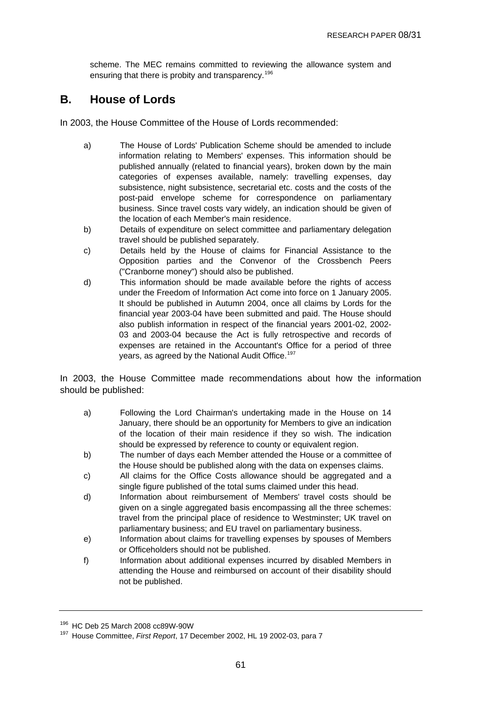<span id="page-60-0"></span>scheme. The MEC remains committed to reviewing the allowance system and ensuring that there is probity and transparency.<sup>[196](#page-60-0)</sup>

## **B. House of Lords**

In 2003, the House Committee of the House of Lords recommended:

- a) The House of Lords' Publication Scheme should be amended to include information relating to Members' expenses. This information should be published annually (related to financial years), broken down by the main categories of expenses available, namely: travelling expenses, day subsistence, night subsistence, secretarial etc. costs and the costs of the post-paid envelope scheme for correspondence on parliamentary business. Since travel costs vary widely, an indication should be given of the location of each Member's main residence.
- b) Details of expenditure on select committee and parliamentary delegation travel should be published separately.
- c) Details held by the House of claims for Financial Assistance to the Opposition parties and the Convenor of the Crossbench Peers ("Cranborne money") should also be published.
- d) This information should be made available before the rights of access under the Freedom of Information Act come into force on 1 January 2005. It should be published in Autumn 2004, once all claims by Lords for the financial year 2003-04 have been submitted and paid. The House should also publish information in respect of the financial years 2001-02, 2002- 03 and 2003-04 because the Act is fully retrospective and records of expenses are retained in the Accountant's Office for a period of three years, as agreed by the National Audit Office.<sup>[197](#page-60-0)</sup>

In 2003, the House Committee made recommendations about how the information should be published:

- a) Following the Lord Chairman's undertaking made in the House on 14 January, there should be an opportunity for Members to give an indication of the location of their main residence if they so wish. The indication should be expressed by reference to county or equivalent region.
- b) The number of days each Member attended the House or a committee of the House should be published along with the data on expenses claims.
- c) All claims for the Office Costs allowance should be aggregated and a single figure published of the total sums claimed under this head.
- d) Information about reimbursement of Members' travel costs should be given on a single aggregated basis encompassing all the three schemes: travel from the principal place of residence to Westminster; UK travel on parliamentary business; and EU travel on parliamentary business.
- e) Information about claims for travelling expenses by spouses of Members or Officeholders should not be published.
- f) Information about additional expenses incurred by disabled Members in attending the House and reimbursed on account of their disability should not be published.

<sup>&</sup>lt;sup>196</sup> HC Deb 25 March 2008 cc89W-90W<br><sup>197</sup> House Committee, *First Report*, 17 December 2002, HL 19 2002-03, para 7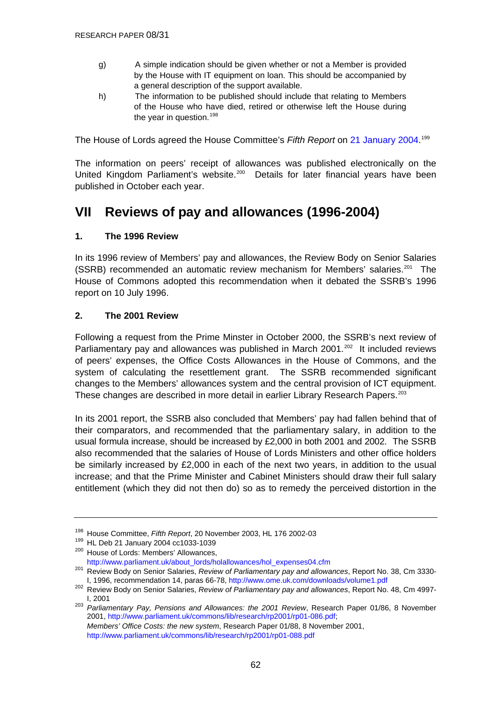- <span id="page-61-0"></span>g) A simple indication should be given whether or not a Member is provided by the House with IT equipment on loan. This should be accompanied by a general description of the support available.
- h) The information to be published should include that relating to Members of the House who have died, retired or otherwise left the House during the year in question. $198$

The House of Lords agreed the House Committee's *Fifth Report* on [21 January 2004](http://www.publications.parliament.uk/pa/ld199900/ldhansrd/pdvn/lds04/text/40121-04.htm#40121-04_head3). [199](#page-61-0)

The information on peers' receipt of allowances was published electronically on the United Kingdom Parliament's website.<sup>[200](#page-61-0)</sup> Details for later financial years have been published in October each year.

# **VII Reviews of pay and allowances (1996-2004)**

### **1. The 1996 Review**

In its 1996 review of Members' pay and allowances, the Review Body on Senior Salaries  $(SSRB)$  recommended an automatic review mechanism for Members' salaries.<sup>[201](#page-61-0)</sup> The House of Commons adopted this recommendation when it debated the SSRB's 1996 report on 10 July 1996.

### **2. The 2001 Review**

Following a request from the Prime Minster in October 2000, the SSRB's next review of Parliamentary pay and allowances was published in March 2001.<sup>[202](#page-61-0)</sup> It included reviews of peers' expenses, the Office Costs Allowances in the House of Commons, and the system of calculating the resettlement grant. The SSRB recommended significant changes to the Members' allowances system and the central provision of ICT equipment. These changes are described in more detail in earlier Library Research Papers.<sup>[203](#page-61-0)</sup>

In its 2001 report, the SSRB also concluded that Members' pay had fallen behind that of their comparators, and recommended that the parliamentary salary, in addition to the usual formula increase, should be increased by £2,000 in both 2001 and 2002. The SSRB also recommended that the salaries of House of Lords Ministers and other office holders be similarly increased by £2,000 in each of the next two years, in addition to the usual increase; and that the Prime Minister and Cabinet Ministers should draw their full salary entitlement (which they did not then do) so as to remedy the perceived distortion in the

<sup>&</sup>lt;sup>198</sup> House Committee, *Fifth Report*, 20 November 2003, HL 176 2002-03<br><sup>199</sup> HL Deb 21 January 2004 cc1033-1039<br><sup>200</sup> House of Lords: Members' Allowances,

[http://www.parliament.uk/about\\_lords/holallowances/hol\\_expenses04.cfm](http://www.parliament.uk/about_lords/holallowances/hol_expenses04.cfm) 201 Review Body on Senior Salaries, *Review of Parliamentary pay and allowances*, Report No. 38, Cm 3330- I, 1996, recommendation 14, paras 66-78,<http://www.ome.uk.com/downloads/volume1.pdf>

<sup>202</sup> Review Body on Senior Salaries, *Review of Parliamentary pay and allowances*, Report No. 48, Cm 4997-

I, 2001 203 *Parliamentary Pay, Pensions and Allowances: the 2001 Review*, Research Paper 01/86, 8 November 2001,<http://www.parliament.uk/commons/lib/research/rp2001/rp01-086.pdf>; *Members' Office Costs: the new system*, Research Paper 01/88, 8 November 2001, <http://www.parliament.uk/commons/lib/research/rp2001/rp01-088.pdf>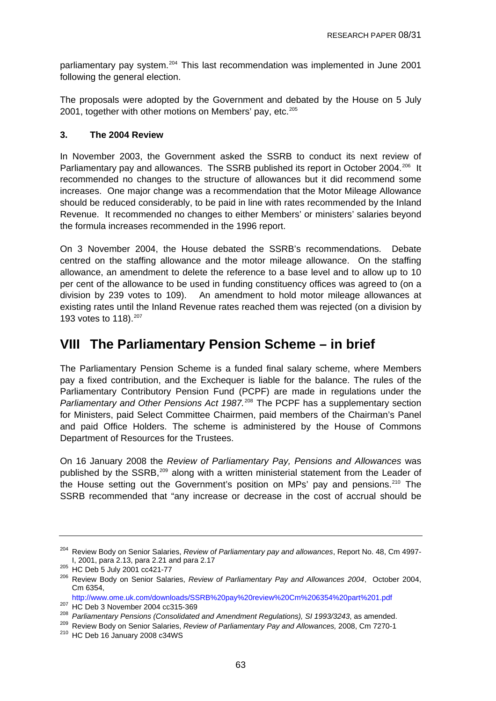<span id="page-62-0"></span>parliamentary pay system.<sup>[204](#page-62-0)</sup> This last recommendation was implemented in June 2001 following the general election.

The proposals were adopted by the Government and debated by the House on 5 July 2001, together with other motions on Members' pay, etc.<sup>[205](#page-62-0)</sup>

### **3. The 2004 Review**

In November 2003, the Government asked the SSRB to conduct its next review of Parliamentary pay and allowances. The SSRB published its report in October 2004.<sup>[206](#page-62-0)</sup> It recommended no changes to the structure of allowances but it did recommend some increases. One major change was a recommendation that the Motor Mileage Allowance should be reduced considerably, to be paid in line with rates recommended by the Inland Revenue. It recommended no changes to either Members' or ministers' salaries beyond the formula increases recommended in the 1996 report.

On 3 November 2004, the House debated the SSRB's recommendations. Debate centred on the staffing allowance and the motor mileage allowance. On the staffing allowance, an amendment to delete the reference to a base level and to allow up to 10 per cent of the allowance to be used in funding constituency offices was agreed to (on a division by 239 votes to 109). An amendment to hold motor mileage allowances at existing rates until the Inland Revenue rates reached them was rejected (on a division by 193 votes to 118).<sup>[207](#page-62-0)</sup>

# **VIII The Parliamentary Pension Scheme – in brief**

The Parliamentary Pension Scheme is a funded final salary scheme, where Members pay a fixed contribution, and the Exchequer is liable for the balance. The rules of the Parliamentary Contributory Pension Fund (PCPF) are made in regulations under the *Parliamentary and Other Pensions Act 1987.*[208](#page-62-0) The PCPF has a supplementary section for Ministers, paid Select Committee Chairmen, paid members of the Chairman's Panel and paid Office Holders. The scheme is administered by the House of Commons Department of Resources for the Trustees.

On 16 January 2008 the *Review of Parliamentary Pay, Pensions and Allowances* was published by the SSRB,<sup>[209](#page-62-0)</sup> along with a written ministerial statement from the Leader of the House setting out the Government's position on MPs' pay and pensions.<sup>[210](#page-62-0)</sup> The SSRB recommended that "any increase or decrease in the cost of accrual should be

<sup>204</sup> Review Body on Senior Salaries, *Review of Parliamentary pay and allowances*, Report No. 48, Cm 4997-

I, 2001, para 2.13, para 2.21 and para 2.17 205 HC Deb 5 July 2001 cc421-77 206 Review Body on Senior Salaries, *Review of Parliamentary Pay and Allowances 2004*, October 2004, Cm 6354,

<http://www.ome.uk.com/downloads/SSRB%20pay%20review%20Cm%206354%20part%201.pdf><br><sup>207</sup> HC Deb 3 November 2004 cc315-369<br><sup>208</sup> Parliamentary Pensions (Consolidated and Amendment Regulations), SI 1993/3243, as amended.<br><sup>208</sup> R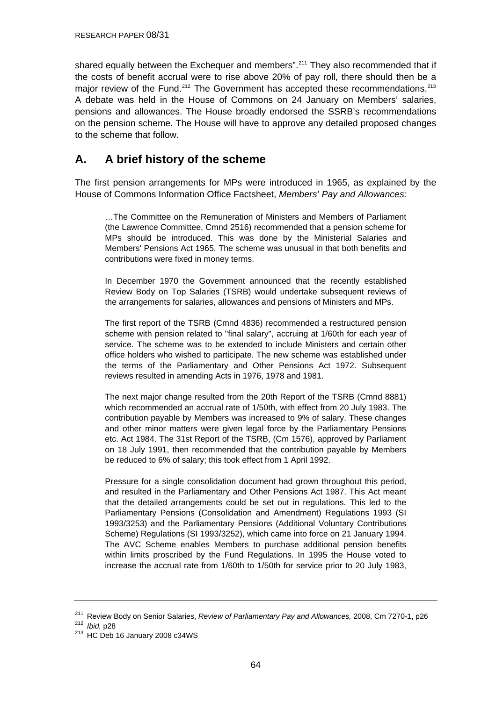<span id="page-63-0"></span>shared equally between the Exchequer and members".<sup>[211](#page-63-0)</sup> They also recommended that if the costs of benefit accrual were to rise above 20% of pay roll, there should then be a major review of the Fund.<sup>[212](#page-63-0)</sup> The Government has accepted these recommendations.<sup>[213](#page-63-0)</sup> A debate was held in the House of Commons on 24 January on Members' salaries, pensions and allowances. The House broadly endorsed the SSRB's recommendations on the pension scheme. The House will have to approve any detailed proposed changes to the scheme that follow.

## **A. A brief history of the scheme**

The first pension arrangements for MPs were introduced in 1965, as explained by the House of Commons Information Office Factsheet, *Members' Pay and Allowances:* 

…The Committee on the Remuneration of Ministers and Members of Parliament (the Lawrence Committee, Cmnd 2516) recommended that a pension scheme for MPs should be introduced. This was done by the Ministerial Salaries and Members' Pensions Act 1965. The scheme was unusual in that both benefits and contributions were fixed in money terms.

In December 1970 the Government announced that the recently established Review Body on Top Salaries (TSRB) would undertake subsequent reviews of the arrangements for salaries, allowances and pensions of Ministers and MPs.

The first report of the TSRB (Cmnd 4836) recommended a restructured pension scheme with pension related to "final salary", accruing at 1/60th for each year of service. The scheme was to be extended to include Ministers and certain other office holders who wished to participate. The new scheme was established under the terms of the Parliamentary and Other Pensions Act 1972. Subsequent reviews resulted in amending Acts in 1976, 1978 and 1981.

The next major change resulted from the 20th Report of the TSRB (Cmnd 8881) which recommended an accrual rate of 1/50th, with effect from 20 July 1983. The contribution payable by Members was increased to 9% of salary. These changes and other minor matters were given legal force by the Parliamentary Pensions etc. Act 1984. The 31st Report of the TSRB, (Cm 1576), approved by Parliament on 18 July 1991, then recommended that the contribution payable by Members be reduced to 6% of salary; this took effect from 1 April 1992.

Pressure for a single consolidation document had grown throughout this period, and resulted in the Parliamentary and Other Pensions Act 1987. This Act meant that the detailed arrangements could be set out in regulations. This led to the Parliamentary Pensions (Consolidation and Amendment) Regulations 1993 (SI 1993/3253) and the Parliamentary Pensions (Additional Voluntary Contributions Scheme) Regulations (SI 1993/3252), which came into force on 21 January 1994. The AVC Scheme enables Members to purchase additional pension benefits within limits proscribed by the Fund Regulations. In 1995 the House voted to increase the accrual rate from 1/60th to 1/50th for service prior to 20 July 1983,

<sup>&</sup>lt;sup>211</sup> Review Body on Senior Salaries, *Review of Parliamentary Pay and Allowances,* 2008, Cm 7270-1, p26<br><sup>212</sup> *Ibid,* p28<br><sup>213</sup> HC Deb 16 January 2008 c34WS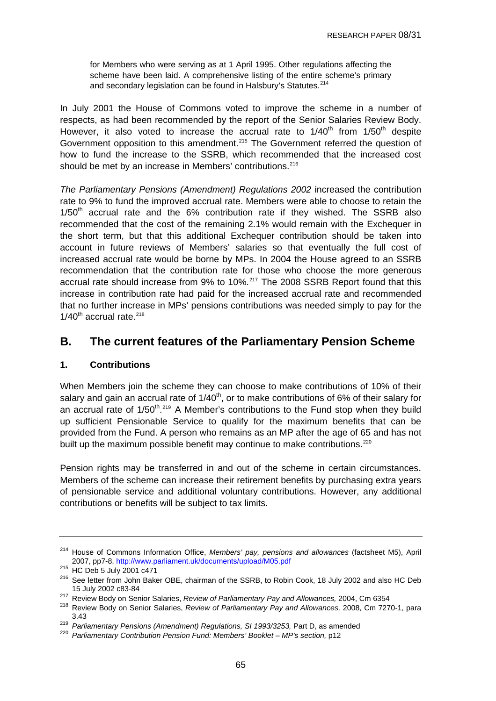<span id="page-64-0"></span>for Members who were serving as at 1 April 1995. Other regulations affecting the scheme have been laid. A comprehensive listing of the entire scheme's primary and secondary legislation can be found in Halsbury's Statutes.<sup>[214](#page-64-0)</sup>

In July 2001 the House of Commons voted to improve the scheme in a number of respects, as had been recommended by the report of the Senior Salaries Review Body. However, it also voted to increase the accrual rate to  $1/40<sup>th</sup>$  from  $1/50<sup>th</sup>$  despite Government opposition to this amendment.<sup>[215](#page-64-0)</sup> The Government referred the question of how to fund the increase to the SSRB, which recommended that the increased cost should be met by an increase in Members' contributions.<sup>[216](#page-64-0)</sup>

*The Parliamentary Pensions (Amendment) Regulations 2002* increased the contribution rate to 9% to fund the improved accrual rate. Members were able to choose to retain the  $1/50<sup>th</sup>$  accrual rate and the 6% contribution rate if they wished. The SSRB also recommended that the cost of the remaining 2.1% would remain with the Exchequer in the short term, but that this additional Exchequer contribution should be taken into account in future reviews of Members' salaries so that eventually the full cost of increased accrual rate would be borne by MPs. In 2004 the House agreed to an SSRB recommendation that the contribution rate for those who choose the more generous accrual rate should increase from 9% to 10%.<sup>[217](#page-64-0)</sup> The 2008 SSRB Report found that this increase in contribution rate had paid for the increased accrual rate and recommended that no further increase in MPs' pensions contributions was needed simply to pay for the  $1/40^{th}$  accrual rate.<sup>[218](#page-64-0)</sup>

### **B. The current features of the Parliamentary Pension Scheme**

#### **1. Contributions**

When Members join the scheme they can choose to make contributions of 10% of their salary and gain an accrual rate of  $1/40<sup>th</sup>$ , or to make contributions of 6% of their salary for an accrual rate of  $1/50^{th}$ .<sup>[219](#page-64-0)</sup> A Member's contributions to the Fund stop when they build up sufficient Pensionable Service to qualify for the maximum benefits that can be provided from the Fund. A person who remains as an MP after the age of 65 and has not built up the maximum possible benefit may continue to make contributions.<sup>220</sup>

Pension rights may be transferred in and out of the scheme in certain circumstances. Members of the scheme can increase their retirement benefits by purchasing extra years of pensionable service and additional voluntary contributions. However, any additional contributions or benefits will be subject to tax limits.

<sup>214</sup> House of Commons Information Office, *Members' pay, pensions and allowances* (factsheet M5), April

<sup>215</sup> Beer, ppr. et marchinents<br>215 HC Deb 5 July 2001 c471<br><sup>216</sup> See letter from John Baker OBE, chairman of the SSRB, to Robin Cook, 18 July 2002 and also HC Deb

<sup>15</sup> July 2002 c83-84<br><sup>217</sup> Review Body on Senior Salaries, *Review of Parliamentary Pay and Allowances,* 2004, Cm 6354<br><sup>218</sup> Review Body on Senior Salaries, *Review of Parliamentary Pay and Allowances,* 2008, Cm 7270-1, par

<sup>3.43&</sup>lt;br><sup>219</sup> *Parliamentary Pensions (Amendment) Regulations, SI 1993/3253, Part D, as amended <sup>220</sup> <i>Parliamentary Contribution Pension Fund: Members' Booklet – MP's section,* p12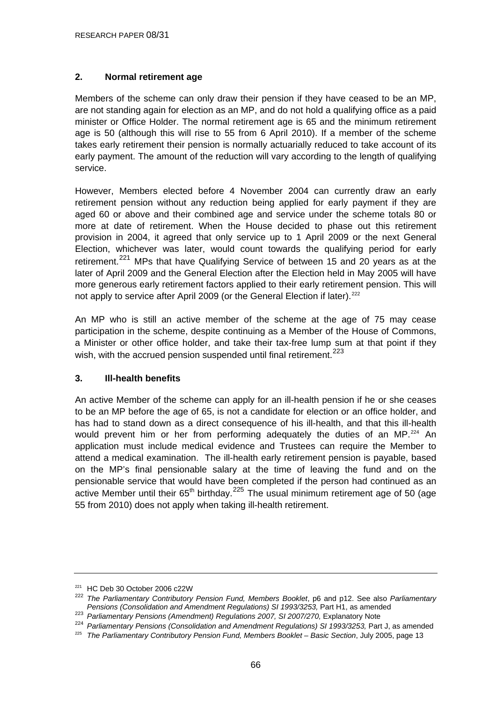### <span id="page-65-0"></span>**2. Normal retirement age**

Members of the scheme can only draw their pension if they have ceased to be an MP, are not standing again for election as an MP, and do not hold a qualifying office as a paid minister or Office Holder. The normal retirement age is 65 and the minimum retirement age is 50 (although this will rise to 55 from 6 April 2010). If a member of the scheme takes early retirement their pension is normally actuarially reduced to take account of its early payment. The amount of the reduction will vary according to the length of qualifying service.

However, Members elected before 4 November 2004 can currently draw an early retirement pension without any reduction being applied for early payment if they are aged 60 or above and their combined age and service under the scheme totals 80 or more at date of retirement. When the House decided to phase out this retirement provision in 2004, it agreed that only service up to 1 April 2009 or the next General Election, whichever was later, would count towards the qualifying period for early retirement.<sup>[221](#page-65-0)</sup> MPs that have Qualifying Service of between 15 and 20 years as at the later of April 2009 and the General Election after the Election held in May 2005 will have more generous early retirement factors applied to their early retirement pension. This will not apply to service after April 2009 (or the General Election if later).<sup>[222](#page-65-0)</sup>

An MP who is still an active member of the scheme at the age of 75 may cease participation in the scheme, despite continuing as a Member of the House of Commons, a Minister or other office holder, and take their tax-free lump sum at that point if they wish, with the accrued pension suspended until final retirement.<sup>[223](#page-65-0)</sup>

#### **3. Ill-health benefits**

An active Member of the scheme can apply for an ill-health pension if he or she ceases to be an MP before the age of 65, is not a candidate for election or an office holder, and has had to stand down as a direct consequence of his ill-health, and that this ill-health would prevent him or her from performing adequately the duties of an  $MP.^{224}$  $MP.^{224}$  $MP.^{224}$  An application must include medical evidence and Trustees can require the Member to attend a medical examination. The ill-health early retirement pension is payable, based on the MP's final pensionable salary at the time of leaving the fund and on the pensionable service that would have been completed if the person had continued as an active Member until their  $65<sup>th</sup>$  birthday.<sup>[225](#page-65-0)</sup> The usual minimum retirement age of 50 (age 55 from 2010) does not apply when taking ill-health retirement.

<sup>221</sup> HC Deb 30 October 2006 c22W

<sup>222</sup> *The Parliamentary Contributory Pension Fund, Members Booklet*, p6 and p12. See also *Parliamentary* 

<sup>&</sup>lt;sup>223</sup> Parliamentary Pensions (Amendment) Regulations 2007, SI 2007/270, Explanatory Note

<sup>&</sup>lt;sup>224</sup> Parliamentary Pensions (Consolidation and Amendment Regulations) SI 1993/3253, Part J, as amended<br><sup>225</sup> The Parliamentary Contributory Pension Fund, Members Booklet – Basic Section, July 2005, page 13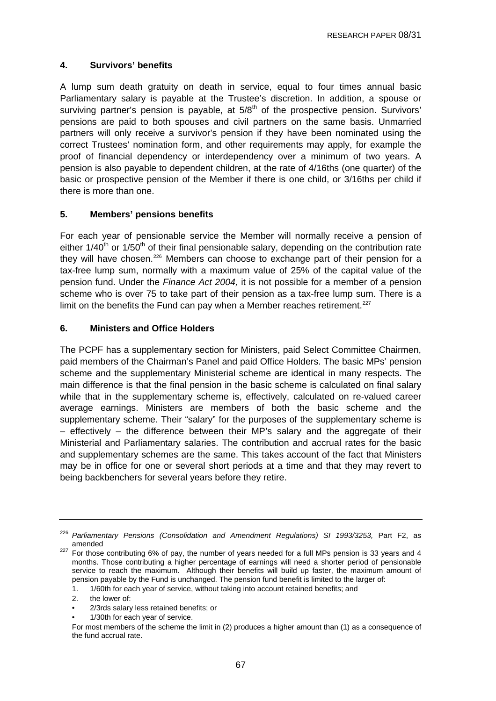#### <span id="page-66-0"></span>**4. Survivors' benefits**

A lump sum death gratuity on death in service, equal to four times annual basic Parliamentary salary is payable at the Trustee's discretion. In addition, a spouse or surviving partner's pension is payable, at  $5/8<sup>th</sup>$  of the prospective pension. Survivors' pensions are paid to both spouses and civil partners on the same basis. Unmarried partners will only receive a survivor's pension if they have been nominated using the correct Trustees' nomination form, and other requirements may apply, for example the proof of financial dependency or interdependency over a minimum of two years. A pension is also payable to dependent children, at the rate of 4/16ths (one quarter) of the basic or prospective pension of the Member if there is one child, or 3/16ths per child if there is more than one.

### **5. Members' pensions benefits**

For each year of pensionable service the Member will normally receive a pension of either  $1/40<sup>th</sup>$  or  $1/50<sup>th</sup>$  of their final pensionable salary, depending on the contribution rate they will have chosen.<sup>[226](#page-66-0)</sup> Members can choose to exchange part of their pension for a tax-free lump sum, normally with a maximum value of 25% of the capital value of the pension fund. Under the *Finance Act 2004,* it is not possible for a member of a pension scheme who is over 75 to take part of their pension as a tax-free lump sum. There is a limit on the benefits the Fund can pay when a Member reaches retirement.<sup>[227](#page-66-0)</sup>

### **6. Ministers and Office Holders**

The PCPF has a supplementary section for Ministers, paid Select Committee Chairmen, paid members of the Chairman's Panel and paid Office Holders. The basic MPs' pension scheme and the supplementary Ministerial scheme are identical in many respects. The main difference is that the final pension in the basic scheme is calculated on final salary while that in the supplementary scheme is, effectively, calculated on re-valued career average earnings. Ministers are members of both the basic scheme and the supplementary scheme. Their "salary" for the purposes of the supplementary scheme is – effectively – the difference between their MP's salary and the aggregate of their Ministerial and Parliamentary salaries. The contribution and accrual rates for the basic and supplementary schemes are the same. This takes account of the fact that Ministers may be in office for one or several short periods at a time and that they may revert to being backbenchers for several years before they retire.

1/30th for each year of service.

<sup>&</sup>lt;sup>226</sup> Parliamentary Pensions (Consolidation and Amendment Regulations) SI 1993/3253, Part F2, as amended

<sup>227</sup> For those contributing 6% of pay, the number of years needed for a full MPs pension is 33 years and 4 months. Those contributing a higher percentage of earnings will need a shorter period of pensionable service to reach the maximum. Although their benefits will build up faster, the maximum amount of pension payable by the Fund is unchanged. The pension fund benefit is limited to the larger of:

 <sup>1. 1/60</sup>th for each year of service, without taking into account retained benefits; and

 <sup>2.</sup> the lower of:

 <sup>• 2/3</sup>rds salary less retained benefits; or

For most members of the scheme the limit in (2) produces a higher amount than (1) as a consequence of the fund accrual rate.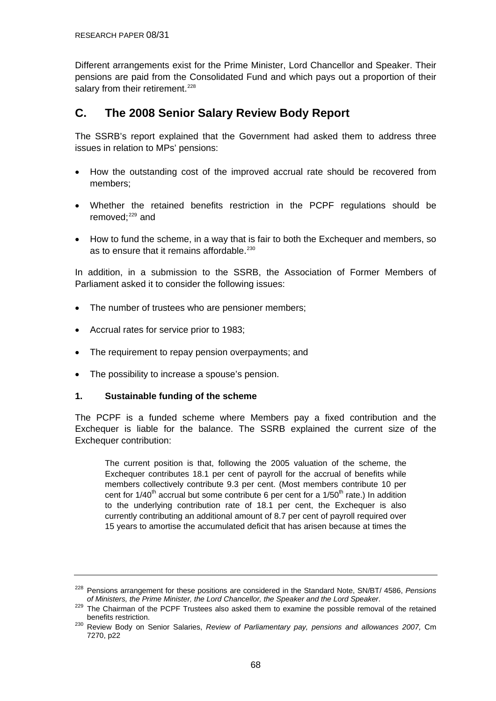<span id="page-67-0"></span>Different arrangements exist for the Prime Minister, Lord Chancellor and Speaker. Their pensions are paid from the Consolidated Fund and which pays out a proportion of their salary from their retirement.<sup>[228](#page-67-0)</sup>

## **C. The 2008 Senior Salary Review Body Report**

The SSRB's report explained that the Government had asked them to address three issues in relation to MPs' pensions:

- How the outstanding cost of the improved accrual rate should be recovered from members;
- Whether the retained benefits restriction in the PCPF regulations should be removed: $229$  and
- How to fund the scheme, in a way that is fair to both the Exchequer and members, so as to ensure that it remains affordable.<sup>[230](#page-67-0)</sup>

In addition, in a submission to the SSRB, the Association of Former Members of Parliament asked it to consider the following issues:

- The number of trustees who are pensioner members;
- Accrual rates for service prior to 1983;
- The requirement to repay pension overpayments; and
- The possibility to increase a spouse's pension.

#### **1. Sustainable funding of the scheme**

The PCPF is a funded scheme where Members pay a fixed contribution and the Exchequer is liable for the balance. The SSRB explained the current size of the Exchequer contribution:

The current position is that, following the 2005 valuation of the scheme, the Exchequer contributes 18.1 per cent of payroll for the accrual of benefits while members collectively contribute 9.3 per cent. (Most members contribute 10 per cent for  $1/40<sup>th</sup>$  accrual but some contribute 6 per cent for a  $1/50<sup>th</sup>$  rate.) In addition to the underlying contribution rate of 18.1 per cent, the Exchequer is also currently contributing an additional amount of 8.7 per cent of payroll required over 15 years to amortise the accumulated deficit that has arisen because at times the

<sup>&</sup>lt;sup>228</sup> Pensions arrangement for these positions are considered in the Standard Note, SN/BT/ 4586, *Pensions* of Ministers, the Prime Minister, the Lord Chancellor, the Speaker and the Lord Speaker.

*of Ministers, the Prime Minister, the Lord Chancellor, the Speaker and the Lord Speaker*. 229 The Chairman of the PCPF Trustees also asked them to examine the possible removal of the retained

benefits restriction. 230 Review Body on Senior Salaries, *Review of Parliamentary pay, pensions and allowances 2007,* Cm 7270, p22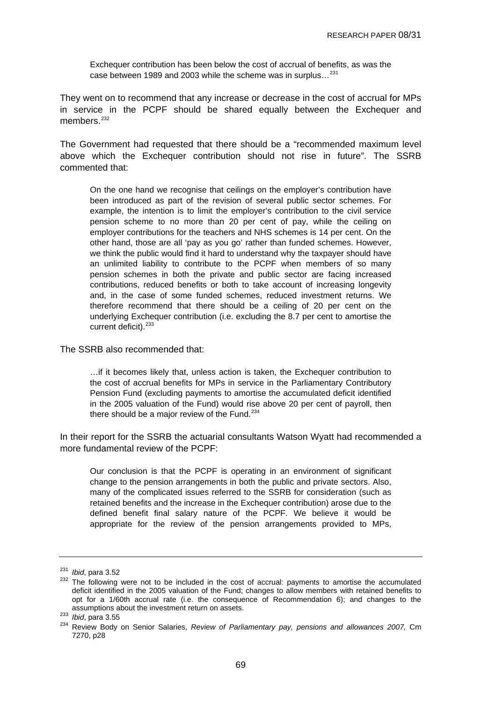<span id="page-68-0"></span>Exchequer contribution has been below the cost of accrual of benefits, as was the case between 1989 and 2003 while the scheme was in surplus…[231](#page-68-0)

They went on to recommend that any increase or decrease in the cost of accrual for MPs in service in the PCPF should be shared equally between the Exchequer and members.<sup>[232](#page-68-0)</sup>

The Government had requested that there should be a "recommended maximum level above which the Exchequer contribution should not rise in future". The SSRB commented that:

On the one hand we recognise that ceilings on the employer's contribution have been introduced as part of the revision of several public sector schemes. For example, the intention is to limit the employer's contribution to the civil service pension scheme to no more than 20 per cent of pay, while the ceiling on employer contributions for the teachers and NHS schemes is 14 per cent. On the other hand, those are all 'pay as you go' rather than funded schemes. However, we think the public would find it hard to understand why the taxpayer should have an unlimited liability to contribute to the PCPF when members of so many pension schemes in both the private and public sector are facing increased contributions, reduced benefits or both to take account of increasing longevity and, in the case of some funded schemes, reduced investment returns. We therefore recommend that there should be a ceiling of 20 per cent on the underlying Exchequer contribution (i.e. excluding the 8.7 per cent to amortise the current deficit). $233$ 

The SSRB also recommended that:

…if it becomes likely that, unless action is taken, the Exchequer contribution to the cost of accrual benefits for MPs in service in the Parliamentary Contributory Pension Fund (excluding payments to amortise the accumulated deficit identified in the 2005 valuation of the Fund) would rise above 20 per cent of payroll, then there should be a major review of the Fund. $234$ 

In their report for the SSRB the actuarial consultants Watson Wyatt had recommended a more fundamental review of the PCPF:

Our conclusion is that the PCPF is operating in an environment of significant change to the pension arrangements in both the public and private sectors. Also, many of the complicated issues referred to the SSRB for consideration (such as retained benefits and the increase in the Exchequer contribution) arose due to the defined benefit final salary nature of the PCPF. We believe it would be appropriate for the review of the pension arrangements provided to MPs,

<sup>&</sup>lt;sup>231</sup> *Ibid*, para 3.52<br><sup>232</sup> The following were not to be included in the cost of accrual: payments to amortise the accumulated deficit identified in the 2005 valuation of the Fund; changes to allow members with retained benefits to opt for a 1/60th accrual rate (i.e. the consequence of Recommendation 6); and changes to the assumptions about the investment return on assets.

assumptions about the investment return on assets.<br><sup>233</sup> *Ibid*, para 3.55<br><sup>234</sup> Review Body on Senior Salaries, *Review of Parliamentary pay, pensions and allowances 2007, Cm* 7270, p28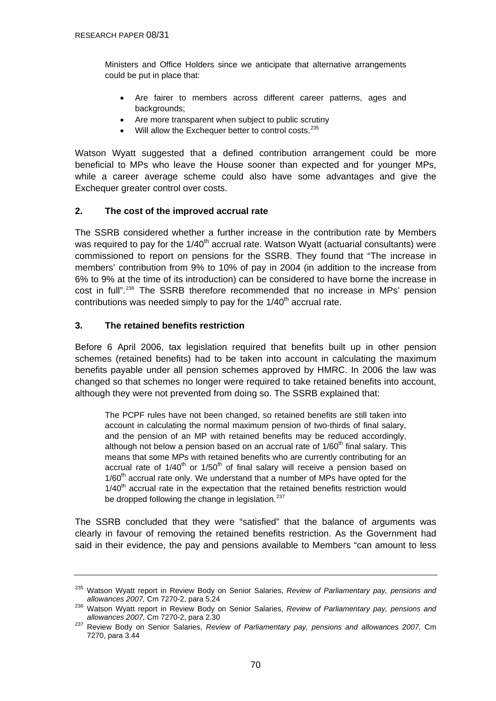<span id="page-69-0"></span>Ministers and Office Holders since we anticipate that alternative arrangements could be put in place that:

- Are fairer to members across different career patterns, ages and backgrounds:
- Are more transparent when subject to public scrutiny
- Will allow the Exchequer better to control costs.<sup>[235](#page-69-0)</sup>

Watson Wyatt suggested that a defined contribution arrangement could be more beneficial to MPs who leave the House sooner than expected and for younger MPs, while a career average scheme could also have some advantages and give the Exchequer greater control over costs.

### **2. The cost of the improved accrual rate**

The SSRB considered whether a further increase in the contribution rate by Members was required to pay for the 1/40<sup>th</sup> accrual rate. Watson Wyatt (actuarial consultants) were commissioned to report on pensions for the SSRB. They found that "The increase in members' contribution from 9% to 10% of pay in 2004 (in addition to the increase from 6% to 9% at the time of its introduction) can be considered to have borne the increase in cost in full".[236](#page-69-0) The SSRB therefore recommended that no increase in MPs' pension contributions was needed simply to pay for the  $1/40<sup>th</sup>$  accrual rate.

### **3. The retained benefits restriction**

Before 6 April 2006, tax legislation required that benefits built up in other pension schemes (retained benefits) had to be taken into account in calculating the maximum benefits payable under all pension schemes approved by HMRC. In 2006 the law was changed so that schemes no longer were required to take retained benefits into account, although they were not prevented from doing so. The SSRB explained that:

The PCPF rules have not been changed, so retained benefits are still taken into account in calculating the normal maximum pension of two-thirds of final salary, and the pension of an MP with retained benefits may be reduced accordingly, although not below a pension based on an accrual rate of  $1/60<sup>th</sup>$  final salary. This means that some MPs with retained benefits who are currently contributing for an  $\frac{1}{2}$  accrual rate of  $1/40^{\text{th}}$  or  $1/50^{\text{th}}$  of final salary will receive a pension based on  $1/60<sup>th</sup>$  accrual rate only. We understand that a number of MPs have opted for the  $1/40<sup>th</sup>$  accrual rate in the expectation that the retained benefits restriction would be dropped following the change in legislation.<sup>[237](#page-69-0)</sup>

The SSRB concluded that they were "satisfied" that the balance of arguments was clearly in favour of removing the retained benefits restriction. As the Government had said in their evidence, the pay and pensions available to Members "can amount to less

<sup>235</sup> Watson Wyatt report in Review Body on Senior Salaries, *Review of Parliamentary pay, pensions and* 

*allowances 2007,* Cm 7270-2, para 5.24 236 Watson Wyatt report in Review Body on Senior Salaries, *Review of Parliamentary pay, pensions and* 

<sup>&</sup>lt;sup>237</sup> Review Body on Senior Salaries, *Review of Parliamentary pay, pensions and allowances 2007, Cm* 7270, para 3.44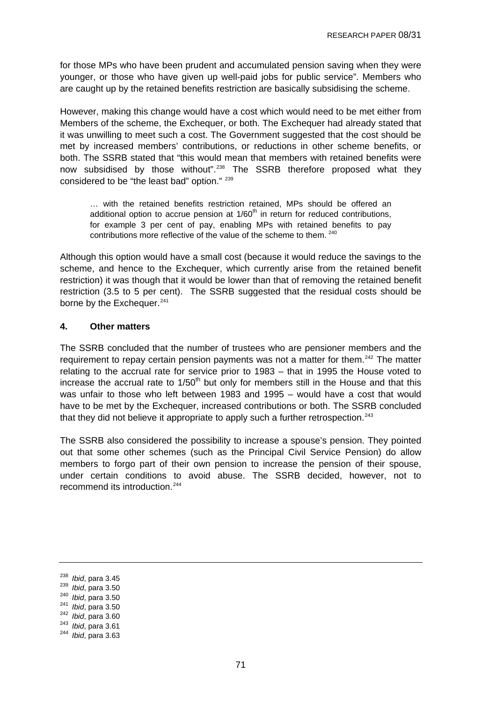<span id="page-70-0"></span>for those MPs who have been prudent and accumulated pension saving when they were younger, or those who have given up well-paid jobs for public service". Members who are caught up by the retained benefits restriction are basically subsidising the scheme.

However, making this change would have a cost which would need to be met either from Members of the scheme, the Exchequer, or both. The Exchequer had already stated that it was unwilling to meet such a cost. The Government suggested that the cost should be met by increased members' contributions, or reductions in other scheme benefits, or both. The SSRB stated that "this would mean that members with retained benefits were now subsidised by those without".<sup>[238](#page-70-0)</sup> The SSRB therefore proposed what they considered to be "the least bad" option." 239

… with the retained benefits restriction retained, MPs should be offered an additional option to accrue pension at  $1/60<sup>th</sup>$  in return for reduced contributions, for example 3 per cent of pay, enabling MPs with retained benefits to pay contributions more reflective of the value of the scheme to them. <sup>[240](#page-70-0)</sup>

Although this option would have a small cost (because it would reduce the savings to the scheme, and hence to the Exchequer, which currently arise from the retained benefit restriction) it was though that it would be lower than that of removing the retained benefit restriction (3.5 to 5 per cent). The SSRB suggested that the residual costs should be borne by the Exchequer.<sup>[241](#page-70-0)</sup>

#### **4. Other matters**

The SSRB concluded that the number of trustees who are pensioner members and the requirement to repay certain pension payments was not a matter for them.<sup>[242](#page-70-0)</sup> The matter relating to the accrual rate for service prior to 1983 – that in 1995 the House voted to increase the accrual rate to  $1/50<sup>th</sup>$  but only for members still in the House and that this was unfair to those who left between 1983 and 1995 – would have a cost that would have to be met by the Exchequer, increased contributions or both. The SSRB concluded that they did not believe it appropriate to apply such a further retrospection.<sup>[243](#page-70-0)</sup>

The SSRB also considered the possibility to increase a spouse's pension. They pointed out that some other schemes (such as the Principal Civil Service Pension) do allow members to forgo part of their own pension to increase the pension of their spouse, under certain conditions to avoid abuse. The SSRB decided, however, not to recommend its introduction.[244](#page-70-0)

<sup>238</sup> *Ibid*, para 3.45 239 *Ibid*, para 3.50 240 *Ibid*, para 3.50 241 *Ibid*, para 3.50 242 *Ibid*, para 3.60 243 *Ibid*, para 3.61 244 *Ibid*, para 3.63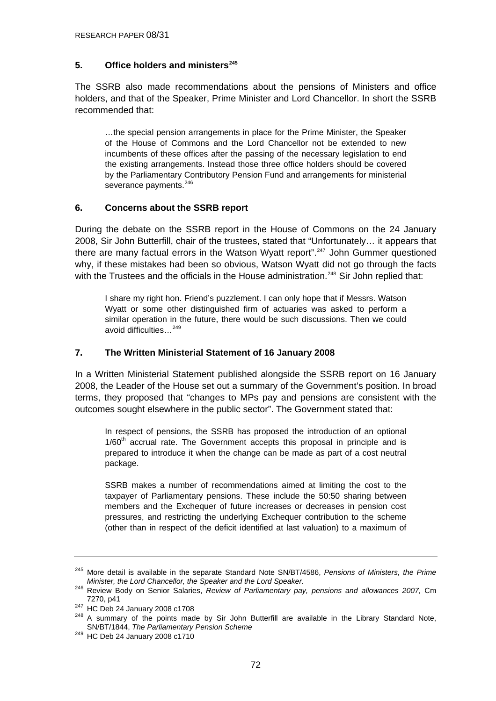### <span id="page-71-0"></span>**5. Office holders and ministers[245](#page-71-0)**

The SSRB also made recommendations about the pensions of Ministers and office holders, and that of the Speaker, Prime Minister and Lord Chancellor. In short the SSRB recommended that:

…the special pension arrangements in place for the Prime Minister, the Speaker of the House of Commons and the Lord Chancellor not be extended to new incumbents of these offices after the passing of the necessary legislation to end the existing arrangements. Instead those three office holders should be covered by the Parliamentary Contributory Pension Fund and arrangements for ministerial severance payments.<sup>[246](#page-71-0)</sup>

### **6. Concerns about the SSRB report**

During the debate on the SSRB report in the House of Commons on the 24 January 2008, Sir John Butterfill, chair of the trustees, stated that "Unfortunately… it appears that there are many factual errors in the Watson Wyatt report".<sup>[247](#page-71-0)</sup> John Gummer questioned why, if these mistakes had been so obvious, Watson Wyatt did not go through the facts with the Trustees and the officials in the House administration.<sup>[248](#page-71-0)</sup> Sir John replied that:

I share my right hon. Friend's puzzlement. I can only hope that if Messrs. Watson Wyatt or some other distinguished firm of actuaries was asked to perform a similar operation in the future, there would be such discussions. Then we could avoid difficulties…[249](#page-71-0)

#### **7. The Written Ministerial Statement of 16 January 2008**

In a Written Ministerial Statement published alongside the SSRB report on 16 January 2008, the Leader of the House set out a summary of the Government's position. In broad terms, they proposed that "changes to MPs pay and pensions are consistent with the outcomes sought elsewhere in the public sector". The Government stated that:

In respect of pensions, the SSRB has proposed the introduction of an optional  $1/60<sup>th</sup>$  accrual rate. The Government accepts this proposal in principle and is prepared to introduce it when the change can be made as part of a cost neutral package.

SSRB makes a number of recommendations aimed at limiting the cost to the taxpayer of Parliamentary pensions. These include the 50:50 sharing between members and the Exchequer of future increases or decreases in pension cost pressures, and restricting the underlying Exchequer contribution to the scheme (other than in respect of the deficit identified at last valuation) to a maximum of

<sup>245</sup> More detail is available in the separate Standard Note SN/BT/4586, *Pensions of Ministers, the Prime Minister, the Lord Chancellor, the Speaker and the Lord Speaker.*

<sup>246</sup> Review Body on Senior Salaries, *Review of Parliamentary pay, pensions and allowances 2007,* Cm 7270, p41<br><sup>247</sup> HC Deb 24 January 2008 c1708<br><sup>248</sup> A summary of the points made by Sir John Butterfill are available in the Library Standard Note,

SN/BT/1844, *The Parliamentary Pension Scheme* 

<sup>249</sup> HC Deb 24 January 2008 c1710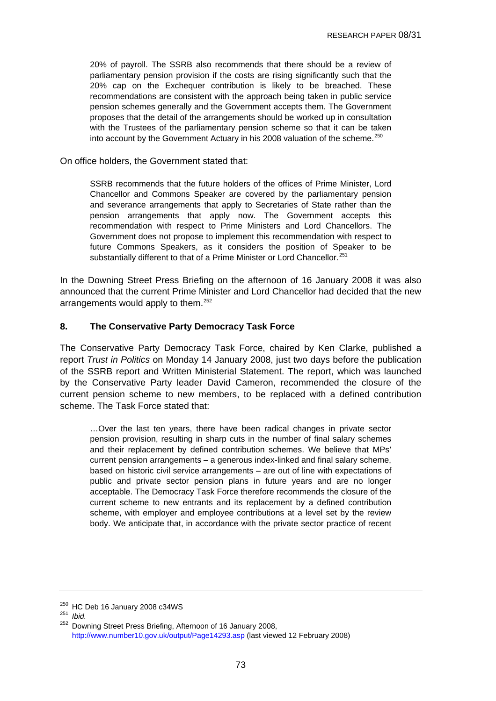<span id="page-72-0"></span>20% of payroll. The SSRB also recommends that there should be a review of parliamentary pension provision if the costs are rising significantly such that the 20% cap on the Exchequer contribution is likely to be breached. These recommendations are consistent with the approach being taken in public service pension schemes generally and the Government accepts them. The Government proposes that the detail of the arrangements should be worked up in consultation with the Trustees of the parliamentary pension scheme so that it can be taken into account by the Government Actuary in his 2008 valuation of the scheme.[250](#page-72-0)

On office holders, the Government stated that:

SSRB recommends that the future holders of the offices of Prime Minister, Lord Chancellor and Commons Speaker are covered by the parliamentary pension and severance arrangements that apply to Secretaries of State rather than the pension arrangements that apply now. The Government accepts this recommendation with respect to Prime Ministers and Lord Chancellors. The Government does not propose to implement this recommendation with respect to future Commons Speakers, as it considers the position of Speaker to be substantially different to that of a Prime Minister or Lord Chancellor.<sup>[251](#page-72-0)</sup>

In the Downing Street Press Briefing on the afternoon of 16 January 2008 it was also announced that the current Prime Minister and Lord Chancellor had decided that the new arrangements would apply to them.<sup>[252](#page-72-0)</sup>

### **8. The Conservative Party Democracy Task Force**

The Conservative Party Democracy Task Force, chaired by Ken Clarke, published a report *Trust in Politics* on Monday 14 January 2008, just two days before the publication of the SSRB report and Written Ministerial Statement. The report, which was launched by the Conservative Party leader David Cameron, recommended the closure of the current pension scheme to new members, to be replaced with a defined contribution scheme. The Task Force stated that:

…Over the last ten years, there have been radical changes in private sector pension provision, resulting in sharp cuts in the number of final salary schemes and their replacement by defined contribution schemes. We believe that MPs' current pension arrangements – a generous index-linked and final salary scheme, based on historic civil service arrangements – are out of line with expectations of public and private sector pension plans in future years and are no longer acceptable. The Democracy Task Force therefore recommends the closure of the current scheme to new entrants and its replacement by a defined contribution scheme, with employer and employee contributions at a level set by the review body. We anticipate that, in accordance with the private sector practice of recent

<sup>250</sup> HC Deb 16 January 2008 c34WS 251 *Ibid.* 

<sup>&</sup>lt;sup>252</sup> Downing Street Press Briefing, Afternoon of 16 January 2008, <http://www.number10.gov.uk/output/Page14293.asp>(last viewed 12 February 2008)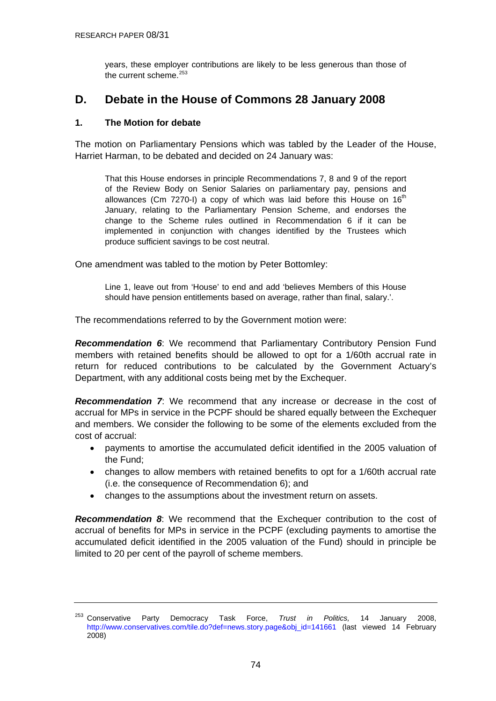years, these employer contributions are likely to be less generous than those of the current scheme.<sup>[253](#page-73-0)</sup>

# <span id="page-73-0"></span>**D. Debate in the House of Commons 28 January 2008**

# **1. The Motion for debate**

The motion on Parliamentary Pensions which was tabled by the Leader of the House, Harriet Harman, to be debated and decided on 24 January was:

That this House endorses in principle Recommendations 7, 8 and 9 of the report of the Review Body on Senior Salaries on parliamentary pay, pensions and allowances (Cm  $7270-1$ ) a copy of which was laid before this House on  $16<sup>th</sup>$ January, relating to the Parliamentary Pension Scheme, and endorses the change to the Scheme rules outlined in Recommendation 6 if it can be implemented in conjunction with changes identified by the Trustees which produce sufficient savings to be cost neutral.

One amendment was tabled to the motion by Peter Bottomley:

Line 1, leave out from 'House' to end and add 'believes Members of this House should have pension entitlements based on average, rather than final, salary.'.

The recommendations referred to by the Government motion were:

*Recommendation 6*: We recommend that Parliamentary Contributory Pension Fund members with retained benefits should be allowed to opt for a 1/60th accrual rate in return for reduced contributions to be calculated by the Government Actuary's Department, with any additional costs being met by the Exchequer.

*Recommendation 7*: We recommend that any increase or decrease in the cost of accrual for MPs in service in the PCPF should be shared equally between the Exchequer and members. We consider the following to be some of the elements excluded from the cost of accrual:

- payments to amortise the accumulated deficit identified in the 2005 valuation of the Fund;
- changes to allow members with retained benefits to opt for a 1/60th accrual rate (i.e. the consequence of Recommendation 6); and
- changes to the assumptions about the investment return on assets.

*Recommendation 8*: We recommend that the Exchequer contribution to the cost of accrual of benefits for MPs in service in the PCPF (excluding payments to amortise the accumulated deficit identified in the 2005 valuation of the Fund) should in principle be limited to 20 per cent of the payroll of scheme members.

<sup>253</sup> Conservative Party Democracy Task Force, *Trust in Politics,* 14 January 2008, [http://www.conservatives.com/tile.do?def=news.story.page&obj\\_id=141661](http://www.conservatives.com/tile.do?def=news.story.page&obj_id=141661) (last viewed 14 February 2008)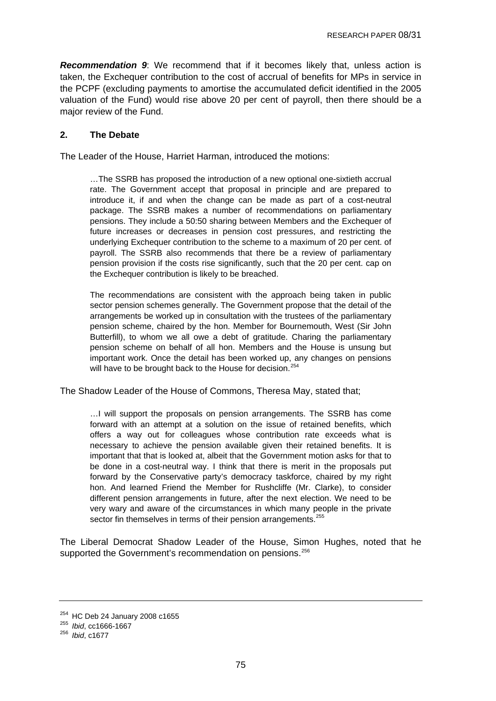<span id="page-74-0"></span>*Recommendation 9*: We recommend that if it becomes likely that, unless action is taken, the Exchequer contribution to the cost of accrual of benefits for MPs in service in the PCPF (excluding payments to amortise the accumulated deficit identified in the 2005 valuation of the Fund) would rise above 20 per cent of payroll, then there should be a major review of the Fund.

## **2. The Debate**

The Leader of the House, Harriet Harman, introduced the motions:

…The SSRB has proposed the introduction of a new optional one-sixtieth accrual rate. The Government accept that proposal in principle and are prepared to introduce it, if and when the change can be made as part of a cost-neutral package. The SSRB makes a number of recommendations on parliamentary pensions. They include a 50:50 sharing between Members and the Exchequer of future increases or decreases in pension cost pressures, and restricting the underlying Exchequer contribution to the scheme to a maximum of 20 per cent. of payroll. The SSRB also recommends that there be a review of parliamentary pension provision if the costs rise significantly, such that the 20 per cent. cap on the Exchequer contribution is likely to be breached.

The recommendations are consistent with the approach being taken in public sector pension schemes generally. The Government propose that the detail of the arrangements be worked up in consultation with the trustees of the parliamentary pension scheme, chaired by the hon. Member for Bournemouth, West (Sir John Butterfill), to whom we all owe a debt of gratitude. Charing the parliamentary pension scheme on behalf of all hon. Members and the House is unsung but important work. Once the detail has been worked up, any changes on pensions will have to be brought back to the House for decision.<sup>[254](#page-74-0)</sup>

The Shadow Leader of the House of Commons, Theresa May, stated that;

…I will support the proposals on pension arrangements. The SSRB has come forward with an attempt at a solution on the issue of retained benefits, which offers a way out for colleagues whose contribution rate exceeds what is necessary to achieve the pension available given their retained benefits. It is important that that is looked at, albeit that the Government motion asks for that to be done in a cost-neutral way. I think that there is merit in the proposals put forward by the Conservative party's democracy taskforce, chaired by my right hon. And learned Friend the Member for Rushcliffe (Mr. Clarke), to consider different pension arrangements in future, after the next election. We need to be very wary and aware of the circumstances in which many people in the private sector fin themselves in terms of their pension arrangements.<sup>[255](#page-74-0)</sup>

The Liberal Democrat Shadow Leader of the House, Simon Hughes, noted that he supported the Government's recommendation on pensions.<sup>[256](#page-74-0)</sup>

<sup>254</sup> HC Deb 24 January 2008 c1655 255 *Ibid*, cc1666-1667 256 *Ibid*, c1677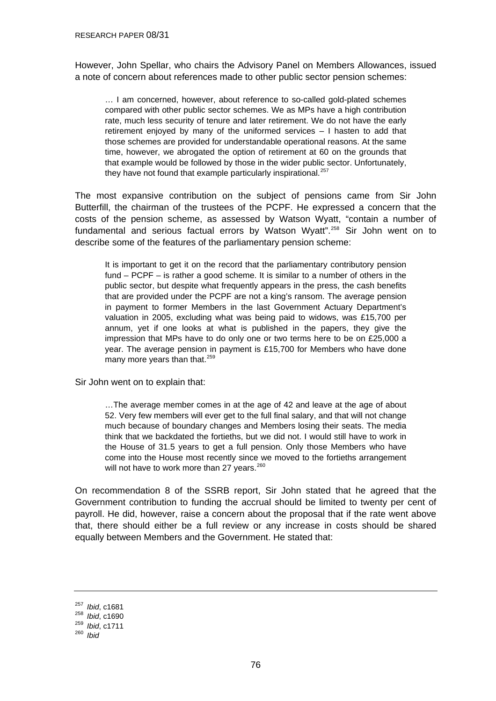<span id="page-75-0"></span>However, John Spellar, who chairs the Advisory Panel on Members Allowances, issued a note of concern about references made to other public sector pension schemes:

… I am concerned, however, about reference to so-called gold-plated schemes compared with other public sector schemes. We as MPs have a high contribution rate, much less security of tenure and later retirement. We do not have the early retirement enjoyed by many of the uniformed services – I hasten to add that those schemes are provided for understandable operational reasons. At the same time, however, we abrogated the option of retirement at 60 on the grounds that that example would be followed by those in the wider public sector. Unfortunately, they have not found that example particularly inspirational.<sup>[257](#page-75-0)</sup>

The most expansive contribution on the subject of pensions came from Sir John Butterfill, the chairman of the trustees of the PCPF. He expressed a concern that the costs of the pension scheme, as assessed by Watson Wyatt, "contain a number of fundamental and serious factual errors by Watson Wyatt".<sup>[258](#page-75-0)</sup> Sir John went on to describe some of the features of the parliamentary pension scheme:

It is important to get it on the record that the parliamentary contributory pension fund – PCPF – is rather a good scheme. It is similar to a number of others in the public sector, but despite what frequently appears in the press, the cash benefits that are provided under the PCPF are not a king's ransom. The average pension in payment to former Members in the last Government Actuary Department's valuation in 2005, excluding what was being paid to widows, was £15,700 per annum, yet if one looks at what is published in the papers, they give the impression that MPs have to do only one or two terms here to be on £25,000 a year. The average pension in payment is £15,700 for Members who have done many more years than that.<sup>[259](#page-75-0)</sup>

Sir John went on to explain that:

…The average member comes in at the age of 42 and leave at the age of about 52. Very few members will ever get to the full final salary, and that will not change much because of boundary changes and Members losing their seats. The media think that we backdated the fortieths, but we did not. I would still have to work in the House of 31.5 years to get a full pension. Only those Members who have come into the House most recently since we moved to the fortieths arrangement will not have to work more than 27 years.<sup>[260](#page-75-0)</sup>

On recommendation 8 of the SSRB report, Sir John stated that he agreed that the Government contribution to funding the accrual should be limited to twenty per cent of payroll. He did, however, raise a concern about the proposal that if the rate went above that, there should either be a full review or any increase in costs should be shared equally between Members and the Government. He stated that:

<sup>257</sup>*Ibid*, c1681 258 *Ibid*, c1690 259 *Ibid*, c1711 260 *Ibid*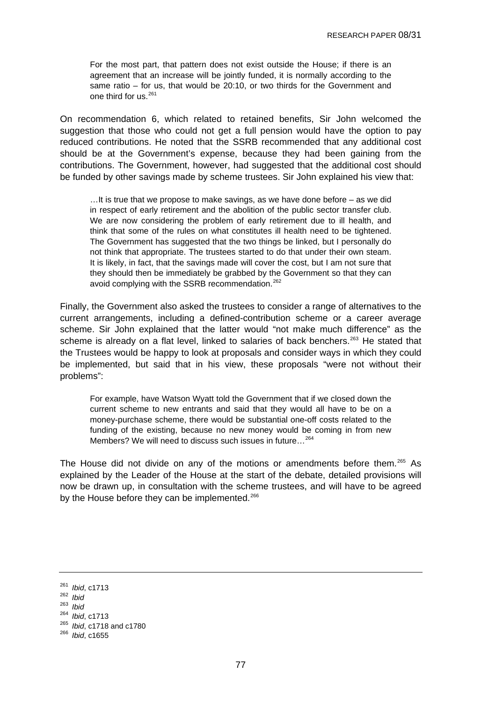<span id="page-76-0"></span>For the most part, that pattern does not exist outside the House; if there is an agreement that an increase will be jointly funded, it is normally according to the same ratio – for us, that would be 20:10, or two thirds for the Government and one third for us.<sup>[261](#page-76-0)</sup>

On recommendation 6, which related to retained benefits, Sir John welcomed the suggestion that those who could not get a full pension would have the option to pay reduced contributions. He noted that the SSRB recommended that any additional cost should be at the Government's expense, because they had been gaining from the contributions. The Government, however, had suggested that the additional cost should be funded by other savings made by scheme trustees. Sir John explained his view that:

…It is true that we propose to make savings, as we have done before – as we did in respect of early retirement and the abolition of the public sector transfer club. We are now considering the problem of early retirement due to ill health, and think that some of the rules on what constitutes ill health need to be tightened. The Government has suggested that the two things be linked, but I personally do not think that appropriate. The trustees started to do that under their own steam. It is likely, in fact, that the savings made will cover the cost, but I am not sure that they should then be immediately be grabbed by the Government so that they can avoid complying with the SSRB recommendation.<sup>[262](#page-76-0)</sup>

Finally, the Government also asked the trustees to consider a range of alternatives to the current arrangements, including a defined-contribution scheme or a career average scheme. Sir John explained that the latter would "not make much difference" as the scheme is already on a flat level, linked to salaries of back benchers.<sup>[263](#page-76-0)</sup> He stated that the Trustees would be happy to look at proposals and consider ways in which they could be implemented, but said that in his view, these proposals "were not without their problems":

For example, have Watson Wyatt told the Government that if we closed down the current scheme to new entrants and said that they would all have to be on a money-purchase scheme, there would be substantial one-off costs related to the funding of the existing, because no new money would be coming in from new Members? We will need to discuss such issues in future…[264](#page-76-0)

The House did not divide on any of the motions or amendments before them.[265](#page-76-0) As explained by the Leader of the House at the start of the debate, detailed provisions will now be drawn up, in consultation with the scheme trustees, and will have to be agreed by the House before they can be implemented.<sup>[266](#page-76-0)</sup>

<sup>261</sup>*Ibid*, c1713 262 *Ibid* 

<sup>263</sup> *Ibid* 

<sup>264</sup>*Ibid*, c1713 265 *Ibid*, c1718 and c1780 266 *Ibid*, c1655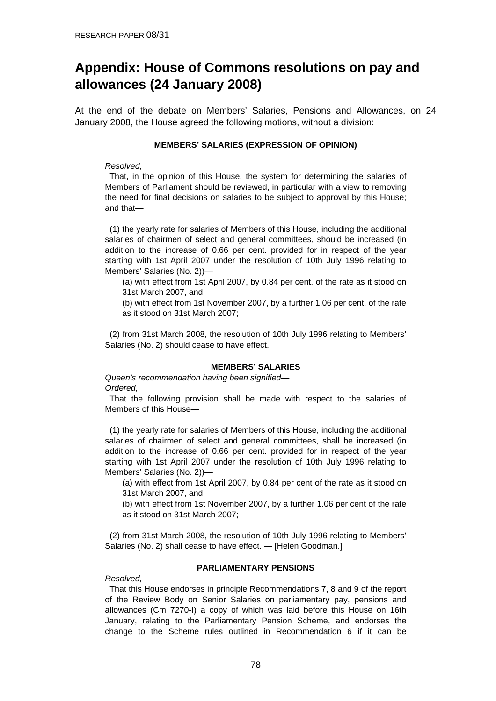# **Appendix: House of Commons resolutions on pay and allowances (24 January 2008)**

At the end of the debate on Members' Salaries, Pensions and Allowances, on 24 January 2008, the House agreed the following motions, without a division:

#### **MEMBERS' SALARIES (EXPRESSION OF OPINION)**

#### *Resolved,*

 That, in the opinion of this House, the system for determining the salaries of Members of Parliament should be reviewed, in particular with a view to removing the need for final decisions on salaries to be subject to approval by this House; and that—

 (1) the yearly rate for salaries of Members of this House, including the additional salaries of chairmen of select and general committees, should be increased (in addition to the increase of 0.66 per cent. provided for in respect of the year starting with 1st April 2007 under the resolution of 10th July 1996 relating to Members' Salaries (No. 2))—

(a) with effect from 1st April 2007, by 0.84 per cent. of the rate as it stood on 31st March 2007, and

(b) with effect from 1st November 2007, by a further 1.06 per cent. of the rate as it stood on 31st March 2007;

 (2) from 31st March 2008, the resolution of 10th July 1996 relating to Members' Salaries (No. 2) should cease to have effect.

#### **MEMBERS' SALARIES**

*Queen's recommendation having been signified— Ordered,* 

 That the following provision shall be made with respect to the salaries of Members of this House—

 (1) the yearly rate for salaries of Members of this House, including the additional salaries of chairmen of select and general committees, shall be increased (in addition to the increase of 0.66 per cent. provided for in respect of the year starting with 1st April 2007 under the resolution of 10th July 1996 relating to Members' Salaries (No. 2))—

(a) with effect from 1st April 2007, by 0.84 per cent of the rate as it stood on 31st March 2007, and

(b) with effect from 1st November 2007, by a further 1.06 per cent of the rate as it stood on 31st March 2007;

 (2) from 31st March 2008, the resolution of 10th July 1996 relating to Members' Salaries (No. 2) shall cease to have effect. — [Helen Goodman.]

#### **PARLIAMENTARY PENSIONS**

#### *Resolved,*

 That this House endorses in principle Recommendations 7, 8 and 9 of the report of the Review Body on Senior Salaries on parliamentary pay, pensions and allowances (Cm 7270-I) a copy of which was laid before this House on 16th January, relating to the Parliamentary Pension Scheme, and endorses the change to the Scheme rules outlined in Recommendation 6 if it can be